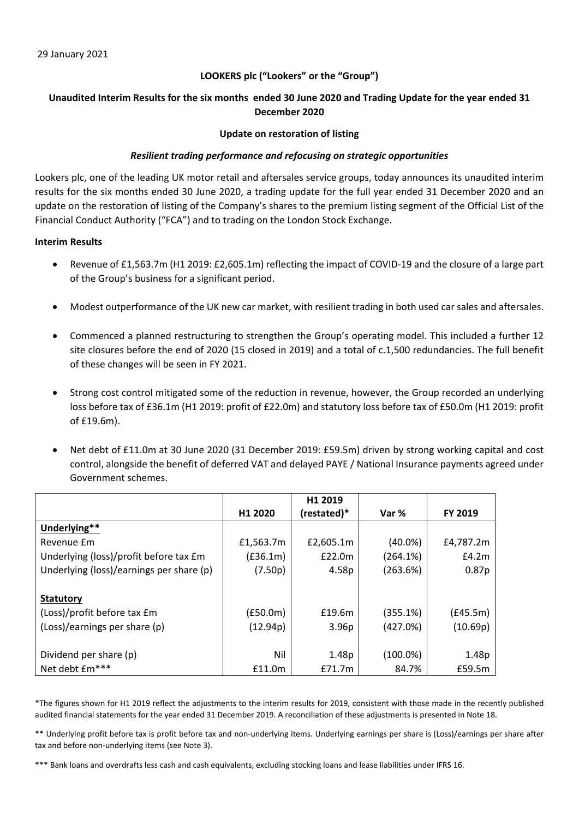# **LOOKERS plc ("Lookers" or the "Group")**

# Unaudited Interim Results for the six months ended 30 June 2020 and Trading Update for the year ended 31 **December 2020**

## **Update on restoration of listing**

# *Resilient trading performance and refocusing on strategic opportunities*

Lookers plc, one of the leading UK motor retail and aftersales service groups, today announces its unaudited interim results for the six months ended 30 June 2020, a trading update for the full year ended 31 December 2020 and an update on the restoration of listing of the Company's shares to the premium listing segment of the Official List of the Financial Conduct Authority ("FCA") and to trading on the London Stock Exchange.

# **Interim Results**

- Revenue of £1,563.7m (H1 2019: £2,605.1m) reflecting the impact of COVID‐19 and the closure of a large part of the Group's business for a significant period.
- Modest outperformance of the UK new car market, with resilient trading in both used car sales and aftersales.
- Commenced a planned restructuring to strengthen the Group's operating model. This included a further 12 site closures before the end of 2020 (15 closed in 2019) and a total of c.1,500 redundancies. The full benefit of these changes will be seen in FY 2021.
- Strong cost control mitigated some of the reduction in revenue, however, the Group recorded an underlying loss before tax of £36.1m (H1 2019: profit of £22.0m) and statutory loss before tax of £50.0m (H1 2019: profit of £19.6m).
- Net debt of £11.0m at 30 June 2020 (31 December 2019: £59.5m) driven by strong working capital and cost control, alongside the benefit of deferred VAT and delayed PAYE / National Insurance payments agreed under Government schemes.

|                                          |           | H1 2019           |             |           |
|------------------------------------------|-----------|-------------------|-------------|-----------|
|                                          | H1 2020   | (restated)*       | Var %       | FY 2019   |
| Underlying**                             |           |                   |             |           |
| Revenue Em                               | £1,563.7m | £2,605.1m         | $(40.0\%)$  | £4,787.2m |
| Underlying (loss)/profit before tax £m   | (f36.1m)  | £22.0m            | (264.1%)    | E4.2m     |
| Underlying (loss)/earnings per share (p) | (7.50p)   | 4.58p             | (263.6%)    | 0.87p     |
|                                          |           |                   |             |           |
| <b>Statutory</b>                         |           |                   |             |           |
| (Loss)/profit before tax £m              | (f50.0m)  | £19.6m            | (355.1%)    | (E45.5m)  |
| (Loss)/earnings per share (p)            | (12.94p)  | 3.96 <sub>p</sub> | (427.0%)    | (10.69p)  |
|                                          |           |                   |             |           |
| Dividend per share (p)                   | Nil       | 1.48p             | $(100.0\%)$ | 1.48p     |
| Net debt £m***                           | £11.0m    | £71.7m            | 84.7%       | £59.5m    |

\*The figures shown for H1 2019 reflect the adjustments to the interim results for 2019, consistent with those made in the recently published audited financial statements for the year ended 31 December 2019. A reconciliation of these adjustments is presented in Note 18.

\*\* Underlying profit before tax is profit before tax and non‐underlying items. Underlying earnings per share is (Loss)/earnings per share after tax and before non‐underlying items (see Note 3).

\*\*\* Bank loans and overdrafts less cash and cash equivalents, excluding stocking loans and lease liabilities under IFRS 16.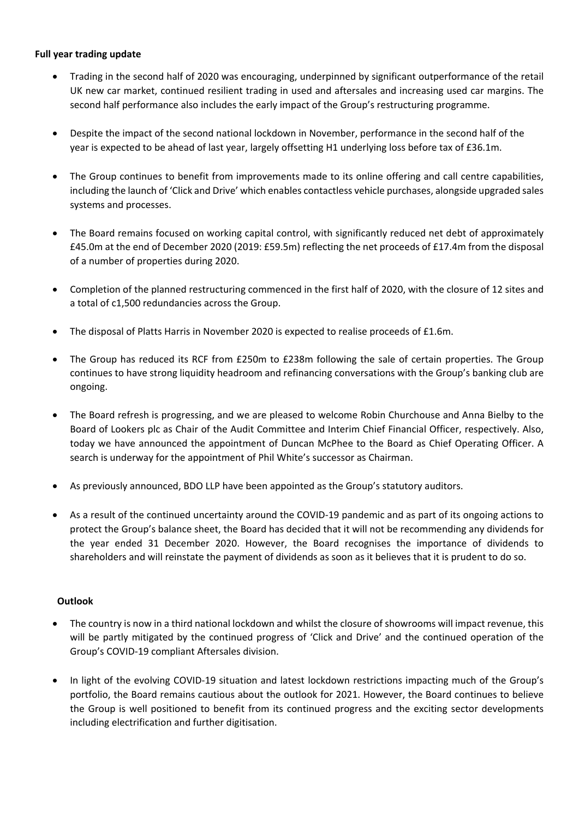# **Full year trading update**

- Trading in the second half of 2020 was encouraging, underpinned by significant outperformance of the retail UK new car market, continued resilient trading in used and aftersales and increasing used car margins. The second half performance also includes the early impact of the Group's restructuring programme.
- Despite the impact of the second national lockdown in November, performance in the second half of the year is expected to be ahead of last year, largely offsetting H1 underlying loss before tax of £36.1m.
- The Group continues to benefit from improvements made to its online offering and call centre capabilities, including the launch of 'Click and Drive' which enables contactless vehicle purchases, alongside upgraded sales systems and processes.
- The Board remains focused on working capital control, with significantly reduced net debt of approximately £45.0m at the end of December 2020 (2019: £59.5m) reflecting the net proceeds of £17.4m from the disposal of a number of properties during 2020.
- Completion of the planned restructuring commenced in the first half of 2020, with the closure of 12 sites and a total of c1,500 redundancies across the Group.
- The disposal of Platts Harris in November 2020 is expected to realise proceeds of £1.6m.
- The Group has reduced its RCF from £250m to £238m following the sale of certain properties. The Group continues to have strong liquidity headroom and refinancing conversations with the Group's banking club are ongoing.
- The Board refresh is progressing, and we are pleased to welcome Robin Churchouse and Anna Bielby to the Board of Lookers plc as Chair of the Audit Committee and Interim Chief Financial Officer, respectively. Also, today we have announced the appointment of Duncan McPhee to the Board as Chief Operating Officer. A search is underway for the appointment of Phil White's successor as Chairman.
- As previously announced, BDO LLP have been appointed as the Group's statutory auditors.
- As a result of the continued uncertainty around the COVID‐19 pandemic and as part of its ongoing actions to protect the Group's balance sheet, the Board has decided that it will not be recommending any dividends for the year ended 31 December 2020. However, the Board recognises the importance of dividends to shareholders and will reinstate the payment of dividends as soon as it believes that it is prudent to do so.

# **Outlook**

- The country is now in a third national lockdown and whilst the closure of showrooms will impact revenue, this will be partly mitigated by the continued progress of 'Click and Drive' and the continued operation of the Group's COVID‐19 compliant Aftersales division.
- In light of the evolving COVID‐19 situation and latest lockdown restrictions impacting much of the Group's portfolio, the Board remains cautious about the outlook for 2021. However, the Board continues to believe the Group is well positioned to benefit from its continued progress and the exciting sector developments including electrification and further digitisation.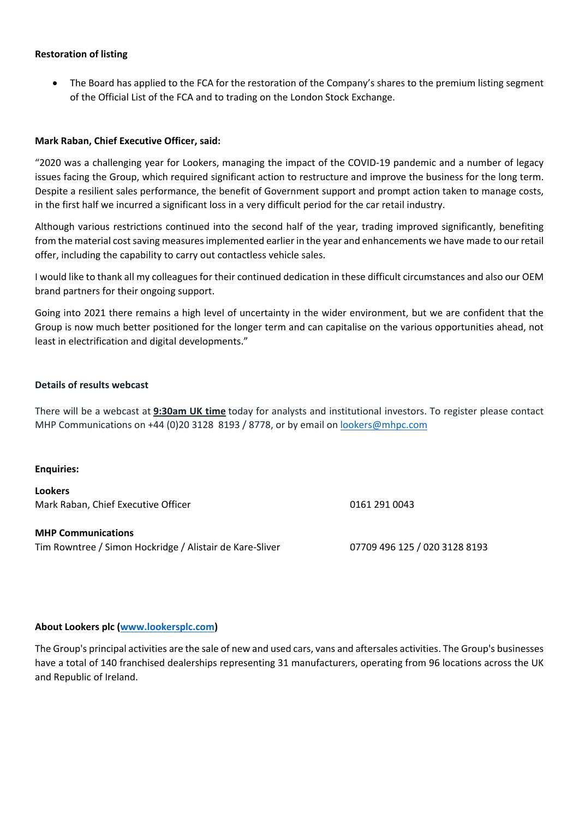# **Restoration of listing**

 The Board has applied to the FCA for the restoration of the Company's shares to the premium listing segment of the Official List of the FCA and to trading on the London Stock Exchange.

# **Mark Raban, Chief Executive Officer, said:**

"2020 was a challenging year for Lookers, managing the impact of the COVID‐19 pandemic and a number of legacy issues facing the Group, which required significant action to restructure and improve the business for the long term. Despite a resilient sales performance, the benefit of Government support and prompt action taken to manage costs, in the first half we incurred a significant loss in a very difficult period for the car retail industry.

Although various restrictions continued into the second half of the year, trading improved significantly, benefiting from the material cost saving measures implemented earlier in the year and enhancements we have made to our retail offer, including the capability to carry out contactless vehicle sales.

I would like to thank all my colleagues for their continued dedication in these difficult circumstances and also our OEM brand partners for their ongoing support.

Going into 2021 there remains a high level of uncertainty in the wider environment, but we are confident that the Group is now much better positioned for the longer term and can capitalise on the various opportunities ahead, not least in electrification and digital developments."

# **Details of results webcast**

There will be a webcast at **9:30am UK time** today for analysts and institutional investors. To register please contact MHP Communications on +44 (0)20 3128 8193 / 8778, or by email on lookers@mhpc.com

# **Enquiries:**

**Lookers** Mark Raban, Chief Executive Officer **1992 12:30 12:30 12:30 12:31 0043** 

# **MHP Communications**

Tim Rowntree / Simon Hockridge / Alistair de Kare‐Sliver 07709 496 125 / 020 3128 8193

# **About Lookers plc (www.lookersplc.com)**

The Group's principal activities are the sale of new and used cars, vans and aftersales activities. The Group's businesses have a total of 140 franchised dealerships representing 31 manufacturers, operating from 96 locations across the UK and Republic of Ireland.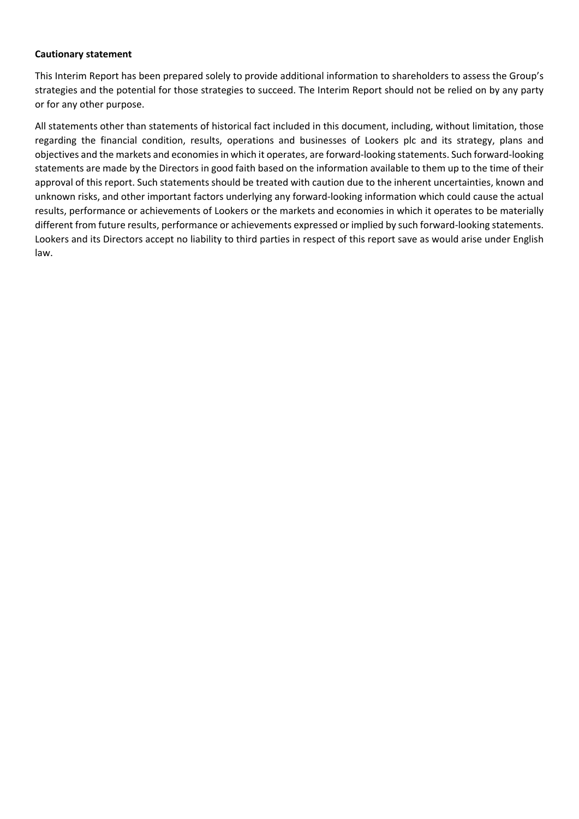## **Cautionary statement**

This Interim Report has been prepared solely to provide additional information to shareholders to assess the Group's strategies and the potential for those strategies to succeed. The Interim Report should not be relied on by any party or for any other purpose.

All statements other than statements of historical fact included in this document, including, without limitation, those regarding the financial condition, results, operations and businesses of Lookers plc and its strategy, plans and objectives and the markets and economiesin which it operates, are forward‐looking statements. Such forward‐looking statements are made by the Directors in good faith based on the information available to them up to the time of their approval of this report. Such statements should be treated with caution due to the inherent uncertainties, known and unknown risks, and other important factors underlying any forward‐looking information which could cause the actual results, performance or achievements of Lookers or the markets and economies in which it operates to be materially different from future results, performance or achievements expressed or implied by such forward‐looking statements. Lookers and its Directors accept no liability to third parties in respect of this report save as would arise under English law.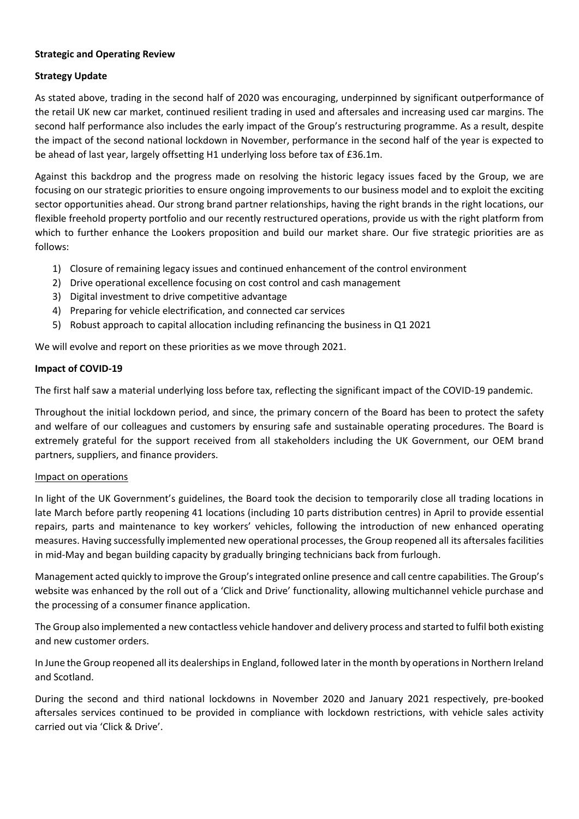# **Strategic and Operating Review**

# **Strategy Update**

As stated above, trading in the second half of 2020 was encouraging, underpinned by significant outperformance of the retail UK new car market, continued resilient trading in used and aftersales and increasing used car margins. The second half performance also includes the early impact of the Group's restructuring programme. As a result, despite the impact of the second national lockdown in November, performance in the second half of the year is expected to be ahead of last year, largely offsetting H1 underlying loss before tax of £36.1m.

Against this backdrop and the progress made on resolving the historic legacy issues faced by the Group, we are focusing on our strategic priorities to ensure ongoing improvements to our business model and to exploit the exciting sector opportunities ahead. Our strong brand partner relationships, having the right brands in the right locations, our flexible freehold property portfolio and our recently restructured operations, provide us with the right platform from which to further enhance the Lookers proposition and build our market share. Our five strategic priorities are as follows:

- 1) Closure of remaining legacy issues and continued enhancement of the control environment
- 2) Drive operational excellence focusing on cost control and cash management
- 3) Digital investment to drive competitive advantage
- 4) Preparing for vehicle electrification, and connected car services
- 5) Robust approach to capital allocation including refinancing the business in Q1 2021

We will evolve and report on these priorities as we move through 2021.

# **Impact of COVID‐19**

The first half saw a material underlying loss before tax, reflecting the significant impact of the COVID‐19 pandemic.

Throughout the initial lockdown period, and since, the primary concern of the Board has been to protect the safety and welfare of our colleagues and customers by ensuring safe and sustainable operating procedures. The Board is extremely grateful for the support received from all stakeholders including the UK Government, our OEM brand partners, suppliers, and finance providers.

# Impact on operations

In light of the UK Government's guidelines, the Board took the decision to temporarily close all trading locations in late March before partly reopening 41 locations (including 10 parts distribution centres) in April to provide essential repairs, parts and maintenance to key workers' vehicles, following the introduction of new enhanced operating measures. Having successfully implemented new operational processes, the Group reopened all its aftersales facilities in mid‐May and began building capacity by gradually bringing technicians back from furlough.

Management acted quickly to improve the Group'sintegrated online presence and call centre capabilities. The Group's website was enhanced by the roll out of a 'Click and Drive' functionality, allowing multichannel vehicle purchase and the processing of a consumer finance application.

The Group also implemented a new contactless vehicle handover and delivery process and started to fulfil both existing and new customer orders.

In June the Group reopened all its dealerships in England, followed later in the month by operations in Northern Ireland and Scotland.

During the second and third national lockdowns in November 2020 and January 2021 respectively, pre‐booked aftersales services continued to be provided in compliance with lockdown restrictions, with vehicle sales activity carried out via 'Click & Drive'.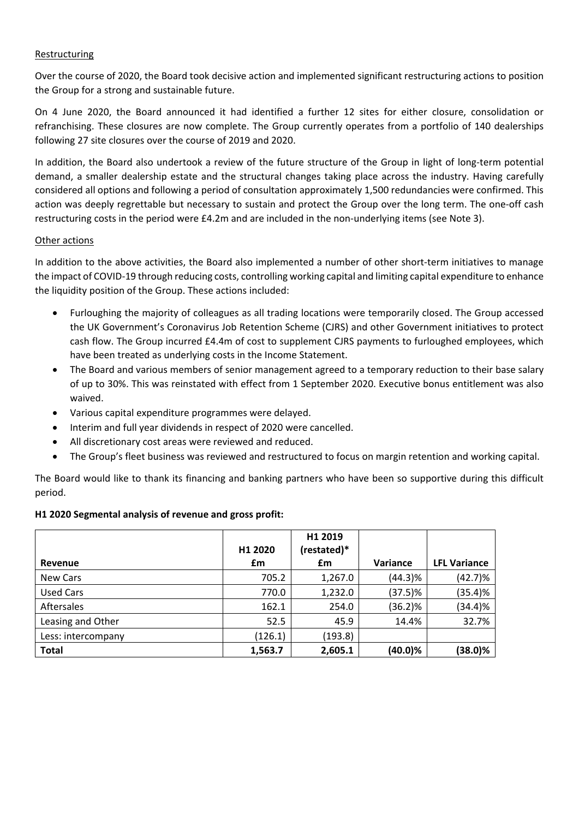# Restructuring

Over the course of 2020, the Board took decisive action and implemented significant restructuring actions to position the Group for a strong and sustainable future.

On 4 June 2020, the Board announced it had identified a further 12 sites for either closure, consolidation or refranchising. These closures are now complete. The Group currently operates from a portfolio of 140 dealerships following 27 site closures over the course of 2019 and 2020.

In addition, the Board also undertook a review of the future structure of the Group in light of long-term potential demand, a smaller dealership estate and the structural changes taking place across the industry. Having carefully considered all options and following a period of consultation approximately 1,500 redundancies were confirmed. This action was deeply regrettable but necessary to sustain and protect the Group over the long term. The one‐off cash restructuring costs in the period were £4.2m and are included in the non-underlying items (see Note 3).

# Other actions

In addition to the above activities, the Board also implemented a number of other short-term initiatives to manage the impact of COVID‐19 through reducing costs, controlling working capital and limiting capital expenditure to enhance the liquidity position of the Group. These actions included:

- Furloughing the majority of colleagues as all trading locations were temporarily closed. The Group accessed the UK Government's Coronavirus Job Retention Scheme (CJRS) and other Government initiatives to protect cash flow. The Group incurred £4.4m of cost to supplement CJRS payments to furloughed employees, which have been treated as underlying costs in the Income Statement.
- The Board and various members of senior management agreed to a temporary reduction to their base salary of up to 30%. This was reinstated with effect from 1 September 2020. Executive bonus entitlement was also waived.
- Various capital expenditure programmes were delayed.
- Interim and full year dividends in respect of 2020 were cancelled.
- All discretionary cost areas were reviewed and reduced.
- The Group's fleet business was reviewed and restructured to focus on margin retention and working capital.

The Board would like to thank its financing and banking partners who have been so supportive during this difficult period.

# **H1 2020 Segmental analysis of revenue and gross profit:**

|                    | H1 2020 | H1 2019<br>(restated)* |                 |                     |
|--------------------|---------|------------------------|-----------------|---------------------|
| Revenue            | £m      | £m                     | <b>Variance</b> | <b>LFL Variance</b> |
| New Cars           | 705.2   | 1,267.0                | (44.3)%         | (42.7)%             |
| <b>Used Cars</b>   | 770.0   | 1,232.0                | $(37.5)\%$      | (35.4)%             |
| Aftersales         | 162.1   | 254.0                  | $(36.2)\%$      | (34.4)%             |
| Leasing and Other  | 52.5    | 45.9                   | 14.4%           | 32.7%               |
| Less: intercompany | (126.1) | (193.8)                |                 |                     |
| <b>Total</b>       | 1,563.7 | 2,605.1                | $(40.0)\%$      | (38.0)%             |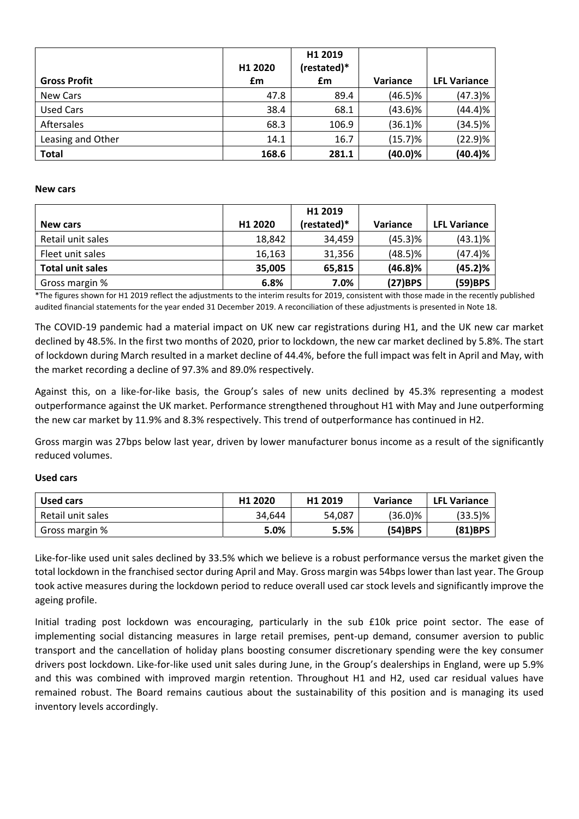|                     | H1 2020 | H1 2019<br>(restated)* |                 |                     |
|---------------------|---------|------------------------|-----------------|---------------------|
| <b>Gross Profit</b> | £m      | £m                     | <b>Variance</b> | <b>LFL Variance</b> |
| New Cars            | 47.8    | 89.4                   | $(46.5)\%$      | $(47.3)\%$          |
| <b>Used Cars</b>    | 38.4    | 68.1                   | $(43.6)\%$      | (44.4)%             |
| Aftersales          | 68.3    | 106.9                  | $(36.1)\%$      | $(34.5)\%$          |
| Leasing and Other   | 14.1    | 16.7                   | (15.7)%         | (22.9)%             |
| <b>Total</b>        | 168.6   | 281.1                  | (40.0)%         | (40.4)%             |

### **New cars**

|                         |         | H1 2019     |            |                     |
|-------------------------|---------|-------------|------------|---------------------|
| <b>New cars</b>         | H1 2020 | (restated)* | Variance   | <b>LFL Variance</b> |
| Retail unit sales       | 18,842  | 34,459      | $(45.3)$ % | $(43.1)\%$          |
| Fleet unit sales        | 16,163  | 31,356      | $(48.5)\%$ | (47.4)%             |
| <b>Total unit sales</b> | 35,005  | 65,815      | $(46.8)\%$ | (45.2)%             |
| Gross margin %          | 6.8%    | 7.0%        | (27)BPS    | (59)BPS             |

\*The figures shown for H1 2019 reflect the adjustments to the interim results for 2019, consistent with those made in the recently published audited financial statements for the year ended 31 December 2019. A reconciliation of these adjustments is presented in Note 18.

The COVID‐19 pandemic had a material impact on UK new car registrations during H1, and the UK new car market declined by 48.5%. In the first two months of 2020, prior to lockdown, the new car market declined by 5.8%. The start of lockdown during March resulted in a market decline of 44.4%, before the full impact was felt in April and May, with the market recording a decline of 97.3% and 89.0% respectively.

Against this, on a like‐for‐like basis, the Group's sales of new units declined by 45.3% representing a modest outperformance against the UK market. Performance strengthened throughout H1 with May and June outperforming the new car market by 11.9% and 8.3% respectively. This trend of outperformance has continued in H2.

Gross margin was 27bps below last year, driven by lower manufacturer bonus income as a result of the significantly reduced volumes.

# **Used cars**

| <b>Used cars</b>  | H <sub>1</sub> 2020 | H1 2019 | Variance   | <b>LFL Variance</b> |
|-------------------|---------------------|---------|------------|---------------------|
| Retail unit sales | 34,644              | 54,087  | $(36.0)\%$ | $(33.5)\%$          |
| Gross margin %    | 5.0%                | 5.5%    | $(54)$ BPS | $(81)$ BPS          |

Like-for-like used unit sales declined by 33.5% which we believe is a robust performance versus the market given the total lockdown in the franchised sector during April and May. Gross margin was 54bps lower than last year. The Group took active measures during the lockdown period to reduce overall used car stock levels and significantly improve the ageing profile.

Initial trading post lockdown was encouraging, particularly in the sub £10k price point sector. The ease of implementing social distancing measures in large retail premises, pent-up demand, consumer aversion to public transport and the cancellation of holiday plans boosting consumer discretionary spending were the key consumer drivers post lockdown. Like-for-like used unit sales during June, in the Group's dealerships in England, were up 5.9% and this was combined with improved margin retention. Throughout H1 and H2, used car residual values have remained robust. The Board remains cautious about the sustainability of this position and is managing its used inventory levels accordingly.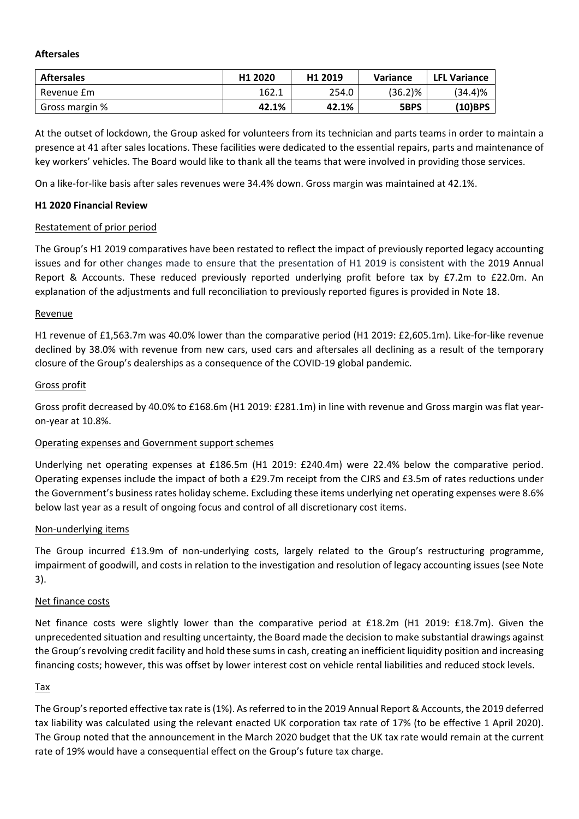## **Aftersales**

| <b>Aftersales</b> | H <sub>1</sub> 2020 | H <sub>1</sub> 2019 | <b>Variance</b> | <b>LFL Variance</b> |
|-------------------|---------------------|---------------------|-----------------|---------------------|
| Revenue £m        | 162.1               | 254.0               | $(36.2)\%$      | (34.4)%             |
| Gross margin %    | 42.1%               | 42.1%               | 5BPS            | $(10)$ BPS          |

At the outset of lockdown, the Group asked for volunteers from its technician and parts teams in order to maintain a presence at 41 after sales locations. These facilities were dedicated to the essential repairs, parts and maintenance of key workers' vehicles. The Board would like to thank all the teams that were involved in providing those services.

On a like-for-like basis after sales revenues were 34.4% down. Gross margin was maintained at 42.1%.

# **H1 2020 Financial Review**

# Restatement of prior period

The Group's H1 2019 comparatives have been restated to reflect the impact of previously reported legacy accounting issues and for other changes made to ensure that the presentation of H1 2019 is consistent with the 2019 Annual Report & Accounts. These reduced previously reported underlying profit before tax by £7.2m to £22.0m. An explanation of the adjustments and full reconciliation to previously reported figures is provided in Note 18.

# Revenue

H1 revenue of £1,563.7m was 40.0% lower than the comparative period (H1 2019: £2,605.1m). Like‐for‐like revenue declined by 38.0% with revenue from new cars, used cars and aftersales all declining as a result of the temporary closure of the Group's dealerships as a consequence of the COVID‐19 global pandemic.

# Gross profit

Gross profit decreased by 40.0% to £168.6m (H1 2019: £281.1m) in line with revenue and Gross margin was flat year‐ on‐year at 10.8%.

# Operating expenses and Government support schemes

Underlying net operating expenses at £186.5m (H1 2019: £240.4m) were 22.4% below the comparative period. Operating expenses include the impact of both a £29.7m receipt from the CJRS and £3.5m of rates reductions under the Government's business rates holiday scheme. Excluding these items underlying net operating expenses were 8.6% below last year as a result of ongoing focus and control of all discretionary cost items.

# Non‐underlying items

The Group incurred £13.9m of non-underlying costs, largely related to the Group's restructuring programme, impairment of goodwill, and costs in relation to the investigation and resolution of legacy accounting issues (see Note 3).

# Net finance costs

Net finance costs were slightly lower than the comparative period at £18.2m (H1 2019: £18.7m). Given the unprecedented situation and resulting uncertainty, the Board made the decision to make substantial drawings against the Group'srevolving credit facility and hold these sumsin cash, creating an inefficient liquidity position and increasing financing costs; however, this was offset by lower interest cost on vehicle rental liabilities and reduced stock levels.

# Tax

The Group's reported effective tax rate is (1%). As referred to in the 2019 Annual Report & Accounts, the 2019 deferred tax liability was calculated using the relevant enacted UK corporation tax rate of 17% (to be effective 1 April 2020). The Group noted that the announcement in the March 2020 budget that the UK tax rate would remain at the current rate of 19% would have a consequential effect on the Group's future tax charge.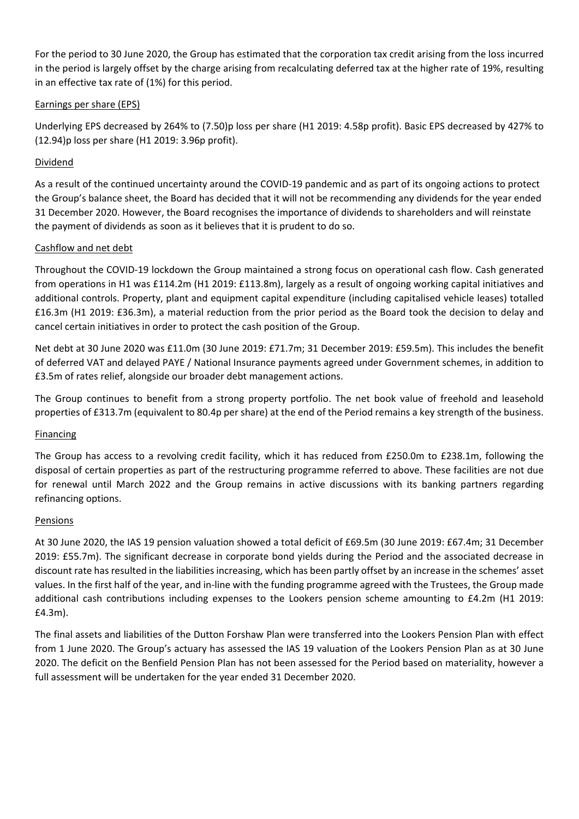For the period to 30 June 2020, the Group has estimated that the corporation tax credit arising from the loss incurred in the period is largely offset by the charge arising from recalculating deferred tax at the higher rate of 19%, resulting in an effective tax rate of (1%) for this period.

# Earnings per share (EPS)

Underlying EPS decreased by 264% to (7.50)p loss per share (H1 2019: 4.58p profit). Basic EPS decreased by 427% to (12.94)p loss per share (H1 2019: 3.96p profit).

# Dividend

As a result of the continued uncertainty around the COVID‐19 pandemic and as part of its ongoing actions to protect the Group's balance sheet, the Board has decided that it will not be recommending any dividends for the year ended 31 December 2020. However, the Board recognises the importance of dividends to shareholders and will reinstate the payment of dividends as soon as it believes that it is prudent to do so.

# Cashflow and net debt

Throughout the COVID‐19 lockdown the Group maintained a strong focus on operational cash flow. Cash generated from operations in H1 was £114.2m (H1 2019: £113.8m), largely as a result of ongoing working capital initiatives and additional controls. Property, plant and equipment capital expenditure (including capitalised vehicle leases) totalled £16.3m (H1 2019: £36.3m), a material reduction from the prior period as the Board took the decision to delay and cancel certain initiatives in order to protect the cash position of the Group.

Net debt at 30 June 2020 was £11.0m (30 June 2019: £71.7m; 31 December 2019: £59.5m). This includes the benefit of deferred VAT and delayed PAYE / National Insurance payments agreed under Government schemes, in addition to £3.5m of rates relief, alongside our broader debt management actions.

The Group continues to benefit from a strong property portfolio. The net book value of freehold and leasehold properties of £313.7m (equivalent to 80.4p per share) at the end of the Period remains a key strength of the business.

# **Financing**

The Group has access to a revolving credit facility, which it has reduced from £250.0m to £238.1m, following the disposal of certain properties as part of the restructuring programme referred to above. These facilities are not due for renewal until March 2022 and the Group remains in active discussions with its banking partners regarding refinancing options.

# Pensions

At 30 June 2020, the IAS 19 pension valuation showed a total deficit of £69.5m (30 June 2019: £67.4m; 31 December 2019: £55.7m). The significant decrease in corporate bond yields during the Period and the associated decrease in discount rate has resulted in the liabilities increasing, which has been partly offset by an increase in the schemes' asset values. In the first half of the year, and in‐line with the funding programme agreed with the Trustees, the Group made additional cash contributions including expenses to the Lookers pension scheme amounting to £4.2m (H1 2019: £4.3m).

The final assets and liabilities of the Dutton Forshaw Plan were transferred into the Lookers Pension Plan with effect from 1 June 2020. The Group's actuary has assessed the IAS 19 valuation of the Lookers Pension Plan as at 30 June 2020. The deficit on the Benfield Pension Plan has not been assessed for the Period based on materiality, however a full assessment will be undertaken for the year ended 31 December 2020.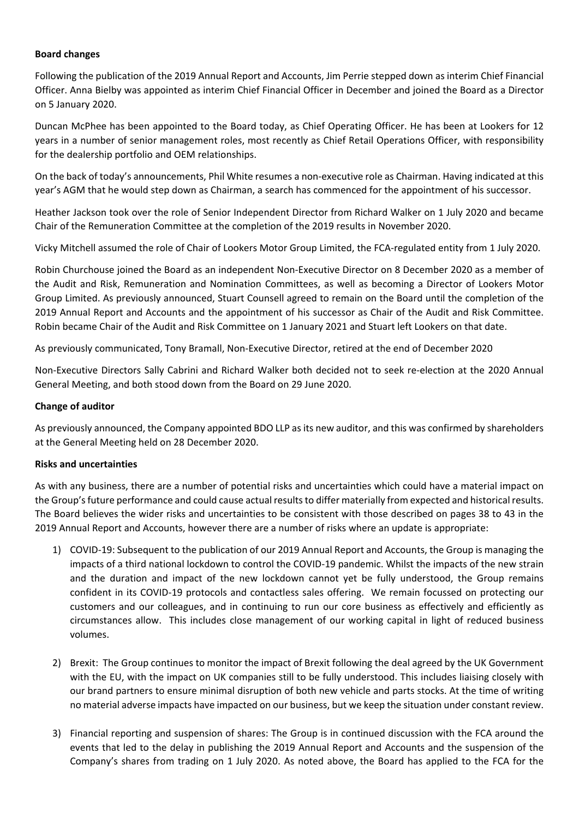# **Board changes**

Following the publication of the 2019 Annual Report and Accounts, Jim Perrie stepped down as interim Chief Financial Officer. Anna Bielby was appointed as interim Chief Financial Officer in December and joined the Board as a Director on 5 January 2020.

Duncan McPhee has been appointed to the Board today, as Chief Operating Officer. He has been at Lookers for 12 years in a number of senior management roles, most recently as Chief Retail Operations Officer, with responsibility for the dealership portfolio and OEM relationships.

On the back of today's announcements, Phil White resumes a non‐executive role as Chairman. Having indicated at this year's AGM that he would step down as Chairman, a search has commenced for the appointment of his successor.

Heather Jackson took over the role of Senior Independent Director from Richard Walker on 1 July 2020 and became Chair of the Remuneration Committee at the completion of the 2019 results in November 2020.

Vicky Mitchell assumed the role of Chair of Lookers Motor Group Limited, the FCA‐regulated entity from 1 July 2020.

Robin Churchouse joined the Board as an independent Non‐Executive Director on 8 December 2020 as a member of the Audit and Risk, Remuneration and Nomination Committees, as well as becoming a Director of Lookers Motor Group Limited. As previously announced, Stuart Counsell agreed to remain on the Board until the completion of the 2019 Annual Report and Accounts and the appointment of his successor as Chair of the Audit and Risk Committee. Robin became Chair of the Audit and Risk Committee on 1 January 2021 and Stuart left Lookers on that date.

As previously communicated, Tony Bramall, Non‐Executive Director, retired at the end of December 2020

Non‐Executive Directors Sally Cabrini and Richard Walker both decided not to seek re‐election at the 2020 Annual General Meeting, and both stood down from the Board on 29 June 2020.

# **Change of auditor**

As previously announced, the Company appointed BDO LLP as its new auditor, and this was confirmed by shareholders at the General Meeting held on 28 December 2020.

# **Risks and uncertainties**

As with any business, there are a number of potential risks and uncertainties which could have a material impact on the Group's future performance and could cause actual results to differ materially from expected and historical results. The Board believes the wider risks and uncertainties to be consistent with those described on pages 38 to 43 in the 2019 Annual Report and Accounts, however there are a number of risks where an update is appropriate:

- 1) COVID‐19: Subsequent to the publication of our 2019 Annual Report and Accounts, the Group is managing the impacts of a third national lockdown to control the COVID‐19 pandemic. Whilst the impacts of the new strain and the duration and impact of the new lockdown cannot yet be fully understood, the Group remains confident in its COVID‐19 protocols and contactless sales offering. We remain focussed on protecting our customers and our colleagues, and in continuing to run our core business as effectively and efficiently as circumstances allow. This includes close management of our working capital in light of reduced business volumes.
- 2) Brexit: The Group continues to monitor the impact of Brexit following the deal agreed by the UK Government with the EU, with the impact on UK companies still to be fully understood. This includes liaising closely with our brand partners to ensure minimal disruption of both new vehicle and parts stocks. At the time of writing no material adverse impacts have impacted on our business, but we keep the situation under constant review.
- 3) Financial reporting and suspension of shares: The Group is in continued discussion with the FCA around the events that led to the delay in publishing the 2019 Annual Report and Accounts and the suspension of the Company's shares from trading on 1 July 2020. As noted above, the Board has applied to the FCA for the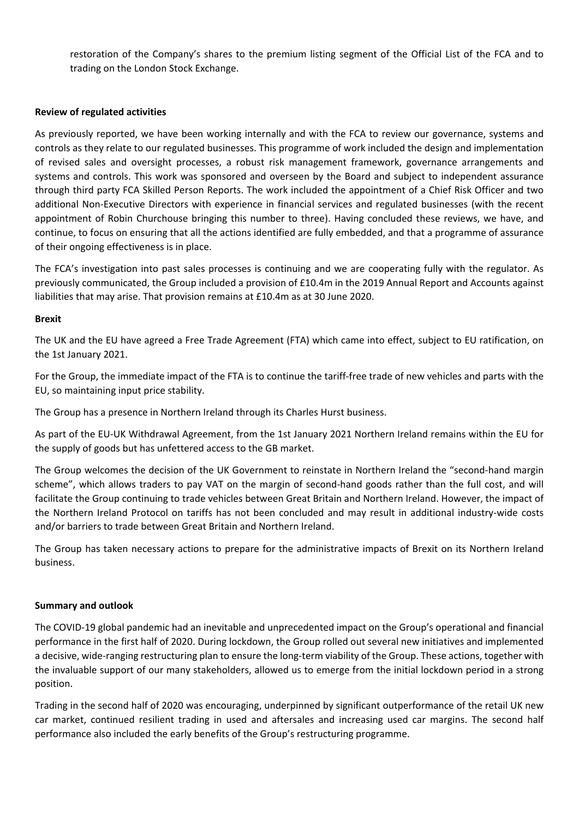restoration of the Company's shares to the premium listing segment of the Official List of the FCA and to trading on the London Stock Exchange.

# **Review of regulated activities**

As previously reported, we have been working internally and with the FCA to review our governance, systems and controls as they relate to our regulated businesses. This programme of work included the design and implementation of revised sales and oversight processes, a robust risk management framework, governance arrangements and systems and controls. This work was sponsored and overseen by the Board and subject to independent assurance through third party FCA Skilled Person Reports. The work included the appointment of a Chief Risk Officer and two additional Non‐Executive Directors with experience in financial services and regulated businesses (with the recent appointment of Robin Churchouse bringing this number to three). Having concluded these reviews, we have, and continue, to focus on ensuring that all the actions identified are fully embedded, and that a programme of assurance of their ongoing effectiveness is in place.

The FCA's investigation into past sales processes is continuing and we are cooperating fully with the regulator. As previously communicated, the Group included a provision of £10.4m in the 2019 Annual Report and Accounts against liabilities that may arise. That provision remains at £10.4m as at 30 June 2020.

### **Brexit**

The UK and the EU have agreed a Free Trade Agreement (FTA) which came into effect, subject to EU ratification, on the 1st January 2021.

For the Group, the immediate impact of the FTA is to continue the tariff-free trade of new vehicles and parts with the EU, so maintaining input price stability.

The Group has a presence in Northern Ireland through its Charles Hurst business.

As part of the EU‐UK Withdrawal Agreement, from the 1st January 2021 Northern Ireland remains within the EU for the supply of goods but has unfettered access to the GB market.

The Group welcomes the decision of the UK Government to reinstate in Northern Ireland the "second-hand margin scheme", which allows traders to pay VAT on the margin of second-hand goods rather than the full cost, and will facilitate the Group continuing to trade vehicles between Great Britain and Northern Ireland. However, the impact of the Northern Ireland Protocol on tariffs has not been concluded and may result in additional industry‐wide costs and/or barriers to trade between Great Britain and Northern Ireland.

The Group has taken necessary actions to prepare for the administrative impacts of Brexit on its Northern Ireland business.

#### **Summary and outlook**

The COVID‐19 global pandemic had an inevitable and unprecedented impact on the Group's operational and financial performance in the first half of 2020. During lockdown, the Group rolled out several new initiatives and implemented a decisive, wide-ranging restructuring plan to ensure the long-term viability of the Group. These actions, together with the invaluable support of our many stakeholders, allowed us to emerge from the initial lockdown period in a strong position.

Trading in the second half of 2020 was encouraging, underpinned by significant outperformance of the retail UK new car market, continued resilient trading in used and aftersales and increasing used car margins. The second half performance also included the early benefits of the Group's restructuring programme.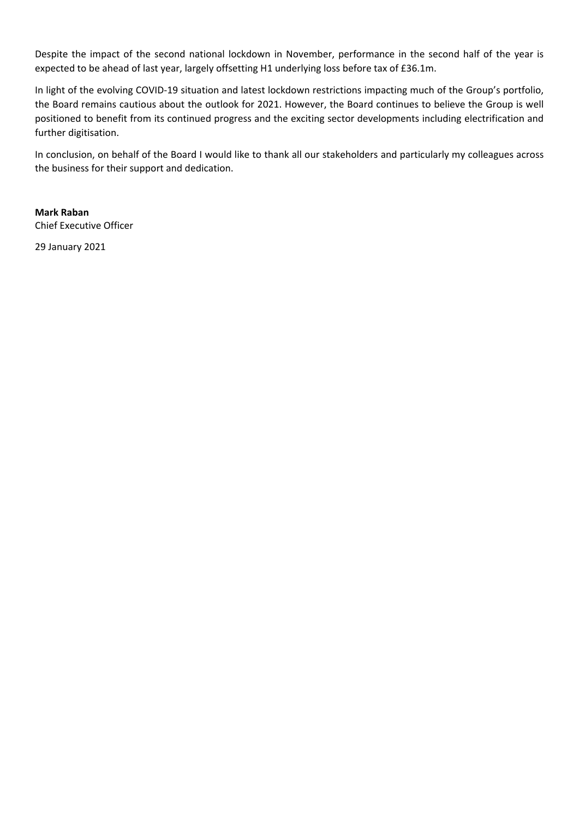Despite the impact of the second national lockdown in November, performance in the second half of the year is expected to be ahead of last year, largely offsetting H1 underlying loss before tax of £36.1m.

In light of the evolving COVID‐19 situation and latest lockdown restrictions impacting much of the Group's portfolio, the Board remains cautious about the outlook for 2021. However, the Board continues to believe the Group is well positioned to benefit from its continued progress and the exciting sector developments including electrification and further digitisation.

In conclusion, on behalf of the Board I would like to thank all our stakeholders and particularly my colleagues across the business for their support and dedication.

# **Mark Raban** Chief Executive Officer

29 January 2021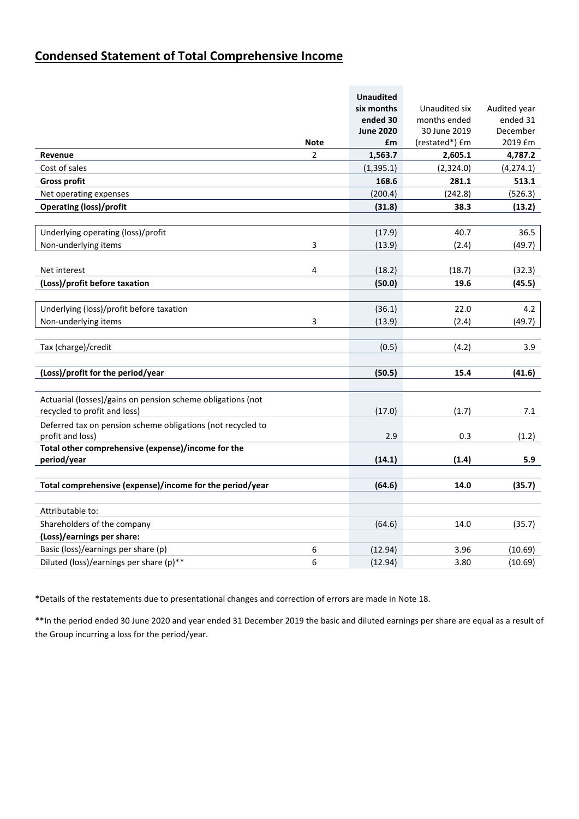# **Condensed Statement of Total Comprehensive Income**

|                                                             |                | <b>Unaudited</b> |                |              |
|-------------------------------------------------------------|----------------|------------------|----------------|--------------|
|                                                             |                | six months       | Unaudited six  | Audited year |
|                                                             |                | ended 30         | months ended   | ended 31     |
|                                                             |                | <b>June 2020</b> | 30 June 2019   | December     |
|                                                             | <b>Note</b>    | £m               | (restated*) £m | 2019 £m      |
| Revenue                                                     | $\overline{2}$ | 1,563.7          | 2,605.1        | 4,787.2      |
| Cost of sales                                               |                | (1, 395.1)       | (2,324.0)      | (4, 274.1)   |
| <b>Gross profit</b>                                         |                | 168.6            | 281.1          | 513.1        |
| Net operating expenses                                      |                | (200.4)          | (242.8)        | (526.3)      |
| <b>Operating (loss)/profit</b>                              |                | (31.8)           | 38.3           | (13.2)       |
|                                                             |                |                  |                |              |
| Underlying operating (loss)/profit                          |                | (17.9)           | 40.7           | 36.5         |
| Non-underlying items                                        | 3              | (13.9)           | (2.4)          | (49.7)       |
|                                                             |                |                  |                |              |
| Net interest                                                | 4              | (18.2)           | (18.7)         | (32.3)       |
| (Loss)/profit before taxation                               |                | (50.0)           | 19.6           | (45.5)       |
|                                                             |                |                  |                |              |
| Underlying (loss)/profit before taxation                    |                | (36.1)           | 22.0           | 4.2          |
| Non-underlying items                                        | 3              | (13.9)           | (2.4)          | (49.7)       |
|                                                             |                |                  |                |              |
| Tax (charge)/credit                                         |                | (0.5)            | (4.2)          | 3.9          |
|                                                             |                |                  |                |              |
| (Loss)/profit for the period/year                           |                | (50.5)           | 15.4           | (41.6)       |
|                                                             |                |                  |                |              |
| Actuarial (losses)/gains on pension scheme obligations (not |                |                  |                |              |
| recycled to profit and loss)                                |                | (17.0)           | (1.7)          | 7.1          |
| Deferred tax on pension scheme obligations (not recycled to |                |                  |                |              |
| profit and loss)                                            |                | 2.9              | 0.3            | (1.2)        |
| Total other comprehensive (expense)/income for the          |                |                  |                |              |
| period/year                                                 |                | (14.1)           | (1.4)          | 5.9          |
|                                                             |                |                  |                |              |
| Total comprehensive (expense)/income for the period/year    |                | (64.6)           | 14.0           | (35.7)       |
|                                                             |                |                  |                |              |
| Attributable to:                                            |                |                  |                |              |
| Shareholders of the company                                 |                | (64.6)           | 14.0           | (35.7)       |
| (Loss)/earnings per share:                                  |                |                  |                |              |
| Basic (loss)/earnings per share (p)                         | 6              | (12.94)          | 3.96           | (10.69)      |
| Diluted (loss)/earnings per share (p)**                     | 6              | (12.94)          | 3.80           | (10.69)      |

\*Details of the restatements due to presentational changes and correction of errors are made in Note 18.

\*\*In the period ended 30 June 2020 and year ended 31 December 2019 the basic and diluted earnings per share are equal as a result of the Group incurring a loss for the period/year.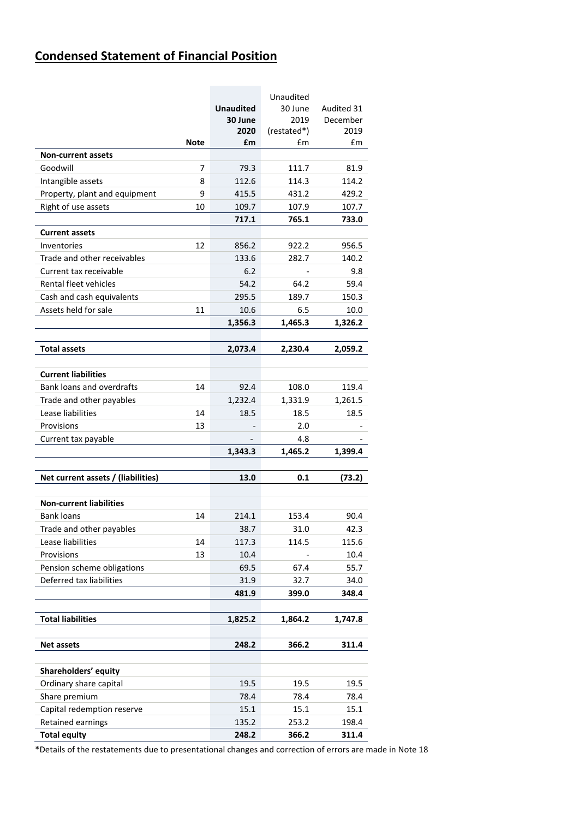# **Condensed Statement of Financial Position**

|                                    |      |                  | Unaudited   |            |
|------------------------------------|------|------------------|-------------|------------|
|                                    |      | <b>Unaudited</b> | 30 June     | Audited 31 |
|                                    |      | 30 June          | 2019        | December   |
|                                    |      | 2020             | (restated*) | 2019       |
|                                    | Note | £m               | £m          | £m         |
| <b>Non-current assets</b>          |      |                  |             |            |
| Goodwill                           | 7    | 79.3             | 111.7       | 81.9       |
| Intangible assets                  | 8    | 112.6            | 114.3       | 114.2      |
| Property, plant and equipment      | 9    | 415.5            | 431.2       | 429.2      |
| Right of use assets                | 10   | 109.7            | 107.9       | 107.7      |
|                                    |      | 717.1            | 765.1       | 733.0      |
| <b>Current assets</b>              |      |                  |             |            |
| Inventories                        | 12   | 856.2            | 922.2       | 956.5      |
| Trade and other receivables        |      | 133.6            | 282.7       | 140.2      |
| Current tax receivable             |      | 6.2              |             | 9.8        |
| Rental fleet vehicles              |      | 54.2             | 64.2        | 59.4       |
| Cash and cash equivalents          |      | 295.5            | 189.7       | 150.3      |
| Assets held for sale               | 11   | 10.6             | 6.5         | 10.0       |
|                                    |      | 1,356.3          | 1,465.3     | 1,326.2    |
| <b>Total assets</b>                |      | 2,073.4          | 2,230.4     | 2,059.2    |
|                                    |      |                  |             |            |
| <b>Current liabilities</b>         |      |                  |             |            |
| <b>Bank loans and overdrafts</b>   | 14   | 92.4             | 108.0       | 119.4      |
| Trade and other payables           |      | 1,232.4          | 1,331.9     | 1,261.5    |
| Lease liabilities                  | 14   | 18.5             | 18.5        | 18.5       |
| Provisions                         | 13   |                  | 2.0         |            |
| Current tax payable                |      |                  | 4.8         |            |
|                                    |      | 1,343.3          | 1,465.2     | 1,399.4    |
|                                    |      |                  |             |            |
| Net current assets / (liabilities) |      | 13.0             | 0.1         | (73.2)     |
| <b>Non-current liabilities</b>     |      |                  |             |            |
| <b>Bank loans</b>                  | 14   | 214.1            | 153.4       | 90.4       |
| Trade and other payables           |      | 38.7             | 31.0        | 42.3       |
| Lease liabilities                  | 14   | 117.3            | 114.5       | 115.6      |
| Provisions                         | 13   | 10.4             |             | 10.4       |
| Pension scheme obligations         |      | 69.5             | 67.4        | 55.7       |
| Deferred tax liabilities           |      |                  |             |            |
|                                    |      | 31.9             | 32.7        | 34.0       |
|                                    |      | 481.9            | 399.0       | 348.4      |
| <b>Total liabilities</b>           |      | 1,825.2          | 1,864.2     | 1,747.8    |
| <b>Net assets</b>                  |      | 248.2            | 366.2       | 311.4      |
|                                    |      |                  |             |            |
| Shareholders' equity               |      |                  |             |            |
| Ordinary share capital             |      | 19.5             | 19.5        | 19.5       |
| Share premium                      |      | 78.4             | 78.4        | 78.4       |
| Capital redemption reserve         |      | 15.1             | 15.1        | 15.1       |
| Retained earnings                  |      | 135.2            | 253.2       | 198.4      |
| <b>Total equity</b>                |      | 248.2            | 366.2       | 311.4      |

\*Details of the restatements due to presentational changes and correction of errors are made in Note 18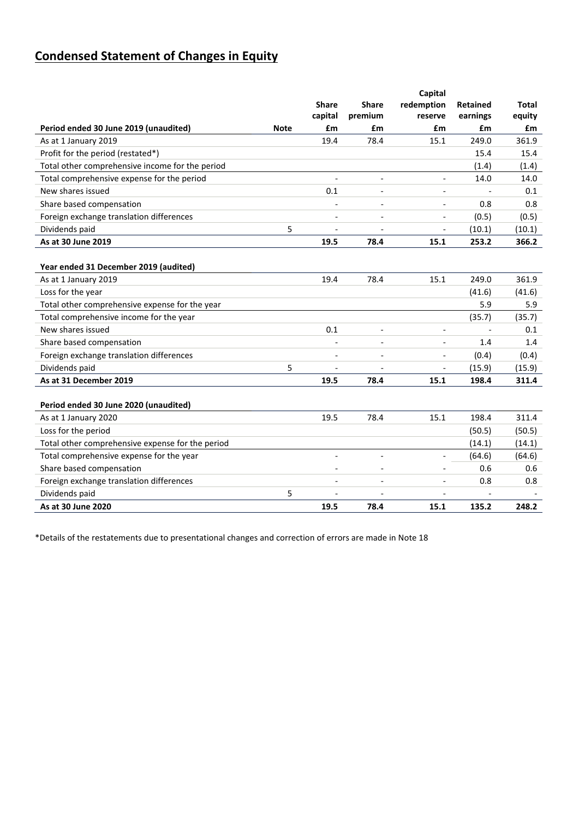# **Condensed Statement of Changes in Equity**

|                                                  |             |                          |                          | Capital                      |                          |              |
|--------------------------------------------------|-------------|--------------------------|--------------------------|------------------------------|--------------------------|--------------|
|                                                  |             | <b>Share</b>             | <b>Share</b>             | redemption                   | <b>Retained</b>          | <b>Total</b> |
|                                                  |             | capital                  | premium                  | reserve                      | earnings                 | equity       |
| Period ended 30 June 2019 (unaudited)            | <b>Note</b> | £m                       | £m                       | £m                           | £m                       | £m           |
| As at 1 January 2019                             |             | 19.4                     | 78.4                     | 15.1                         | 249.0                    | 361.9        |
| Profit for the period (restated*)                |             |                          |                          |                              | 15.4                     | 15.4         |
| Total other comprehensive income for the period  |             |                          |                          |                              | (1.4)                    | (1.4)        |
| Total comprehensive expense for the period       |             |                          | $\overline{a}$           | $\overline{\phantom{a}}$     | 14.0                     | 14.0         |
| New shares issued                                |             | 0.1                      | $\overline{\phantom{a}}$ | $\overline{\phantom{a}}$     |                          | 0.1          |
| Share based compensation                         |             |                          |                          | $\overline{\phantom{m}}$     | 0.8                      | 0.8          |
| Foreign exchange translation differences         |             |                          |                          |                              | (0.5)                    | (0.5)        |
| Dividends paid                                   | 5           | $\overline{a}$           | $\overline{a}$           | $\overline{\phantom{a}}$     | (10.1)                   | (10.1)       |
| As at 30 June 2019                               |             | 19.5                     | 78.4                     | 15.1                         | 253.2                    | 366.2        |
|                                                  |             |                          |                          |                              |                          |              |
| Year ended 31 December 2019 (audited)            |             |                          |                          |                              |                          |              |
| As at 1 January 2019                             |             | 19.4                     | 78.4                     | 15.1                         | 249.0                    | 361.9        |
| Loss for the year                                |             |                          |                          |                              | (41.6)                   | (41.6)       |
| Total other comprehensive expense for the year   |             |                          |                          |                              | 5.9                      | 5.9          |
| Total comprehensive income for the year          |             |                          |                          |                              | (35.7)                   | (35.7)       |
| New shares issued                                |             | 0.1                      | $\overline{a}$           | $\overline{a}$               |                          | 0.1          |
| Share based compensation                         |             |                          |                          | $\overline{\phantom{a}}$     | 1.4                      | 1.4          |
| Foreign exchange translation differences         |             |                          |                          |                              | (0.4)                    | (0.4)        |
| Dividends paid                                   | 5           |                          | $\overline{\phantom{a}}$ | $\qquad \qquad \blacksquare$ | (15.9)                   | (15.9)       |
| As at 31 December 2019                           |             | 19.5                     | 78.4                     | 15.1                         | 198.4                    | 311.4        |
|                                                  |             |                          |                          |                              |                          |              |
| Period ended 30 June 2020 (unaudited)            |             |                          |                          |                              |                          |              |
| As at 1 January 2020                             |             | 19.5                     | 78.4                     | 15.1                         | 198.4                    | 311.4        |
| Loss for the period                              |             |                          |                          |                              | (50.5)                   | (50.5)       |
| Total other comprehensive expense for the period |             |                          |                          |                              | (14.1)                   | (14.1)       |
| Total comprehensive expense for the year         |             |                          | $\overline{a}$           | $\overline{a}$               | (64.6)                   | (64.6)       |
| Share based compensation                         |             | $\overline{\phantom{a}}$ | $\overline{a}$           |                              | 0.6                      | 0.6          |
| Foreign exchange translation differences         |             |                          |                          |                              | 0.8                      | 0.8          |
| Dividends paid                                   | 5           |                          | $\overline{\phantom{a}}$ | $\overline{\phantom{a}}$     | $\overline{\phantom{a}}$ |              |
| As at 30 June 2020                               |             | 19.5                     | 78.4                     | 15.1                         | 135.2                    | 248.2        |

\*Details of the restatements due to presentational changes and correction of errors are made in Note 18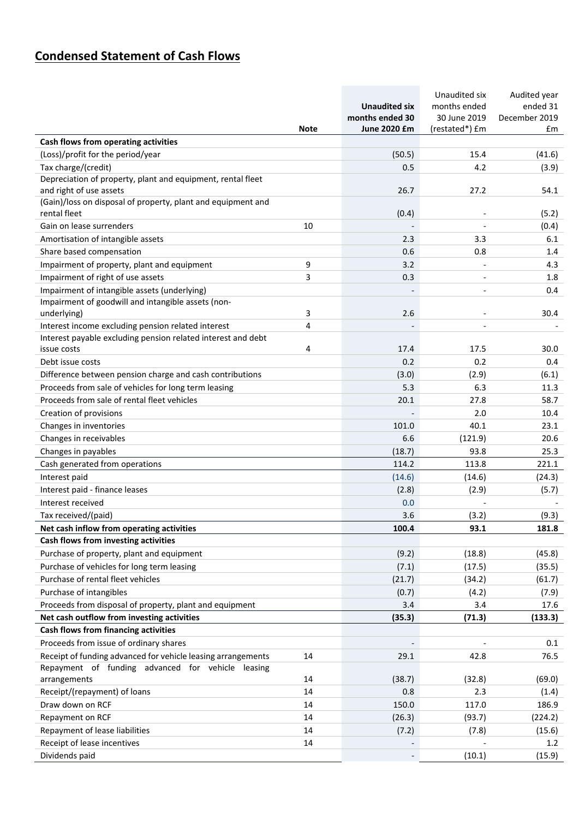# **Condensed Statement of Cash Flows**

| June 2020 £m<br>(restated*) £m<br><b>Note</b><br>£m<br>Cash flows from operating activities<br>(Loss)/profit for the period/year<br>(50.5)<br>15.4<br>(41.6)<br>Tax charge/(credit)<br>0.5<br>4.2<br>(3.9)<br>Depreciation of property, plant and equipment, rental fleet<br>and right of use assets<br>26.7<br>27.2<br>54.1<br>(Gain)/loss on disposal of property, plant and equipment and<br>rental fleet<br>(0.4)<br>(5.2)<br>Gain on lease surrenders<br>10<br>(0.4)<br>Amortisation of intangible assets<br>2.3<br>3.3<br>6.1<br>0.6<br>0.8<br>Share based compensation<br>1.4<br>9<br>3.2<br>Impairment of property, plant and equipment<br>4.3<br>Impairment of right of use assets<br>3<br>0.3<br>1.8<br>Impairment of intangible assets (underlying)<br>0.4<br>Impairment of goodwill and intangible assets (non-<br>3<br>underlying)<br>2.6<br>30.4<br>$\overline{4}$<br>Interest income excluding pension related interest<br>Interest payable excluding pension related interest and debt<br>4<br>17.4<br>17.5<br>30.0<br>issue costs<br>0.2<br>0.2<br>Debt issue costs<br>0.4<br>Difference between pension charge and cash contributions<br>(3.0)<br>(2.9)<br>(6.1)<br>6.3<br>Proceeds from sale of vehicles for long term leasing<br>5.3<br>11.3<br>Proceeds from sale of rental fleet vehicles<br>20.1<br>27.8<br>58.7<br>Creation of provisions<br>2.0<br>10.4<br>Changes in inventories<br>101.0<br>40.1<br>23.1<br>6.6<br>Changes in receivables<br>(121.9)<br>20.6<br>Changes in payables<br>(18.7)<br>93.8<br>25.3<br>Cash generated from operations<br>114.2<br>113.8<br>221.1<br>Interest paid<br>(14.6)<br>(14.6)<br>(24.3)<br>Interest paid - finance leases<br>(2.8)<br>(2.9)<br>(5.7)<br>Interest received<br>0.0<br>Tax received/(paid)<br>3.6<br>(3.2)<br>(9.3)<br>Net cash inflow from operating activities<br>100.4<br>93.1<br>181.8<br>Cash flows from investing activities<br>(45.8)<br>Purchase of property, plant and equipment<br>(9.2)<br>(18.8)<br>Purchase of vehicles for long term leasing<br>(7.1)<br>(17.5)<br>(35.5)<br>Purchase of rental fleet vehicles<br>(21.7)<br>(34.2)<br>(61.7)<br>Purchase of intangibles<br>(0.7)<br>(4.2)<br>(7.9)<br>Proceeds from disposal of property, plant and equipment<br>3.4<br>3.4<br>17.6<br>Net cash outflow from investing activities<br>(133.3)<br>(35.3)<br>(71.3)<br>Cash flows from financing activities<br>Proceeds from issue of ordinary shares<br>0.1<br>Receipt of funding advanced for vehicle leasing arrangements<br>14<br>29.1<br>42.8<br>76.5<br>Repayment of funding advanced for vehicle leasing<br>14<br>(38.7)<br>(32.8)<br>(69.0)<br>arrangements<br>Receipt/(repayment) of loans<br>14<br>0.8<br>2.3<br>(1.4)<br>150.0<br>Draw down on RCF<br>14<br>117.0<br>186.9<br>Repayment on RCF<br>14<br>(26.3)<br>(93.7)<br>(224.2)<br>14<br>Repayment of lease liabilities<br>(7.2)<br>(7.8)<br>(15.6)<br>Receipt of lease incentives<br>14<br>1.2<br>Dividends paid<br>(10.1)<br>(15.9) |  | <b>Unaudited six</b><br>months ended 30 | Unaudited six<br>months ended<br>30 June 2019 | Audited year<br>ended 31<br>December 2019 |
|-------------------------------------------------------------------------------------------------------------------------------------------------------------------------------------------------------------------------------------------------------------------------------------------------------------------------------------------------------------------------------------------------------------------------------------------------------------------------------------------------------------------------------------------------------------------------------------------------------------------------------------------------------------------------------------------------------------------------------------------------------------------------------------------------------------------------------------------------------------------------------------------------------------------------------------------------------------------------------------------------------------------------------------------------------------------------------------------------------------------------------------------------------------------------------------------------------------------------------------------------------------------------------------------------------------------------------------------------------------------------------------------------------------------------------------------------------------------------------------------------------------------------------------------------------------------------------------------------------------------------------------------------------------------------------------------------------------------------------------------------------------------------------------------------------------------------------------------------------------------------------------------------------------------------------------------------------------------------------------------------------------------------------------------------------------------------------------------------------------------------------------------------------------------------------------------------------------------------------------------------------------------------------------------------------------------------------------------------------------------------------------------------------------------------------------------------------------------------------------------------------------------------------------------------------------------------------------------------------------------------------------------------------------------------------------------------------------------------------------------------------------------------------------------------------------------------------------------------------------------------------------------------------------------------------------------------------------------------------------------|--|-----------------------------------------|-----------------------------------------------|-------------------------------------------|
|                                                                                                                                                                                                                                                                                                                                                                                                                                                                                                                                                                                                                                                                                                                                                                                                                                                                                                                                                                                                                                                                                                                                                                                                                                                                                                                                                                                                                                                                                                                                                                                                                                                                                                                                                                                                                                                                                                                                                                                                                                                                                                                                                                                                                                                                                                                                                                                                                                                                                                                                                                                                                                                                                                                                                                                                                                                                                                                                                                                           |  |                                         |                                               |                                           |
|                                                                                                                                                                                                                                                                                                                                                                                                                                                                                                                                                                                                                                                                                                                                                                                                                                                                                                                                                                                                                                                                                                                                                                                                                                                                                                                                                                                                                                                                                                                                                                                                                                                                                                                                                                                                                                                                                                                                                                                                                                                                                                                                                                                                                                                                                                                                                                                                                                                                                                                                                                                                                                                                                                                                                                                                                                                                                                                                                                                           |  |                                         |                                               |                                           |
|                                                                                                                                                                                                                                                                                                                                                                                                                                                                                                                                                                                                                                                                                                                                                                                                                                                                                                                                                                                                                                                                                                                                                                                                                                                                                                                                                                                                                                                                                                                                                                                                                                                                                                                                                                                                                                                                                                                                                                                                                                                                                                                                                                                                                                                                                                                                                                                                                                                                                                                                                                                                                                                                                                                                                                                                                                                                                                                                                                                           |  |                                         |                                               |                                           |
|                                                                                                                                                                                                                                                                                                                                                                                                                                                                                                                                                                                                                                                                                                                                                                                                                                                                                                                                                                                                                                                                                                                                                                                                                                                                                                                                                                                                                                                                                                                                                                                                                                                                                                                                                                                                                                                                                                                                                                                                                                                                                                                                                                                                                                                                                                                                                                                                                                                                                                                                                                                                                                                                                                                                                                                                                                                                                                                                                                                           |  |                                         |                                               |                                           |
|                                                                                                                                                                                                                                                                                                                                                                                                                                                                                                                                                                                                                                                                                                                                                                                                                                                                                                                                                                                                                                                                                                                                                                                                                                                                                                                                                                                                                                                                                                                                                                                                                                                                                                                                                                                                                                                                                                                                                                                                                                                                                                                                                                                                                                                                                                                                                                                                                                                                                                                                                                                                                                                                                                                                                                                                                                                                                                                                                                                           |  |                                         |                                               |                                           |
|                                                                                                                                                                                                                                                                                                                                                                                                                                                                                                                                                                                                                                                                                                                                                                                                                                                                                                                                                                                                                                                                                                                                                                                                                                                                                                                                                                                                                                                                                                                                                                                                                                                                                                                                                                                                                                                                                                                                                                                                                                                                                                                                                                                                                                                                                                                                                                                                                                                                                                                                                                                                                                                                                                                                                                                                                                                                                                                                                                                           |  |                                         |                                               |                                           |
|                                                                                                                                                                                                                                                                                                                                                                                                                                                                                                                                                                                                                                                                                                                                                                                                                                                                                                                                                                                                                                                                                                                                                                                                                                                                                                                                                                                                                                                                                                                                                                                                                                                                                                                                                                                                                                                                                                                                                                                                                                                                                                                                                                                                                                                                                                                                                                                                                                                                                                                                                                                                                                                                                                                                                                                                                                                                                                                                                                                           |  |                                         |                                               |                                           |
|                                                                                                                                                                                                                                                                                                                                                                                                                                                                                                                                                                                                                                                                                                                                                                                                                                                                                                                                                                                                                                                                                                                                                                                                                                                                                                                                                                                                                                                                                                                                                                                                                                                                                                                                                                                                                                                                                                                                                                                                                                                                                                                                                                                                                                                                                                                                                                                                                                                                                                                                                                                                                                                                                                                                                                                                                                                                                                                                                                                           |  |                                         |                                               |                                           |
|                                                                                                                                                                                                                                                                                                                                                                                                                                                                                                                                                                                                                                                                                                                                                                                                                                                                                                                                                                                                                                                                                                                                                                                                                                                                                                                                                                                                                                                                                                                                                                                                                                                                                                                                                                                                                                                                                                                                                                                                                                                                                                                                                                                                                                                                                                                                                                                                                                                                                                                                                                                                                                                                                                                                                                                                                                                                                                                                                                                           |  |                                         |                                               |                                           |
|                                                                                                                                                                                                                                                                                                                                                                                                                                                                                                                                                                                                                                                                                                                                                                                                                                                                                                                                                                                                                                                                                                                                                                                                                                                                                                                                                                                                                                                                                                                                                                                                                                                                                                                                                                                                                                                                                                                                                                                                                                                                                                                                                                                                                                                                                                                                                                                                                                                                                                                                                                                                                                                                                                                                                                                                                                                                                                                                                                                           |  |                                         |                                               |                                           |
|                                                                                                                                                                                                                                                                                                                                                                                                                                                                                                                                                                                                                                                                                                                                                                                                                                                                                                                                                                                                                                                                                                                                                                                                                                                                                                                                                                                                                                                                                                                                                                                                                                                                                                                                                                                                                                                                                                                                                                                                                                                                                                                                                                                                                                                                                                                                                                                                                                                                                                                                                                                                                                                                                                                                                                                                                                                                                                                                                                                           |  |                                         |                                               |                                           |
|                                                                                                                                                                                                                                                                                                                                                                                                                                                                                                                                                                                                                                                                                                                                                                                                                                                                                                                                                                                                                                                                                                                                                                                                                                                                                                                                                                                                                                                                                                                                                                                                                                                                                                                                                                                                                                                                                                                                                                                                                                                                                                                                                                                                                                                                                                                                                                                                                                                                                                                                                                                                                                                                                                                                                                                                                                                                                                                                                                                           |  |                                         |                                               |                                           |
|                                                                                                                                                                                                                                                                                                                                                                                                                                                                                                                                                                                                                                                                                                                                                                                                                                                                                                                                                                                                                                                                                                                                                                                                                                                                                                                                                                                                                                                                                                                                                                                                                                                                                                                                                                                                                                                                                                                                                                                                                                                                                                                                                                                                                                                                                                                                                                                                                                                                                                                                                                                                                                                                                                                                                                                                                                                                                                                                                                                           |  |                                         |                                               |                                           |
|                                                                                                                                                                                                                                                                                                                                                                                                                                                                                                                                                                                                                                                                                                                                                                                                                                                                                                                                                                                                                                                                                                                                                                                                                                                                                                                                                                                                                                                                                                                                                                                                                                                                                                                                                                                                                                                                                                                                                                                                                                                                                                                                                                                                                                                                                                                                                                                                                                                                                                                                                                                                                                                                                                                                                                                                                                                                                                                                                                                           |  |                                         |                                               |                                           |
|                                                                                                                                                                                                                                                                                                                                                                                                                                                                                                                                                                                                                                                                                                                                                                                                                                                                                                                                                                                                                                                                                                                                                                                                                                                                                                                                                                                                                                                                                                                                                                                                                                                                                                                                                                                                                                                                                                                                                                                                                                                                                                                                                                                                                                                                                                                                                                                                                                                                                                                                                                                                                                                                                                                                                                                                                                                                                                                                                                                           |  |                                         |                                               |                                           |
|                                                                                                                                                                                                                                                                                                                                                                                                                                                                                                                                                                                                                                                                                                                                                                                                                                                                                                                                                                                                                                                                                                                                                                                                                                                                                                                                                                                                                                                                                                                                                                                                                                                                                                                                                                                                                                                                                                                                                                                                                                                                                                                                                                                                                                                                                                                                                                                                                                                                                                                                                                                                                                                                                                                                                                                                                                                                                                                                                                                           |  |                                         |                                               |                                           |
|                                                                                                                                                                                                                                                                                                                                                                                                                                                                                                                                                                                                                                                                                                                                                                                                                                                                                                                                                                                                                                                                                                                                                                                                                                                                                                                                                                                                                                                                                                                                                                                                                                                                                                                                                                                                                                                                                                                                                                                                                                                                                                                                                                                                                                                                                                                                                                                                                                                                                                                                                                                                                                                                                                                                                                                                                                                                                                                                                                                           |  |                                         |                                               |                                           |
|                                                                                                                                                                                                                                                                                                                                                                                                                                                                                                                                                                                                                                                                                                                                                                                                                                                                                                                                                                                                                                                                                                                                                                                                                                                                                                                                                                                                                                                                                                                                                                                                                                                                                                                                                                                                                                                                                                                                                                                                                                                                                                                                                                                                                                                                                                                                                                                                                                                                                                                                                                                                                                                                                                                                                                                                                                                                                                                                                                                           |  |                                         |                                               |                                           |
|                                                                                                                                                                                                                                                                                                                                                                                                                                                                                                                                                                                                                                                                                                                                                                                                                                                                                                                                                                                                                                                                                                                                                                                                                                                                                                                                                                                                                                                                                                                                                                                                                                                                                                                                                                                                                                                                                                                                                                                                                                                                                                                                                                                                                                                                                                                                                                                                                                                                                                                                                                                                                                                                                                                                                                                                                                                                                                                                                                                           |  |                                         |                                               |                                           |
|                                                                                                                                                                                                                                                                                                                                                                                                                                                                                                                                                                                                                                                                                                                                                                                                                                                                                                                                                                                                                                                                                                                                                                                                                                                                                                                                                                                                                                                                                                                                                                                                                                                                                                                                                                                                                                                                                                                                                                                                                                                                                                                                                                                                                                                                                                                                                                                                                                                                                                                                                                                                                                                                                                                                                                                                                                                                                                                                                                                           |  |                                         |                                               |                                           |
|                                                                                                                                                                                                                                                                                                                                                                                                                                                                                                                                                                                                                                                                                                                                                                                                                                                                                                                                                                                                                                                                                                                                                                                                                                                                                                                                                                                                                                                                                                                                                                                                                                                                                                                                                                                                                                                                                                                                                                                                                                                                                                                                                                                                                                                                                                                                                                                                                                                                                                                                                                                                                                                                                                                                                                                                                                                                                                                                                                                           |  |                                         |                                               |                                           |
|                                                                                                                                                                                                                                                                                                                                                                                                                                                                                                                                                                                                                                                                                                                                                                                                                                                                                                                                                                                                                                                                                                                                                                                                                                                                                                                                                                                                                                                                                                                                                                                                                                                                                                                                                                                                                                                                                                                                                                                                                                                                                                                                                                                                                                                                                                                                                                                                                                                                                                                                                                                                                                                                                                                                                                                                                                                                                                                                                                                           |  |                                         |                                               |                                           |
|                                                                                                                                                                                                                                                                                                                                                                                                                                                                                                                                                                                                                                                                                                                                                                                                                                                                                                                                                                                                                                                                                                                                                                                                                                                                                                                                                                                                                                                                                                                                                                                                                                                                                                                                                                                                                                                                                                                                                                                                                                                                                                                                                                                                                                                                                                                                                                                                                                                                                                                                                                                                                                                                                                                                                                                                                                                                                                                                                                                           |  |                                         |                                               |                                           |
|                                                                                                                                                                                                                                                                                                                                                                                                                                                                                                                                                                                                                                                                                                                                                                                                                                                                                                                                                                                                                                                                                                                                                                                                                                                                                                                                                                                                                                                                                                                                                                                                                                                                                                                                                                                                                                                                                                                                                                                                                                                                                                                                                                                                                                                                                                                                                                                                                                                                                                                                                                                                                                                                                                                                                                                                                                                                                                                                                                                           |  |                                         |                                               |                                           |
|                                                                                                                                                                                                                                                                                                                                                                                                                                                                                                                                                                                                                                                                                                                                                                                                                                                                                                                                                                                                                                                                                                                                                                                                                                                                                                                                                                                                                                                                                                                                                                                                                                                                                                                                                                                                                                                                                                                                                                                                                                                                                                                                                                                                                                                                                                                                                                                                                                                                                                                                                                                                                                                                                                                                                                                                                                                                                                                                                                                           |  |                                         |                                               |                                           |
|                                                                                                                                                                                                                                                                                                                                                                                                                                                                                                                                                                                                                                                                                                                                                                                                                                                                                                                                                                                                                                                                                                                                                                                                                                                                                                                                                                                                                                                                                                                                                                                                                                                                                                                                                                                                                                                                                                                                                                                                                                                                                                                                                                                                                                                                                                                                                                                                                                                                                                                                                                                                                                                                                                                                                                                                                                                                                                                                                                                           |  |                                         |                                               |                                           |
|                                                                                                                                                                                                                                                                                                                                                                                                                                                                                                                                                                                                                                                                                                                                                                                                                                                                                                                                                                                                                                                                                                                                                                                                                                                                                                                                                                                                                                                                                                                                                                                                                                                                                                                                                                                                                                                                                                                                                                                                                                                                                                                                                                                                                                                                                                                                                                                                                                                                                                                                                                                                                                                                                                                                                                                                                                                                                                                                                                                           |  |                                         |                                               |                                           |
|                                                                                                                                                                                                                                                                                                                                                                                                                                                                                                                                                                                                                                                                                                                                                                                                                                                                                                                                                                                                                                                                                                                                                                                                                                                                                                                                                                                                                                                                                                                                                                                                                                                                                                                                                                                                                                                                                                                                                                                                                                                                                                                                                                                                                                                                                                                                                                                                                                                                                                                                                                                                                                                                                                                                                                                                                                                                                                                                                                                           |  |                                         |                                               |                                           |
|                                                                                                                                                                                                                                                                                                                                                                                                                                                                                                                                                                                                                                                                                                                                                                                                                                                                                                                                                                                                                                                                                                                                                                                                                                                                                                                                                                                                                                                                                                                                                                                                                                                                                                                                                                                                                                                                                                                                                                                                                                                                                                                                                                                                                                                                                                                                                                                                                                                                                                                                                                                                                                                                                                                                                                                                                                                                                                                                                                                           |  |                                         |                                               |                                           |
|                                                                                                                                                                                                                                                                                                                                                                                                                                                                                                                                                                                                                                                                                                                                                                                                                                                                                                                                                                                                                                                                                                                                                                                                                                                                                                                                                                                                                                                                                                                                                                                                                                                                                                                                                                                                                                                                                                                                                                                                                                                                                                                                                                                                                                                                                                                                                                                                                                                                                                                                                                                                                                                                                                                                                                                                                                                                                                                                                                                           |  |                                         |                                               |                                           |
|                                                                                                                                                                                                                                                                                                                                                                                                                                                                                                                                                                                                                                                                                                                                                                                                                                                                                                                                                                                                                                                                                                                                                                                                                                                                                                                                                                                                                                                                                                                                                                                                                                                                                                                                                                                                                                                                                                                                                                                                                                                                                                                                                                                                                                                                                                                                                                                                                                                                                                                                                                                                                                                                                                                                                                                                                                                                                                                                                                                           |  |                                         |                                               |                                           |
|                                                                                                                                                                                                                                                                                                                                                                                                                                                                                                                                                                                                                                                                                                                                                                                                                                                                                                                                                                                                                                                                                                                                                                                                                                                                                                                                                                                                                                                                                                                                                                                                                                                                                                                                                                                                                                                                                                                                                                                                                                                                                                                                                                                                                                                                                                                                                                                                                                                                                                                                                                                                                                                                                                                                                                                                                                                                                                                                                                                           |  |                                         |                                               |                                           |
|                                                                                                                                                                                                                                                                                                                                                                                                                                                                                                                                                                                                                                                                                                                                                                                                                                                                                                                                                                                                                                                                                                                                                                                                                                                                                                                                                                                                                                                                                                                                                                                                                                                                                                                                                                                                                                                                                                                                                                                                                                                                                                                                                                                                                                                                                                                                                                                                                                                                                                                                                                                                                                                                                                                                                                                                                                                                                                                                                                                           |  |                                         |                                               |                                           |
|                                                                                                                                                                                                                                                                                                                                                                                                                                                                                                                                                                                                                                                                                                                                                                                                                                                                                                                                                                                                                                                                                                                                                                                                                                                                                                                                                                                                                                                                                                                                                                                                                                                                                                                                                                                                                                                                                                                                                                                                                                                                                                                                                                                                                                                                                                                                                                                                                                                                                                                                                                                                                                                                                                                                                                                                                                                                                                                                                                                           |  |                                         |                                               |                                           |
|                                                                                                                                                                                                                                                                                                                                                                                                                                                                                                                                                                                                                                                                                                                                                                                                                                                                                                                                                                                                                                                                                                                                                                                                                                                                                                                                                                                                                                                                                                                                                                                                                                                                                                                                                                                                                                                                                                                                                                                                                                                                                                                                                                                                                                                                                                                                                                                                                                                                                                                                                                                                                                                                                                                                                                                                                                                                                                                                                                                           |  |                                         |                                               |                                           |
|                                                                                                                                                                                                                                                                                                                                                                                                                                                                                                                                                                                                                                                                                                                                                                                                                                                                                                                                                                                                                                                                                                                                                                                                                                                                                                                                                                                                                                                                                                                                                                                                                                                                                                                                                                                                                                                                                                                                                                                                                                                                                                                                                                                                                                                                                                                                                                                                                                                                                                                                                                                                                                                                                                                                                                                                                                                                                                                                                                                           |  |                                         |                                               |                                           |
|                                                                                                                                                                                                                                                                                                                                                                                                                                                                                                                                                                                                                                                                                                                                                                                                                                                                                                                                                                                                                                                                                                                                                                                                                                                                                                                                                                                                                                                                                                                                                                                                                                                                                                                                                                                                                                                                                                                                                                                                                                                                                                                                                                                                                                                                                                                                                                                                                                                                                                                                                                                                                                                                                                                                                                                                                                                                                                                                                                                           |  |                                         |                                               |                                           |
|                                                                                                                                                                                                                                                                                                                                                                                                                                                                                                                                                                                                                                                                                                                                                                                                                                                                                                                                                                                                                                                                                                                                                                                                                                                                                                                                                                                                                                                                                                                                                                                                                                                                                                                                                                                                                                                                                                                                                                                                                                                                                                                                                                                                                                                                                                                                                                                                                                                                                                                                                                                                                                                                                                                                                                                                                                                                                                                                                                                           |  |                                         |                                               |                                           |
|                                                                                                                                                                                                                                                                                                                                                                                                                                                                                                                                                                                                                                                                                                                                                                                                                                                                                                                                                                                                                                                                                                                                                                                                                                                                                                                                                                                                                                                                                                                                                                                                                                                                                                                                                                                                                                                                                                                                                                                                                                                                                                                                                                                                                                                                                                                                                                                                                                                                                                                                                                                                                                                                                                                                                                                                                                                                                                                                                                                           |  |                                         |                                               |                                           |
|                                                                                                                                                                                                                                                                                                                                                                                                                                                                                                                                                                                                                                                                                                                                                                                                                                                                                                                                                                                                                                                                                                                                                                                                                                                                                                                                                                                                                                                                                                                                                                                                                                                                                                                                                                                                                                                                                                                                                                                                                                                                                                                                                                                                                                                                                                                                                                                                                                                                                                                                                                                                                                                                                                                                                                                                                                                                                                                                                                                           |  |                                         |                                               |                                           |
|                                                                                                                                                                                                                                                                                                                                                                                                                                                                                                                                                                                                                                                                                                                                                                                                                                                                                                                                                                                                                                                                                                                                                                                                                                                                                                                                                                                                                                                                                                                                                                                                                                                                                                                                                                                                                                                                                                                                                                                                                                                                                                                                                                                                                                                                                                                                                                                                                                                                                                                                                                                                                                                                                                                                                                                                                                                                                                                                                                                           |  |                                         |                                               |                                           |
|                                                                                                                                                                                                                                                                                                                                                                                                                                                                                                                                                                                                                                                                                                                                                                                                                                                                                                                                                                                                                                                                                                                                                                                                                                                                                                                                                                                                                                                                                                                                                                                                                                                                                                                                                                                                                                                                                                                                                                                                                                                                                                                                                                                                                                                                                                                                                                                                                                                                                                                                                                                                                                                                                                                                                                                                                                                                                                                                                                                           |  |                                         |                                               |                                           |
|                                                                                                                                                                                                                                                                                                                                                                                                                                                                                                                                                                                                                                                                                                                                                                                                                                                                                                                                                                                                                                                                                                                                                                                                                                                                                                                                                                                                                                                                                                                                                                                                                                                                                                                                                                                                                                                                                                                                                                                                                                                                                                                                                                                                                                                                                                                                                                                                                                                                                                                                                                                                                                                                                                                                                                                                                                                                                                                                                                                           |  |                                         |                                               |                                           |
|                                                                                                                                                                                                                                                                                                                                                                                                                                                                                                                                                                                                                                                                                                                                                                                                                                                                                                                                                                                                                                                                                                                                                                                                                                                                                                                                                                                                                                                                                                                                                                                                                                                                                                                                                                                                                                                                                                                                                                                                                                                                                                                                                                                                                                                                                                                                                                                                                                                                                                                                                                                                                                                                                                                                                                                                                                                                                                                                                                                           |  |                                         |                                               |                                           |
|                                                                                                                                                                                                                                                                                                                                                                                                                                                                                                                                                                                                                                                                                                                                                                                                                                                                                                                                                                                                                                                                                                                                                                                                                                                                                                                                                                                                                                                                                                                                                                                                                                                                                                                                                                                                                                                                                                                                                                                                                                                                                                                                                                                                                                                                                                                                                                                                                                                                                                                                                                                                                                                                                                                                                                                                                                                                                                                                                                                           |  |                                         |                                               |                                           |
|                                                                                                                                                                                                                                                                                                                                                                                                                                                                                                                                                                                                                                                                                                                                                                                                                                                                                                                                                                                                                                                                                                                                                                                                                                                                                                                                                                                                                                                                                                                                                                                                                                                                                                                                                                                                                                                                                                                                                                                                                                                                                                                                                                                                                                                                                                                                                                                                                                                                                                                                                                                                                                                                                                                                                                                                                                                                                                                                                                                           |  |                                         |                                               |                                           |
|                                                                                                                                                                                                                                                                                                                                                                                                                                                                                                                                                                                                                                                                                                                                                                                                                                                                                                                                                                                                                                                                                                                                                                                                                                                                                                                                                                                                                                                                                                                                                                                                                                                                                                                                                                                                                                                                                                                                                                                                                                                                                                                                                                                                                                                                                                                                                                                                                                                                                                                                                                                                                                                                                                                                                                                                                                                                                                                                                                                           |  |                                         |                                               |                                           |
|                                                                                                                                                                                                                                                                                                                                                                                                                                                                                                                                                                                                                                                                                                                                                                                                                                                                                                                                                                                                                                                                                                                                                                                                                                                                                                                                                                                                                                                                                                                                                                                                                                                                                                                                                                                                                                                                                                                                                                                                                                                                                                                                                                                                                                                                                                                                                                                                                                                                                                                                                                                                                                                                                                                                                                                                                                                                                                                                                                                           |  |                                         |                                               |                                           |
|                                                                                                                                                                                                                                                                                                                                                                                                                                                                                                                                                                                                                                                                                                                                                                                                                                                                                                                                                                                                                                                                                                                                                                                                                                                                                                                                                                                                                                                                                                                                                                                                                                                                                                                                                                                                                                                                                                                                                                                                                                                                                                                                                                                                                                                                                                                                                                                                                                                                                                                                                                                                                                                                                                                                                                                                                                                                                                                                                                                           |  |                                         |                                               |                                           |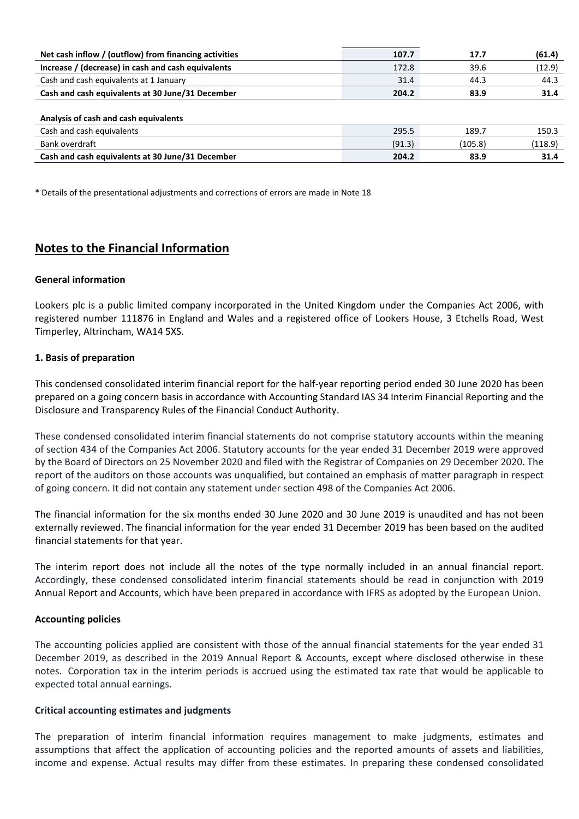| Net cash inflow / (outflow) from financing activities | 107.7  | 17.7    | (61.4)  |
|-------------------------------------------------------|--------|---------|---------|
| Increase / (decrease) in cash and cash equivalents    | 172.8  | 39.6    | (12.9)  |
| Cash and cash equivalents at 1 January                | 31.4   | 44.3    | 44.3    |
| Cash and cash equivalents at 30 June/31 December      | 204.2  | 83.9    | 31.4    |
| Analysis of cash and cash equivalents                 |        |         |         |
| Cash and cash equivalents                             | 295.5  | 189.7   | 150.3   |
| Bank overdraft                                        | (91.3) | (105.8) | (118.9) |
| Cash and cash equivalents at 30 June/31 December      | 204.2  | 83.9    | 31.4    |
|                                                       |        |         |         |

\* Details of the presentational adjustments and corrections of errors are made in Note 18

# **Notes to the Financial Information**

### **General information**

Lookers plc is a public limited company incorporated in the United Kingdom under the Companies Act 2006, with registered number 111876 in England and Wales and a registered office of Lookers House, 3 Etchells Road, West Timperley, Altrincham, WA14 5XS.

# **1. Basis of preparation**

This condensed consolidated interim financial report for the half‐year reporting period ended 30 June 2020 has been prepared on a going concern basis in accordance with Accounting Standard IAS 34 Interim Financial Reporting and the Disclosure and Transparency Rules of the Financial Conduct Authority.

These condensed consolidated interim financial statements do not comprise statutory accounts within the meaning of section 434 of the Companies Act 2006. Statutory accounts for the year ended 31 December 2019 were approved by the Board of Directors on 25 November 2020 and filed with the Registrar of Companies on 29 December 2020. The report of the auditors on those accounts was unqualified, but contained an emphasis of matter paragraph in respect of going concern. It did not contain any statement under section 498 of the Companies Act 2006.

The financial information for the six months ended 30 June 2020 and 30 June 2019 is unaudited and has not been externally reviewed. The financial information for the year ended 31 December 2019 has been based on the audited financial statements for that year.

The interim report does not include all the notes of the type normally included in an annual financial report. Accordingly, these condensed consolidated interim financial statements should be read in conjunction with 2019 Annual Report and Accounts, which have been prepared in accordance with IFRS as adopted by the European Union.

#### **Accounting policies**

The accounting policies applied are consistent with those of the annual financial statements for the year ended 31 December 2019, as described in the 2019 Annual Report & Accounts, except where disclosed otherwise in these notes. Corporation tax in the interim periods is accrued using the estimated tax rate that would be applicable to expected total annual earnings.

#### **Critical accounting estimates and judgments**

The preparation of interim financial information requires management to make judgments, estimates and assumptions that affect the application of accounting policies and the reported amounts of assets and liabilities, income and expense. Actual results may differ from these estimates. In preparing these condensed consolidated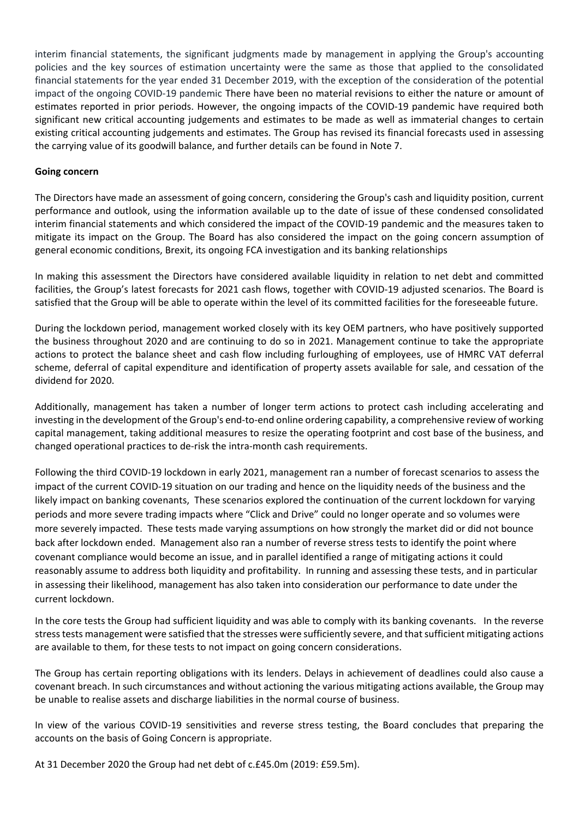interim financial statements, the significant judgments made by management in applying the Group's accounting policies and the key sources of estimation uncertainty were the same as those that applied to the consolidated financial statements for the year ended 31 December 2019, with the exception of the consideration of the potential impact of the ongoing COVID‐19 pandemic There have been no material revisions to either the nature or amount of estimates reported in prior periods. However, the ongoing impacts of the COVID‐19 pandemic have required both significant new critical accounting judgements and estimates to be made as well as immaterial changes to certain existing critical accounting judgements and estimates. The Group has revised its financial forecasts used in assessing the carrying value of its goodwill balance, and further details can be found in Note 7.

# **Going concern**

The Directors have made an assessment of going concern, considering the Group's cash and liquidity position, current performance and outlook, using the information available up to the date of issue of these condensed consolidated interim financial statements and which considered the impact of the COVID‐19 pandemic and the measures taken to mitigate its impact on the Group. The Board has also considered the impact on the going concern assumption of general economic conditions, Brexit, its ongoing FCA investigation and its banking relationships

In making this assessment the Directors have considered available liquidity in relation to net debt and committed facilities, the Group's latest forecasts for 2021 cash flows, together with COVID-19 adjusted scenarios. The Board is satisfied that the Group will be able to operate within the level of its committed facilities for the foreseeable future.

During the lockdown period, management worked closely with its key OEM partners, who have positively supported the business throughout 2020 and are continuing to do so in 2021. Management continue to take the appropriate actions to protect the balance sheet and cash flow including furloughing of employees, use of HMRC VAT deferral scheme, deferral of capital expenditure and identification of property assets available for sale, and cessation of the dividend for 2020.

Additionally, management has taken a number of longer term actions to protect cash including accelerating and investing in the development of the Group's end-to-end online ordering capability, a comprehensive review of working capital management, taking additional measures to resize the operating footprint and cost base of the business, and changed operational practices to de‐risk the intra‐month cash requirements.

Following the third COVID‐19 lockdown in early 2021, management ran a number of forecast scenarios to assess the impact of the current COVID‐19 situation on our trading and hence on the liquidity needs of the business and the likely impact on banking covenants, These scenarios explored the continuation of the current lockdown for varying periods and more severe trading impacts where "Click and Drive" could no longer operate and so volumes were more severely impacted. These tests made varying assumptions on how strongly the market did or did not bounce back after lockdown ended. Management also ran a number of reverse stress tests to identify the point where covenant compliance would become an issue, and in parallel identified a range of mitigating actions it could reasonably assume to address both liquidity and profitability. In running and assessing these tests, and in particular in assessing their likelihood, management has also taken into consideration our performance to date under the current lockdown.

In the core tests the Group had sufficient liquidity and was able to comply with its banking covenants. In the reverse stress tests management were satisfied that the stresses were sufficiently severe, and that sufficient mitigating actions are available to them, for these tests to not impact on going concern considerations.

The Group has certain reporting obligations with its lenders. Delays in achievement of deadlines could also cause a covenant breach. In such circumstances and without actioning the various mitigating actions available, the Group may be unable to realise assets and discharge liabilities in the normal course of business.

In view of the various COVID-19 sensitivities and reverse stress testing, the Board concludes that preparing the accounts on the basis of Going Concern is appropriate.

At 31 December 2020 the Group had net debt of c.£45.0m (2019: £59.5m).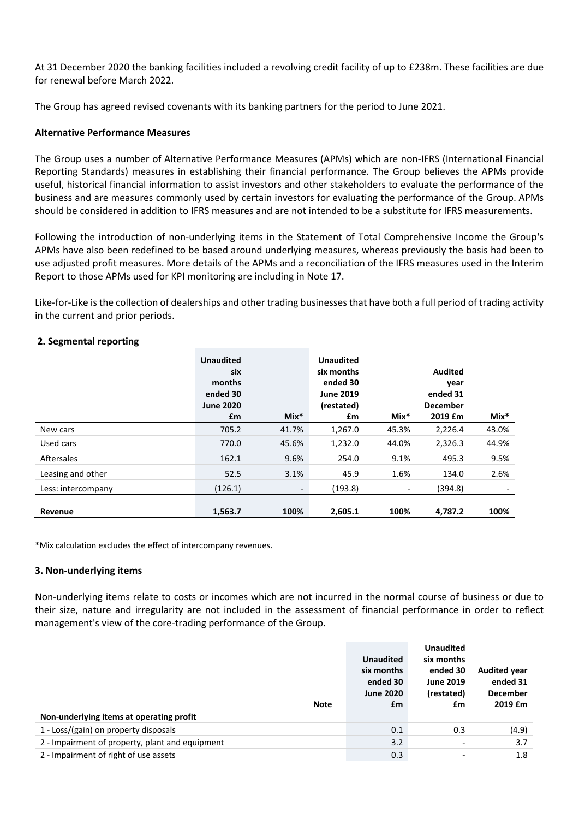At 31 December 2020 the banking facilities included a revolving credit facility of up to £238m. These facilities are due for renewal before March 2022.

The Group has agreed revised covenants with its banking partners for the period to June 2021.

# **Alternative Performance Measures**

The Group uses a number of Alternative Performance Measures (APMs) which are non‐IFRS (International Financial Reporting Standards) measures in establishing their financial performance. The Group believes the APMs provide useful, historical financial information to assist investors and other stakeholders to evaluate the performance of the business and are measures commonly used by certain investors for evaluating the performance of the Group. APMs should be considered in addition to IFRS measures and are not intended to be a substitute for IFRS measurements.

Following the introduction of non‐underlying items in the Statement of Total Comprehensive Income the Group's APMs have also been redefined to be based around underlying measures, whereas previously the basis had been to use adjusted profit measures. More details of the APMs and a reconciliation of the IFRS measures used in the Interim Report to those APMs used for KPI monitoring are including in Note 17.

Like-for-Like is the collection of dealerships and other trading businesses that have both a full period of trading activity in the current and prior periods.

|                    | <b>Unaudited</b><br>six<br>months<br>ended 30<br><b>June 2020</b> |                          | <b>Unaudited</b><br>six months<br>ended 30<br><b>June 2019</b><br>(restated) |                          | Audited<br>year<br>ended 31<br><b>December</b> |        |
|--------------------|-------------------------------------------------------------------|--------------------------|------------------------------------------------------------------------------|--------------------------|------------------------------------------------|--------|
|                    | £m                                                                | $Mix*$                   | £m                                                                           | $Mix*$                   | 2019 £m                                        | $Mix*$ |
| New cars           | 705.2                                                             | 41.7%                    | 1,267.0                                                                      | 45.3%                    | 2,226.4                                        | 43.0%  |
| Used cars          | 770.0                                                             | 45.6%                    | 1,232.0                                                                      | 44.0%                    | 2,326.3                                        | 44.9%  |
| <b>Aftersales</b>  | 162.1                                                             | 9.6%                     | 254.0                                                                        | 9.1%                     | 495.3                                          | 9.5%   |
| Leasing and other  | 52.5                                                              | 3.1%                     | 45.9                                                                         | 1.6%                     | 134.0                                          | 2.6%   |
| Less: intercompany | (126.1)                                                           | $\overline{\phantom{a}}$ | (193.8)                                                                      | $\overline{\phantom{a}}$ | (394.8)                                        |        |
| Revenue            | 1.563.7                                                           | 100%                     | 2.605.1                                                                      | 100%                     | 4.787.2                                        | 100%   |

# **2. Segmental reporting**

\*Mix calculation excludes the effect of intercompany revenues.

# **3. Non‐underlying items**

Non-underlying items relate to costs or incomes which are not incurred in the normal course of business or due to their size, nature and irregularity are not included in the assessment of financial performance in order to reflect management's view of the core‐trading performance of the Group.

|                                                 | <b>Unaudited</b><br>six months<br>ended 30<br><b>June 2020</b> | <b>Unaudited</b><br>six months<br>ended 30<br><b>June 2019</b><br>(restated) | <b>Audited year</b><br>ended 31<br><b>December</b> |
|-------------------------------------------------|----------------------------------------------------------------|------------------------------------------------------------------------------|----------------------------------------------------|
| <b>Note</b>                                     | £m                                                             | £m                                                                           | 2019 £m                                            |
| Non-underlying items at operating profit        |                                                                |                                                                              |                                                    |
| 1 - Loss/(gain) on property disposals           | 0.1                                                            | 0.3                                                                          | (4.9)                                              |
| 2 - Impairment of property, plant and equipment | 3.2                                                            | $\overline{\phantom{a}}$                                                     | 3.7                                                |
| 2 - Impairment of right of use assets           | 0.3                                                            | $\overline{\phantom{a}}$                                                     | 1.8                                                |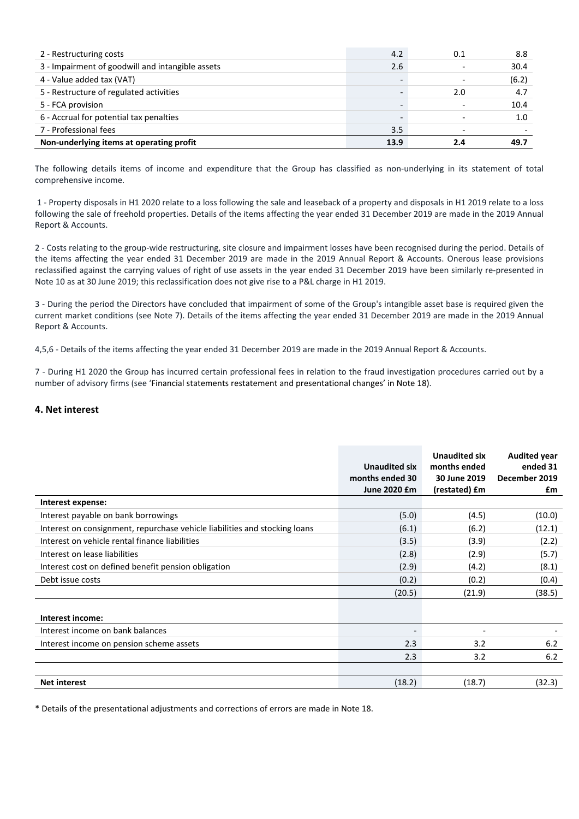| 2 - Restructuring costs                          | 4.2  | 0.1                      | 8.8   |
|--------------------------------------------------|------|--------------------------|-------|
| 3 - Impairment of goodwill and intangible assets | 2.6  |                          | 30.4  |
| 4 - Value added tax (VAT)                        |      | $\overline{\phantom{0}}$ | (6.2) |
| 5 - Restructure of regulated activities          |      | 2.0                      | 4.7   |
| 5 - FCA provision                                |      |                          | 10.4  |
| 6 - Accrual for potential tax penalties          |      |                          | 1.0   |
| 7 - Professional fees                            | 3.5  |                          |       |
| Non-underlying items at operating profit         | 13.9 | 24                       | 49.7  |

The following details items of income and expenditure that the Group has classified as non-underlying in its statement of total comprehensive income.

1 ‐ Property disposals in H1 2020 relate to a loss following the sale and leaseback of a property and disposals in H1 2019 relate to a loss following the sale of freehold properties. Details of the items affecting the year ended 31 December 2019 are made in the 2019 Annual Report & Accounts.

2 ‐ Costs relating to the group‐wide restructuring, site closure and impairment losses have been recognised during the period. Details of the items affecting the year ended 31 December 2019 are made in the 2019 Annual Report & Accounts. Onerous lease provisions reclassified against the carrying values of right of use assets in the year ended 31 December 2019 have been similarly re-presented in Note 10 as at 30 June 2019; this reclassification does not give rise to a P&L charge in H1 2019.

3 ‐ During the period the Directors have concluded that impairment of some of the Group's intangible asset base is required given the current market conditions (see Note 7). Details of the items affecting the year ended 31 December 2019 are made in the 2019 Annual Report & Accounts.

4,5,6 ‐ Details of the items affecting the year ended 31 December 2019 are made in the 2019 Annual Report & Accounts.

7 ‐ During H1 2020 the Group has incurred certain professional fees in relation to the fraud investigation procedures carried out by a number of advisory firms (see 'Financial statements restatement and presentational changes' in Note 18).

#### **4. Net interest**

|                                                                            | <b>Unaudited six</b><br>months ended 30<br>June 2020 £m | Unaudited six<br>months ended<br>30 June 2019<br>(restated) £m | <b>Audited year</b><br>ended 31<br>December 2019<br>£m |
|----------------------------------------------------------------------------|---------------------------------------------------------|----------------------------------------------------------------|--------------------------------------------------------|
| Interest expense:                                                          |                                                         |                                                                |                                                        |
| Interest payable on bank borrowings                                        | (5.0)                                                   | (4.5)                                                          | (10.0)                                                 |
| Interest on consignment, repurchase vehicle liabilities and stocking loans | (6.1)                                                   | (6.2)                                                          | (12.1)                                                 |
| Interest on vehicle rental finance liabilities                             | (3.5)                                                   | (3.9)                                                          | (2.2)                                                  |
| Interest on lease liabilities                                              | (2.8)                                                   | (2.9)                                                          | (5.7)                                                  |
| Interest cost on defined benefit pension obligation                        | (2.9)                                                   | (4.2)                                                          | (8.1)                                                  |
| Debt issue costs                                                           | (0.2)                                                   | (0.2)                                                          | (0.4)                                                  |
|                                                                            | (20.5)                                                  | (21.9)                                                         | (38.5)                                                 |
| Interest income:                                                           |                                                         |                                                                |                                                        |
| Interest income on bank balances                                           |                                                         |                                                                |                                                        |
| Interest income on pension scheme assets                                   | 2.3                                                     | 3.2                                                            | 6.2                                                    |
|                                                                            | 2.3                                                     | 3.2                                                            | 6.2                                                    |
|                                                                            |                                                         |                                                                |                                                        |
| <b>Net interest</b>                                                        | (18.2)                                                  | (18.7)                                                         | (32.3)                                                 |

\* Details of the presentational adjustments and corrections of errors are made in Note 18.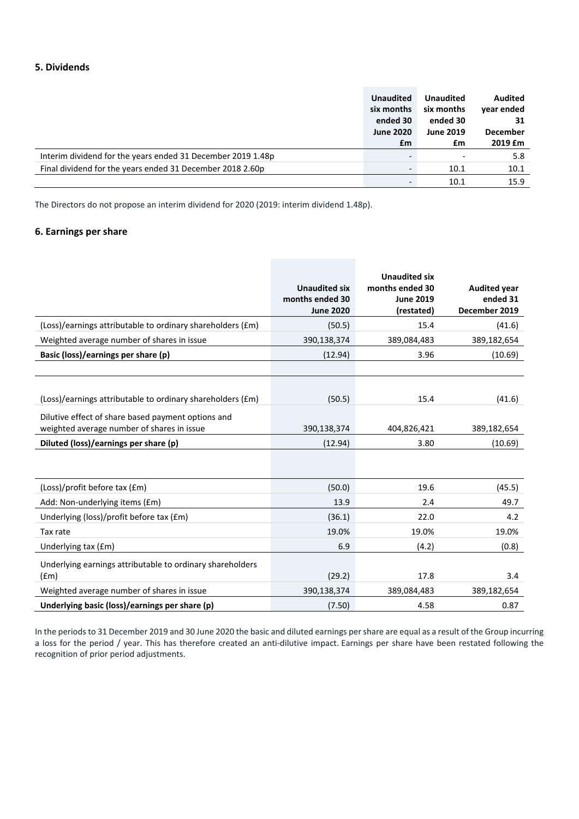# **5. Dividends**

|                                                             | <b>Unaudited</b><br>six months<br>ended 30<br><b>June 2020</b><br>£m | <b>Unaudited</b><br>six months<br>ended 30<br><b>June 2019</b><br>£m | Audited<br>vear ended<br>31<br><b>December</b><br>2019 Em |
|-------------------------------------------------------------|----------------------------------------------------------------------|----------------------------------------------------------------------|-----------------------------------------------------------|
| Interim dividend for the years ended 31 December 2019 1.48p |                                                                      |                                                                      | 5.8                                                       |
| Final dividend for the years ended 31 December 2018 2.60p   |                                                                      | 10.1                                                                 | 10.1                                                      |
|                                                             |                                                                      | 10.1                                                                 | 15.9                                                      |

The Directors do not propose an interim dividend for 2020 (2019: interim dividend 1.48p).

## **6. Earnings per share**

|                                                                                                  | <b>Unaudited six</b><br>months ended 30<br><b>June 2020</b> | <b>Unaudited six</b><br>months ended 30<br><b>June 2019</b><br>(restated) | <b>Audited year</b><br>ended 31<br>December 2019 |
|--------------------------------------------------------------------------------------------------|-------------------------------------------------------------|---------------------------------------------------------------------------|--------------------------------------------------|
| (Loss)/earnings attributable to ordinary shareholders (£m)                                       | (50.5)                                                      | 15.4                                                                      | (41.6)                                           |
| Weighted average number of shares in issue                                                       | 390,138,374                                                 | 389,084,483                                                               | 389,182,654                                      |
| Basic (loss)/earnings per share (p)                                                              | (12.94)                                                     | 3.96                                                                      | (10.69)                                          |
|                                                                                                  |                                                             |                                                                           |                                                  |
|                                                                                                  |                                                             |                                                                           |                                                  |
| (Loss)/earnings attributable to ordinary shareholders (£m)                                       | (50.5)                                                      | 15.4                                                                      | (41.6)                                           |
| Dilutive effect of share based payment options and<br>weighted average number of shares in issue | 390,138,374                                                 | 404,826,421                                                               | 389,182,654                                      |
| Diluted (loss)/earnings per share (p)                                                            | (12.94)                                                     | 3.80                                                                      | (10.69)                                          |
|                                                                                                  |                                                             |                                                                           |                                                  |
| (Loss)/profit before tax (£m)                                                                    | (50.0)                                                      | 19.6                                                                      | (45.5)                                           |
| Add: Non-underlying items (£m)                                                                   | 13.9                                                        | 2.4                                                                       | 49.7                                             |
| Underlying (loss)/profit before tax (£m)                                                         | (36.1)                                                      | 22.0                                                                      | 4.2                                              |
| Tax rate                                                                                         | 19.0%                                                       | 19.0%                                                                     | 19.0%                                            |
| Underlying tax (£m)                                                                              | 6.9                                                         | (4.2)                                                                     | (0.8)                                            |
| Underlying earnings attributable to ordinary shareholders<br>(fm)                                | (29.2)                                                      | 17.8                                                                      | 3.4                                              |
| Weighted average number of shares in issue                                                       | 390,138,374                                                 | 389,084,483                                                               | 389,182,654                                      |
| Underlying basic (loss)/earnings per share (p)                                                   | (7.50)                                                      | 4.58                                                                      | 0.87                                             |

In the periods to 31 December 2019 and 30 June 2020 the basic and diluted earnings per share are equal as a result of the Group incurring a loss for the period / year. This has therefore created an anti-dilutive impact. Earnings per share have been restated following the recognition of prior period adjustments.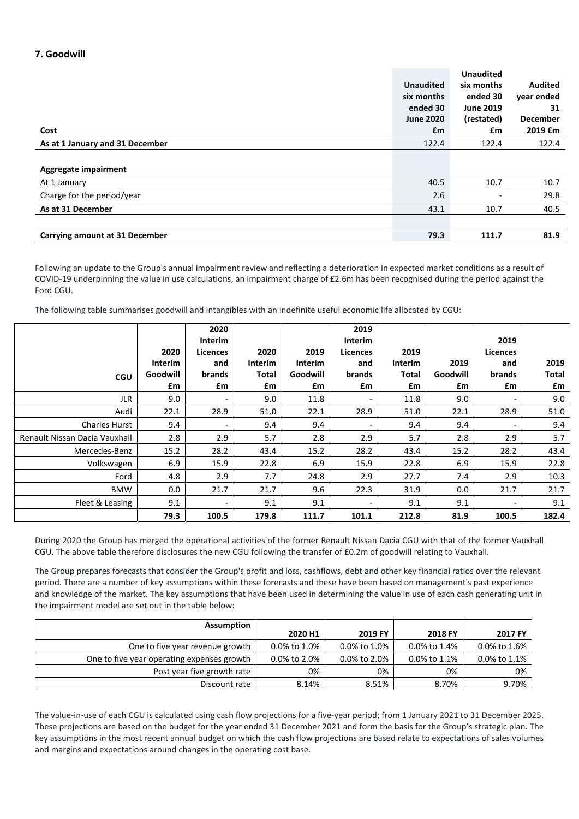# **7. Goodwill**

|                                 |                  | <b>Unaudited</b>         |                 |
|---------------------------------|------------------|--------------------------|-----------------|
|                                 | <b>Unaudited</b> | six months               | <b>Audited</b>  |
|                                 | six months       | ended 30                 | vear ended      |
|                                 | ended 30         | <b>June 2019</b>         | 31              |
|                                 | <b>June 2020</b> | (restated)               | <b>December</b> |
| Cost                            | £m               | £m                       | 2019 £m         |
| As at 1 January and 31 December | 122.4            | 122.4                    | 122.4           |
|                                 |                  |                          |                 |
| Aggregate impairment            |                  |                          |                 |
| At 1 January                    | 40.5             | 10.7                     | 10.7            |
| Charge for the period/year      | 2.6              | $\overline{\phantom{a}}$ | 29.8            |
| As at 31 December               | 43.1             | 10.7                     | 40.5            |
|                                 |                  |                          |                 |
| Carrying amount at 31 December  | 79.3             | 111.7                    | 81.9            |

Following an update to the Group's annual impairment review and reflecting a deterioration in expected market conditions as a result of COVID‐19 underpinning the value in use calculations, an impairment charge of £2.6m has been recognised during the period against the Ford CGU.

The following table summarises goodwill and intangibles with an indefinite useful economic life allocated by CGU:

|                               |                | 2020<br><b>Interim</b>   |         |          | 2019<br><b>Interim</b> |              |          | 2019                     |       |
|-------------------------------|----------------|--------------------------|---------|----------|------------------------|--------------|----------|--------------------------|-------|
|                               | 2020           | Licences                 | 2020    | 2019     | Licences               | 2019         |          | Licences                 |       |
|                               | <b>Interim</b> | and                      | Interim | Interim  | and                    | Interim      | 2019     | and                      | 2019  |
| <b>CGU</b>                    | Goodwill       | brands                   | Total   | Goodwill | brands                 | <b>Total</b> | Goodwill | brands                   | Total |
|                               | £m             | £m                       | £m      | £m       | £m                     | £m           | £m       | £m                       | £m    |
| <b>JLR</b>                    | 9.0            | $\overline{\phantom{a}}$ | 9.0     | 11.8     |                        | 11.8         | 9.0      | $\overline{\phantom{a}}$ | 9.0   |
| Audi                          | 22.1           | 28.9                     | 51.0    | 22.1     | 28.9                   | 51.0         | 22.1     | 28.9                     | 51.0  |
| <b>Charles Hurst</b>          | 9.4            | $\overline{\phantom{a}}$ | 9.4     | 9.4      |                        | 9.4          | 9.4      | $\overline{\phantom{a}}$ | 9.4   |
| Renault Nissan Dacia Vauxhall | 2.8            | 2.9                      | 5.7     | 2.8      | 2.9                    | 5.7          | 2.8      | 2.9                      | 5.7   |
| Mercedes-Benz                 | 15.2           | 28.2                     | 43.4    | 15.2     | 28.2                   | 43.4         | 15.2     | 28.2                     | 43.4  |
| Volkswagen                    | 6.9            | 15.9                     | 22.8    | 6.9      | 15.9                   | 22.8         | 6.9      | 15.9                     | 22.8  |
| Ford                          | 4.8            | 2.9                      | 7.7     | 24.8     | 2.9                    | 27.7         | 7.4      | 2.9                      | 10.3  |
| <b>BMW</b>                    | 0.0            | 21.7                     | 21.7    | 9.6      | 22.3                   | 31.9         | 0.0      | 21.7                     | 21.7  |
| Fleet & Leasing               | 9.1            | -                        | 9.1     | 9.1      |                        | 9.1          | 9.1      | $\overline{\phantom{a}}$ | 9.1   |
|                               | 79.3           | 100.5                    | 179.8   | 111.7    | 101.1                  | 212.8        | 81.9     | 100.5                    | 182.4 |

During 2020 the Group has merged the operational activities of the former Renault Nissan Dacia CGU with that of the former Vauxhall CGU. The above table therefore disclosures the new CGU following the transfer of £0.2m of goodwill relating to Vauxhall.

The Group prepares forecasts that consider the Group's profit and loss, cashflows, debt and other key financial ratios over the relevant period. There are a number of key assumptions within these forecasts and these have been based on management's past experience and knowledge of the market. The key assumptions that have been used in determining the value in use of each cash generating unit in the impairment model are set out in the table below:

| <b>Assumption</b>                          |              |              |                 |              |
|--------------------------------------------|--------------|--------------|-----------------|--------------|
|                                            | 2020 H1      | 2019 FY      | 2018 FY         | 2017 FY      |
| One to five year revenue growth            | 0.0% to 1.0% | 0.0% to 1.0% | 0.0% to 1.4%    | 0.0% to 1.6% |
| One to five year operating expenses growth | 0.0% to 2.0% | 0.0% to 2.0% | $0.0\%$ to 1.1% | 0.0% to 1.1% |
| Post year five growth rate                 | 0%           | 0%           | 0%              | 0%           |
| Discount rate                              | 8.14%        | 8.51%        | 8.70%           | 9.70%        |

The value‐in‐use of each CGU is calculated using cash flow projections for a five‐year period; from 1 January 2021 to 31 December 2025. These projections are based on the budget for the year ended 31 December 2021 and form the basis for the Group's strategic plan. The key assumptions in the most recent annual budget on which the cash flow projections are based relate to expectations of sales volumes and margins and expectations around changes in the operating cost base.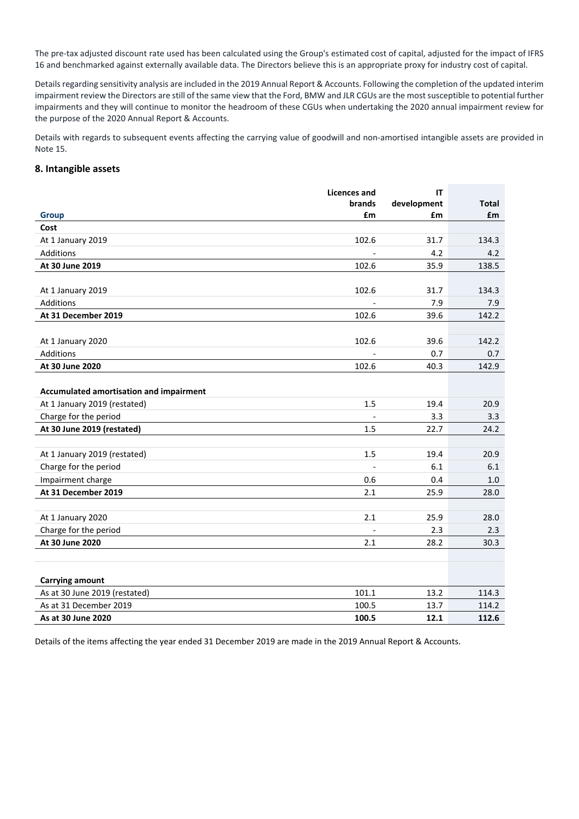The pre-tax adjusted discount rate used has been calculated using the Group's estimated cost of capital, adjusted for the impact of IFRS 16 and benchmarked against externally available data. The Directors believe this is an appropriate proxy for industry cost of capital.

Details regarding sensitivity analysis are included in the 2019 Annual Report & Accounts. Following the completion of the updated interim impairment review the Directors are still of the same view that the Ford, BMW and JLR CGUs are the most susceptible to potential further impairments and they will continue to monitor the headroom of these CGUs when undertaking the 2020 annual impairment review for the purpose of the 2020 Annual Report & Accounts.

Details with regards to subsequent events affecting the carrying value of goodwill and non‐amortised intangible assets are provided in Note 15.

#### **8. Intangible assets**

|                                         | <b>Licences and</b> | IT          |              |
|-----------------------------------------|---------------------|-------------|--------------|
|                                         | <b>brands</b>       | development | <b>Total</b> |
| <b>Group</b>                            | £m                  | £m          | £m           |
| Cost                                    |                     |             |              |
| At 1 January 2019                       | 102.6               | 31.7        | 134.3        |
| Additions                               |                     | 4.2         | 4.2          |
| At 30 June 2019                         | 102.6               | 35.9        | 138.5        |
|                                         |                     |             |              |
| At 1 January 2019                       | 102.6               | 31.7        | 134.3        |
| Additions                               |                     | 7.9         | 7.9          |
| At 31 December 2019                     | 102.6               | 39.6        | 142.2        |
|                                         |                     |             |              |
| At 1 January 2020                       | 102.6               | 39.6        | 142.2        |
| Additions                               |                     | 0.7         | 0.7          |
| At 30 June 2020                         | 102.6               | 40.3        | 142.9        |
|                                         |                     |             |              |
| Accumulated amortisation and impairment |                     |             |              |
| At 1 January 2019 (restated)            | 1.5                 | 19.4        | 20.9         |
| Charge for the period                   |                     | 3.3         | 3.3          |
| At 30 June 2019 (restated)              | 1.5                 | 22.7        | 24.2         |
|                                         |                     |             |              |
| At 1 January 2019 (restated)            | 1.5                 | 19.4        | 20.9         |
| Charge for the period                   |                     | 6.1         | 6.1          |
| Impairment charge                       | 0.6                 | 0.4         | 1.0          |
| At 31 December 2019                     | 2.1                 | 25.9        | 28.0         |
|                                         |                     |             |              |
| At 1 January 2020                       | 2.1                 | 25.9        | 28.0         |
| Charge for the period                   |                     | 2.3         | 2.3          |
| At 30 June 2020                         | 2.1                 | 28.2        | 30.3         |
|                                         |                     |             |              |
|                                         |                     |             |              |
| <b>Carrying amount</b>                  |                     |             |              |
| As at 30 June 2019 (restated)           | 101.1               | 13.2        | 114.3        |
| As at 31 December 2019                  | 100.5               | 13.7        | 114.2        |
| As at 30 June 2020                      | 100.5               | 12.1        | 112.6        |
|                                         |                     |             |              |

Details of the items affecting the year ended 31 December 2019 are made in the 2019 Annual Report & Accounts.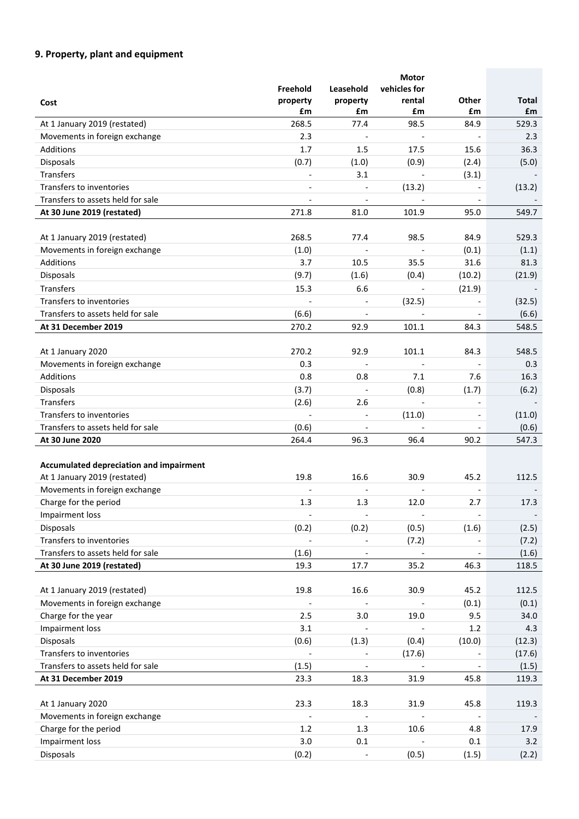# **9. Property, plant and equipment**

|                                         |                              |                          | <b>Motor</b>             |                          |              |
|-----------------------------------------|------------------------------|--------------------------|--------------------------|--------------------------|--------------|
|                                         | Freehold                     | Leasehold                | vehicles for             |                          |              |
| Cost                                    | property                     | property                 | rental                   | Other                    | <b>Total</b> |
|                                         | £m                           | £m                       | £m                       | £m                       | £m           |
| At 1 January 2019 (restated)            | 268.5                        | 77.4                     | 98.5                     | 84.9                     | 529.3        |
| Movements in foreign exchange           | 2.3                          | $\overline{\phantom{a}}$ | $\blacksquare$           |                          | 2.3          |
| Additions                               | 1.7                          | 1.5                      | 17.5                     | 15.6                     | 36.3         |
| Disposals                               | (0.7)                        | (1.0)                    | (0.9)                    | (2.4)                    | (5.0)        |
| Transfers                               | $\qquad \qquad \blacksquare$ | 3.1                      | $\overline{\phantom{a}}$ | (3.1)                    |              |
| Transfers to inventories                | $\overline{a}$               | $\overline{\phantom{0}}$ | (13.2)                   |                          | (13.2)       |
| Transfers to assets held for sale       | $\overline{\phantom{a}}$     |                          |                          |                          |              |
| At 30 June 2019 (restated)              | 271.8                        | 81.0                     | 101.9                    | 95.0                     | 549.7        |
|                                         |                              |                          |                          |                          |              |
| At 1 January 2019 (restated)            | 268.5                        | 77.4                     | 98.5                     | 84.9                     | 529.3        |
| Movements in foreign exchange           | (1.0)                        | $\overline{\phantom{a}}$ | $\overline{\phantom{a}}$ | (0.1)                    | (1.1)        |
| Additions                               | 3.7                          | 10.5                     | 35.5                     | 31.6                     | 81.3         |
| Disposals                               | (9.7)                        | (1.6)                    | (0.4)                    | (10.2)                   | (21.9)       |
| Transfers                               | 15.3                         | 6.6                      | $\overline{\phantom{a}}$ | (21.9)                   |              |
| Transfers to inventories                |                              |                          | (32.5)                   |                          | (32.5)       |
| Transfers to assets held for sale       | (6.6)                        | $\overline{\phantom{a}}$ | $\overline{\phantom{a}}$ |                          | (6.6)        |
| At 31 December 2019                     | 270.2                        | 92.9                     | 101.1                    | 84.3                     | 548.5        |
|                                         |                              |                          |                          |                          |              |
| At 1 January 2020                       | 270.2                        | 92.9                     | 101.1                    | 84.3                     | 548.5        |
| Movements in foreign exchange           | 0.3                          | $\overline{\phantom{a}}$ | $\overline{\phantom{a}}$ | $\overline{\phantom{a}}$ | 0.3          |
| Additions                               | 0.8                          | 0.8                      | 7.1                      | 7.6                      | 16.3         |
| Disposals                               | (3.7)                        | $\overline{\phantom{a}}$ | (0.8)                    | (1.7)                    | (6.2)        |
| Transfers                               | (2.6)                        | 2.6                      | $\blacksquare$           | $\overline{\phantom{a}}$ |              |
| Transfers to inventories                | $\overline{a}$               | $\blacksquare$           | (11.0)                   |                          | (11.0)       |
| Transfers to assets held for sale       | (0.6)                        |                          |                          |                          | (0.6)        |
| At 30 June 2020                         | 264.4                        | 96.3                     | 96.4                     | 90.2                     | 547.3        |
|                                         |                              |                          |                          |                          |              |
| Accumulated depreciation and impairment |                              |                          |                          |                          |              |
| At 1 January 2019 (restated)            | 19.8                         | 16.6                     | 30.9                     | 45.2                     | 112.5        |
| Movements in foreign exchange           |                              |                          | $\blacksquare$           |                          |              |
| Charge for the period                   | 1.3                          | 1.3                      | 12.0                     | 2.7                      | 17.3         |
| Impairment loss                         |                              | $\overline{\phantom{a}}$ | $\overline{\phantom{a}}$ | $\overline{\phantom{a}}$ |              |
| Disposals                               | (0.2)                        | (0.2)                    | (0.5)                    | (1.6)                    | (2.5)        |
| Transfers to inventories                | $\frac{1}{2}$                |                          |                          |                          | (7.2)        |
| Transfers to assets held for sale       | (1.6)                        |                          | (7.2)                    |                          |              |
| At 30 June 2019 (restated)              | 19.3                         | $\overline{\phantom{a}}$ | $\overline{\phantom{a}}$ | $\overline{\phantom{a}}$ | (1.6)        |
|                                         |                              | 17.7                     | 35.2                     | 46.3                     | 118.5        |
| At 1 January 2019 (restated)            | 19.8                         | 16.6                     | 30.9                     | 45.2                     | 112.5        |
| Movements in foreign exchange           |                              |                          |                          | (0.1)                    | (0.1)        |
| Charge for the year                     | 2.5                          | 3.0                      | 19.0                     | 9.5                      | 34.0         |
| Impairment loss                         | 3.1                          |                          |                          |                          |              |
|                                         |                              |                          |                          | 1.2                      | 4.3          |
| <b>Disposals</b>                        | (0.6)                        | (1.3)                    | (0.4)                    | (10.0)                   | (12.3)       |
| Transfers to inventories                | $\overline{a}$               | $\overline{\phantom{0}}$ | (17.6)                   |                          | (17.6)       |
| Transfers to assets held for sale       | (1.5)                        |                          |                          |                          | (1.5)        |
| At 31 December 2019                     | 23.3                         | 18.3                     | 31.9                     | 45.8                     | 119.3        |
|                                         |                              |                          |                          |                          |              |
| At 1 January 2020                       | 23.3                         | 18.3                     | 31.9                     | 45.8                     | 119.3        |
| Movements in foreign exchange           |                              | $\overline{\phantom{a}}$ |                          |                          |              |
| Charge for the period                   | 1.2                          | 1.3                      | 10.6                     | 4.8                      | 17.9         |
| Impairment loss                         | 3.0                          | 0.1                      |                          | 0.1                      | 3.2          |
| Disposals                               | (0.2)                        | $\overline{\phantom{a}}$ | (0.5)                    | (1.5)                    | (2.2)        |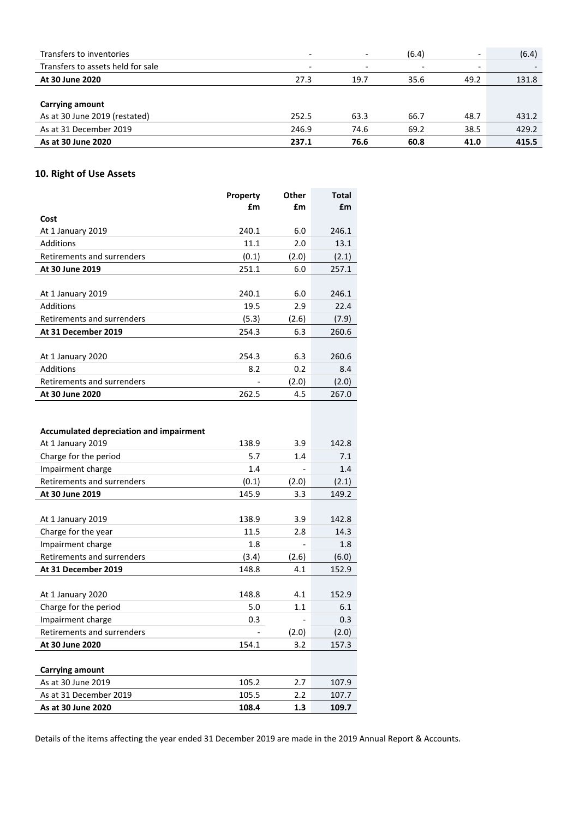| Transfers to inventories          | $\overline{\phantom{a}}$ | $\overline{\phantom{0}}$ | (6.4)                    | $\overline{\phantom{0}}$ | (6.4) |
|-----------------------------------|--------------------------|--------------------------|--------------------------|--------------------------|-------|
| Transfers to assets held for sale | $\overline{\phantom{a}}$ | $\overline{\phantom{0}}$ | $\overline{\phantom{a}}$ | $\overline{\phantom{0}}$ |       |
| At 30 June 2020                   | 27.3                     | 19.7                     | 35.6                     | 49.2                     | 131.8 |
|                                   |                          |                          |                          |                          |       |
| Carrying amount                   |                          |                          |                          |                          |       |
| As at 30 June 2019 (restated)     | 252.5                    | 63.3                     | 66.7                     | 48.7                     | 431.2 |
| As at 31 December 2019            | 246.9                    | 74.6                     | 69.2                     | 38.5                     | 429.2 |
| As at 30 June 2020                | 237.1                    | 76.6                     | 60.8                     | 41.0                     | 415.5 |

# **10. Right of Use Assets**

|                                                | Property | Other | <b>Total</b> |
|------------------------------------------------|----------|-------|--------------|
|                                                | £m       | £m    | £m           |
| Cost                                           |          |       |              |
| At 1 January 2019                              | 240.1    | 6.0   | 246.1        |
| Additions                                      | 11.1     | 2.0   | 13.1         |
| Retirements and surrenders                     | (0.1)    | (2.0) | (2.1)        |
| At 30 June 2019                                | 251.1    | 6.0   | 257.1        |
|                                                |          |       |              |
| At 1 January 2019                              | 240.1    | 6.0   | 246.1        |
| <b>Additions</b>                               | 19.5     | 2.9   | 22.4         |
| Retirements and surrenders                     | (5.3)    | (2.6) | (7.9)        |
| At 31 December 2019                            | 254.3    | 6.3   | 260.6        |
|                                                |          |       |              |
| At 1 January 2020                              | 254.3    | 6.3   | 260.6        |
| Additions                                      | 8.2      | 0.2   | 8.4          |
| Retirements and surrenders                     |          | (2.0) | (2.0)        |
| At 30 June 2020                                | 262.5    | 4.5   | 267.0        |
|                                                |          |       |              |
|                                                |          |       |              |
| <b>Accumulated depreciation and impairment</b> |          |       |              |
| At 1 January 2019                              | 138.9    | 3.9   | 142.8        |
| Charge for the period                          | 5.7      | 1.4   | 7.1          |
| Impairment charge                              | 1.4      |       | 1.4          |
| Retirements and surrenders                     | (0.1)    | (2.0) | (2.1)        |
| At 30 June 2019                                | 145.9    | 3.3   | 149.2        |
|                                                |          |       |              |
| At 1 January 2019                              | 138.9    | 3.9   | 142.8        |
| Charge for the year                            | 11.5     | 2.8   | 14.3         |
| Impairment charge                              | 1.8      |       | 1.8          |
| Retirements and surrenders                     | (3.4)    | (2.6) | (6.0)        |
| At 31 December 2019                            | 148.8    | 4.1   | 152.9        |
|                                                | 148.8    | 4.1   | 152.9        |
| At 1 January 2020<br>Charge for the period     | 5.0      | 1.1   | 6.1          |
|                                                | 0.3      |       | 0.3          |
| Impairment charge                              |          |       |              |
| Retirements and surrenders                     |          | (2.0) | (2.0)        |
| At 30 June 2020                                | 154.1    | 3.2   | 157.3        |
| <b>Carrying amount</b>                         |          |       |              |
| As at 30 June 2019                             | 105.2    | 2.7   | 107.9        |
| As at 31 December 2019                         | 105.5    | 2.2   | 107.7        |
| As at 30 June 2020                             | 108.4    | 1.3   | 109.7        |
|                                                |          |       |              |

Details of the items affecting the year ended 31 December 2019 are made in the 2019 Annual Report & Accounts.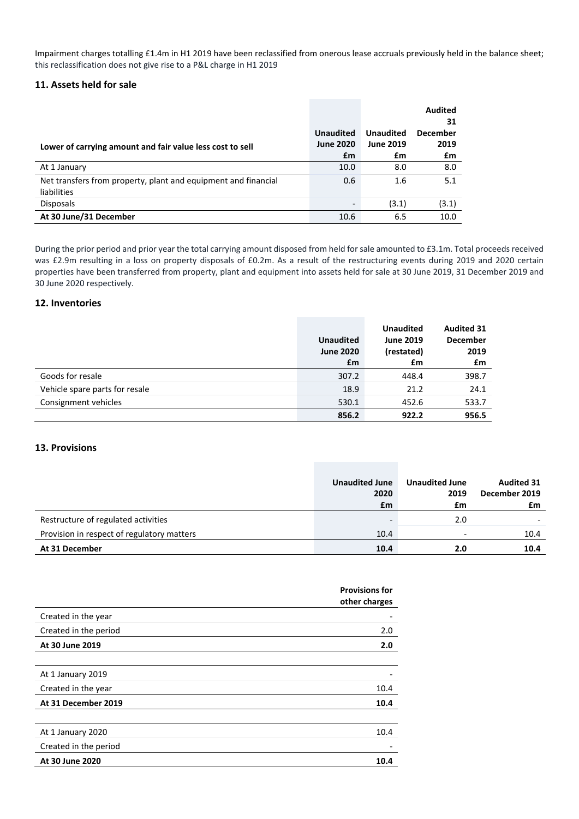Impairment charges totalling £1.4m in H1 2019 have been reclassified from onerous lease accruals previously held in the balance sheet; this reclassification does not give rise to a P&L charge in H1 2019

## **11. Assets held for sale**

|                                                                               |                                      |                                      | <b>Audited</b><br>31    |
|-------------------------------------------------------------------------------|--------------------------------------|--------------------------------------|-------------------------|
| Lower of carrying amount and fair value less cost to sell                     | <b>Unaudited</b><br><b>June 2020</b> | <b>Unaudited</b><br><b>June 2019</b> | <b>December</b><br>2019 |
|                                                                               | £m                                   | £m                                   | £m                      |
| At 1 January                                                                  | 10.0                                 | 8.0                                  | 8.0                     |
| Net transfers from property, plant and equipment and financial<br>liabilities | 0.6                                  | 1.6                                  | 5.1                     |
| <b>Disposals</b>                                                              |                                      | (3.1)                                | (3.1)                   |
| At 30 June/31 December                                                        | 10.6                                 | 6.5                                  | 10.0                    |

During the prior period and prior year the total carrying amount disposed from held for sale amounted to £3.1m. Total proceeds received was £2.9m resulting in a loss on property disposals of £0.2m. As a result of the restructuring events during 2019 and 2020 certain properties have been transferred from property, plant and equipment into assets held for sale at 30 June 2019, 31 December 2019 and 30 June 2020 respectively.

## **12. Inventories**

|                                |                  | <b>Unaudited</b> | <b>Audited 31</b> |
|--------------------------------|------------------|------------------|-------------------|
|                                | <b>Unaudited</b> | <b>June 2019</b> | <b>December</b>   |
|                                | <b>June 2020</b> | (restated)       | 2019              |
|                                | £m               | £m               | £m                |
| Goods for resale               | 307.2            | 448.4            | 398.7             |
| Vehicle spare parts for resale | 18.9             | 21.2             | 24.1              |
| Consignment vehicles           | 530.1            | 452.6            | 533.7             |
|                                | 856.2            | 922.2            | 956.5             |

#### **13. Provisions**

|                                            | <b>Unaudited June</b><br>2020<br>£m | <b>Unaudited June</b><br>2019<br>£m | <b>Audited 31</b><br>December 2019<br>£m |
|--------------------------------------------|-------------------------------------|-------------------------------------|------------------------------------------|
| Restructure of regulated activities        |                                     | 2.0                                 |                                          |
| Provision in respect of regulatory matters | 10.4                                | $\overline{\phantom{0}}$            | 10.4                                     |
| At 31 December                             | 10.4                                | 2.0                                 | 10.4                                     |

|                       | <b>Provisions for</b><br>other charges |
|-----------------------|----------------------------------------|
| Created in the year   |                                        |
| Created in the period | 2.0                                    |
| At 30 June 2019       | 2.0                                    |
|                       |                                        |
| At 1 January 2019     |                                        |
| Created in the year   | 10.4                                   |
| At 31 December 2019   | 10.4                                   |
|                       |                                        |
| At 1 January 2020     | 10.4                                   |
| Created in the period |                                        |
| At 30 June 2020       | 10.4                                   |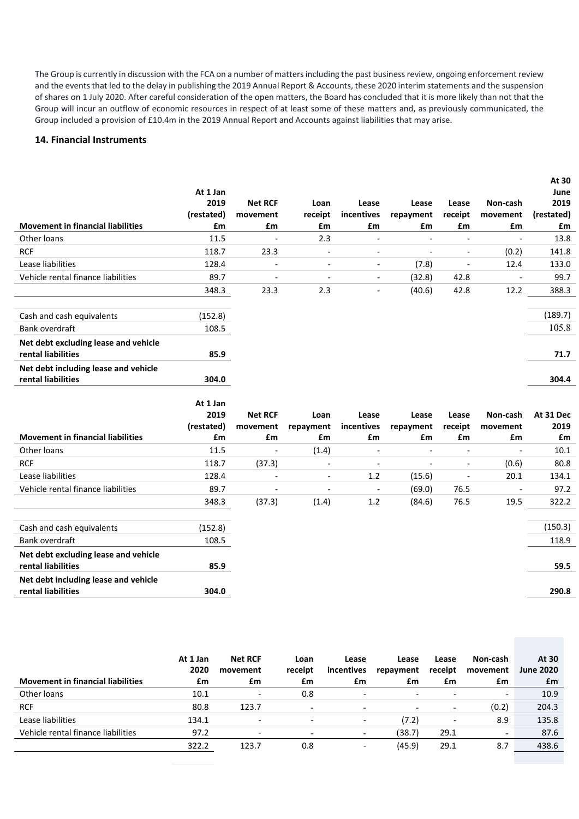The Group is currently in discussion with the FCA on a number of matters including the past business review, ongoing enforcement review and the events that led to the delay in publishing the 2019 Annual Report & Accounts, these 2020 interim statements and the suspension of shares on 1 July 2020. After careful consideration of the open matters, the Board has concluded that it is more likely than not that the Group will incur an outflow of economic resources in respect of at least some of these matters and, as previously communicated, the Group included a provision of £10.4m in the 2019 Annual Report and Accounts against liabilities that may arise.

**At 30**

# **14. Financial Instruments**

|                                          |                  |                          |                          |                          |                          |                          |                          | AL JU        |
|------------------------------------------|------------------|--------------------------|--------------------------|--------------------------|--------------------------|--------------------------|--------------------------|--------------|
|                                          | At 1 Jan<br>2019 | <b>Net RCF</b>           | Loan                     | Lease                    | Lease                    | Lease                    | Non-cash                 | June<br>2019 |
|                                          | (restated)       | movement                 | receipt                  | incentives               | repayment                | receipt                  | movement                 | (restated)   |
| <b>Movement in financial liabilities</b> | £m               | £m                       | £m                       | £m                       | £m                       | £m                       | £m                       | £m           |
| Other loans                              | 11.5             |                          | 2.3                      | $\overline{a}$           | $\overline{a}$           | $\overline{\phantom{a}}$ | $\overline{a}$           | 13.8         |
| <b>RCF</b>                               | 118.7            | 23.3                     | $\overline{\phantom{a}}$ | $\overline{\phantom{a}}$ | $\overline{\phantom{a}}$ | $\overline{\phantom{a}}$ | (0.2)                    | 141.8        |
| Lease liabilities                        | 128.4            |                          | $\overline{a}$           | $\overline{\phantom{a}}$ | (7.8)                    | $\overline{\phantom{a}}$ | 12.4                     | 133.0        |
| Vehicle rental finance liabilities       | 89.7             | $\overline{\phantom{a}}$ | $\overline{\phantom{a}}$ | $\overline{\phantom{a}}$ | (32.8)                   | 42.8                     | $\overline{\phantom{a}}$ | 99.7         |
|                                          | 348.3            | 23.3                     | 2.3                      | $\overline{a}$           | (40.6)                   | 42.8                     | 12.2                     | 388.3        |
|                                          |                  |                          |                          |                          |                          |                          |                          |              |
| Cash and cash equivalents                | (152.8)          |                          |                          |                          |                          |                          |                          | (189.7)      |
| Bank overdraft                           | 108.5            |                          |                          |                          |                          |                          |                          | 105.8        |
| Net debt excluding lease and vehicle     |                  |                          |                          |                          |                          |                          |                          |              |
| rental liabilities                       | 85.9             |                          |                          |                          |                          |                          |                          | 71.7         |
| Net debt including lease and vehicle     |                  |                          |                          |                          |                          |                          |                          |              |
| rental liabilities                       | 304.0            |                          |                          |                          |                          |                          |                          | 304.4        |
|                                          |                  |                          |                          |                          |                          |                          |                          |              |
|                                          |                  |                          |                          |                          |                          |                          |                          |              |
|                                          | At 1 Jan         |                          |                          |                          |                          |                          |                          |              |
|                                          | 2019             | <b>Net RCF</b>           | Loan                     | Lease                    | Lease                    | Lease                    | Non-cash                 | At 31 Dec    |
|                                          | (restated)       | movement                 | repayment                | incentives               | repayment                | receipt                  | movement                 | 2019         |
| <b>Movement in financial liabilities</b> | £m               | £m                       | £m                       | £m                       | £m                       | £m                       | £m                       | £m           |
| Other loans                              | 11.5             |                          | (1.4)                    | $\overline{\phantom{a}}$ | $\overline{\phantom{a}}$ | $\overline{\phantom{a}}$ | $\overline{a}$           | 10.1         |
| <b>RCF</b>                               | 118.7            | (37.3)                   |                          | $\overline{\phantom{a}}$ | $\blacksquare$           | $\overline{\phantom{a}}$ | (0.6)                    | 80.8         |
| Lease liabilities                        | 128.4            |                          |                          | 1.2                      | (15.6)                   | $\overline{\phantom{a}}$ | 20.1                     | 134.1        |
| Vehicle rental finance liabilities       | 89.7             | $\overline{a}$           | $\overline{a}$           | $\overline{a}$           | (69.0)                   | 76.5                     |                          | 97.2         |
|                                          | 348.3            | (37.3)                   | (1.4)                    | 1.2                      | (84.6)                   | 76.5                     | 19.5                     | 322.2        |
|                                          |                  |                          |                          |                          |                          |                          |                          |              |
| Cash and cash equivalents                | (152.8)          |                          |                          |                          |                          |                          |                          | (150.3)      |
| <b>Bank overdraft</b>                    | 108.5            |                          |                          |                          |                          |                          |                          | 118.9        |
| Net debt excluding lease and vehicle     |                  |                          |                          |                          |                          |                          |                          |              |
| rental liabilities                       | 85.9             |                          |                          |                          |                          |                          |                          | 59.5         |
| Net debt including lease and vehicle     |                  |                          |                          |                          |                          |                          |                          |              |
| rental liabilities                       | 304.0            |                          |                          |                          |                          |                          |                          | 290.8        |

| <b>Movement in financial liabilities</b> | At 1 Jan<br>2020<br>£m | <b>Net RCF</b><br>movement<br>£m | Loan<br>receipt<br>£m    | Lease<br>incentives<br>£m | Lease<br>repayment<br>£m | Lease<br>receipt<br>£m | Non-cash<br>movement<br>£m | At 30<br><b>June 2020</b><br>£m |
|------------------------------------------|------------------------|----------------------------------|--------------------------|---------------------------|--------------------------|------------------------|----------------------------|---------------------------------|
| Other loans                              | 10.1                   | $\overline{\phantom{a}}$         | 0.8                      | $\overline{\phantom{0}}$  | $\overline{\phantom{a}}$ |                        | $\overline{\phantom{0}}$   | 10.9                            |
| <b>RCF</b>                               | 80.8                   | 123.7                            | $\overline{\phantom{a}}$ | $\overline{\phantom{a}}$  | $\overline{\phantom{0}}$ | -                      | (0.2)                      | 204.3                           |
| Lease liabilities                        | 134.1                  | $\overline{\phantom{0}}$         | $\overline{\phantom{a}}$ | $\overline{\phantom{0}}$  | (7.2)                    | -                      | 8.9                        | 135.8                           |
| Vehicle rental finance liabilities       | 97.2                   | $\overline{\phantom{a}}$         | $\overline{\phantom{a}}$ | $\overline{\phantom{0}}$  | (38.7)                   | 29.1                   | -                          | 87.6                            |
|                                          | 322.2                  | 123.7                            | 0.8                      | $\overline{\phantom{0}}$  | (45.9)                   | 29.1                   | 8.7                        | 438.6                           |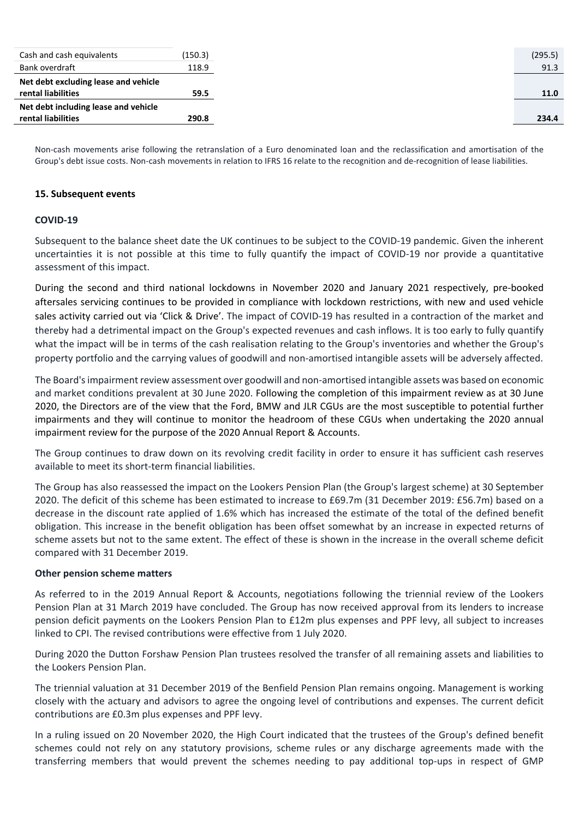| Cash and cash equivalents            | (150.3) |
|--------------------------------------|---------|
| Bank overdraft                       | 118.9   |
| Net debt excluding lease and vehicle |         |
| rental liabilities                   | 59.5    |
| Net debt including lease and vehicle |         |
| rental liabilities                   | 290.8   |

Non‐cash movements arise following the retranslation of a Euro denominated loan and the reclassification and amortisation of the Group's debt issue costs. Non-cash movements in relation to IFRS 16 relate to the recognition and de-recognition of lease liabilities.

### **15. Subsequent events**

### **COVID‐19**

Subsequent to the balance sheet date the UK continues to be subject to the COVID‐19 pandemic. Given the inherent uncertainties it is not possible at this time to fully quantify the impact of COVID-19 nor provide a quantitative assessment of this impact.

During the second and third national lockdowns in November 2020 and January 2021 respectively, pre‐booked aftersales servicing continues to be provided in compliance with lockdown restrictions, with new and used vehicle sales activity carried out via 'Click & Drive'. The impact of COVID-19 has resulted in a contraction of the market and thereby had a detrimental impact on the Group's expected revenues and cash inflows. It is too early to fully quantify what the impact will be in terms of the cash realisation relating to the Group's inventories and whether the Group's property portfolio and the carrying values of goodwill and non‐amortised intangible assets will be adversely affected.

The Board'simpairment review assessment over goodwill and non‐amortised intangible assets was based on economic and market conditions prevalent at 30 June 2020. Following the completion of this impairment review as at 30 June 2020, the Directors are of the view that the Ford, BMW and JLR CGUs are the most susceptible to potential further impairments and they will continue to monitor the headroom of these CGUs when undertaking the 2020 annual impairment review for the purpose of the 2020 Annual Report & Accounts.

The Group continues to draw down on its revolving credit facility in order to ensure it has sufficient cash reserves available to meet its short‐term financial liabilities.

The Group has also reassessed the impact on the Lookers Pension Plan (the Group's largest scheme) at 30 September 2020. The deficit of this scheme has been estimated to increase to £69.7m (31 December 2019: £56.7m) based on a decrease in the discount rate applied of 1.6% which has increased the estimate of the total of the defined benefit obligation. This increase in the benefit obligation has been offset somewhat by an increase in expected returns of scheme assets but not to the same extent. The effect of these is shown in the increase in the overall scheme deficit compared with 31 December 2019.

#### **Other pension scheme matters**

As referred to in the 2019 Annual Report & Accounts, negotiations following the triennial review of the Lookers Pension Plan at 31 March 2019 have concluded. The Group has now received approval from its lenders to increase pension deficit payments on the Lookers Pension Plan to £12m plus expenses and PPF levy, all subject to increases linked to CPI. The revised contributions were effective from 1 July 2020.

During 2020 the Dutton Forshaw Pension Plan trustees resolved the transfer of all remaining assets and liabilities to the Lookers Pension Plan.

The triennial valuation at 31 December 2019 of the Benfield Pension Plan remains ongoing. Management is working closely with the actuary and advisors to agree the ongoing level of contributions and expenses. The current deficit contributions are £0.3m plus expenses and PPF levy.

In a ruling issued on 20 November 2020, the High Court indicated that the trustees of the Group's defined benefit schemes could not rely on any statutory provisions, scheme rules or any discharge agreements made with the transferring members that would prevent the schemes needing to pay additional top‐ups in respect of GMP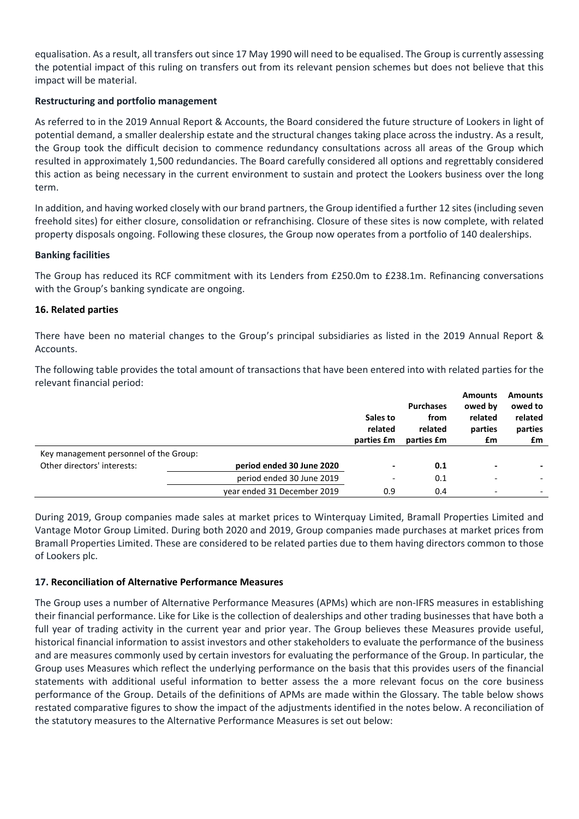equalisation. As a result, all transfers out since 17 May 1990 will need to be equalised. The Group is currently assessing the potential impact of this ruling on transfers out from its relevant pension schemes but does not believe that this impact will be material.

# **Restructuring and portfolio management**

As referred to in the 2019 Annual Report & Accounts, the Board considered the future structure of Lookers in light of potential demand, a smaller dealership estate and the structural changes taking place across the industry. As a result, the Group took the difficult decision to commence redundancy consultations across all areas of the Group which resulted in approximately 1,500 redundancies. The Board carefully considered all options and regrettably considered this action as being necessary in the current environment to sustain and protect the Lookers business over the long term.

In addition, and having worked closely with our brand partners, the Group identified a further 12 sites(including seven freehold sites) for either closure, consolidation or refranchising. Closure of these sites is now complete, with related property disposals ongoing. Following these closures, the Group now operates from a portfolio of 140 dealerships.

# **Banking facilities**

The Group has reduced its RCF commitment with its Lenders from £250.0m to £238.1m. Refinancing conversations with the Group's banking syndicate are ongoing.

# **16. Related parties**

There have been no material changes to the Group's principal subsidiaries as listed in the 2019 Annual Report & Accounts.

The following table provides the total amount of transactions that have been entered into with related parties for the relevant financial period:

|                                        |                             |                          |                  | <b>Amounts</b>           | <b>Amounts</b> |
|----------------------------------------|-----------------------------|--------------------------|------------------|--------------------------|----------------|
|                                        |                             |                          | <b>Purchases</b> | owed by                  | owed to        |
|                                        |                             | Sales to                 | from             | related                  | related        |
|                                        |                             | related                  | related          | parties                  | parties        |
|                                        |                             | parties £m               | parties £m       | £m                       | £m             |
| Key management personnel of the Group: |                             |                          |                  |                          |                |
| Other directors' interests:            | period ended 30 June 2020   | $\blacksquare$           | 0.1              | $\blacksquare$           |                |
|                                        | period ended 30 June 2019   | $\overline{\phantom{a}}$ | 0.1              | $\overline{\phantom{0}}$ |                |
|                                        | year ended 31 December 2019 | 0.9                      | 0.4              | $\overline{\phantom{0}}$ |                |

During 2019, Group companies made sales at market prices to Winterquay Limited, Bramall Properties Limited and Vantage Motor Group Limited. During both 2020 and 2019, Group companies made purchases at market prices from Bramall Properties Limited. These are considered to be related parties due to them having directors common to those of Lookers plc.

# **17. Reconciliation of Alternative Performance Measures**

The Group uses a number of Alternative Performance Measures (APMs) which are non‐IFRS measures in establishing their financial performance. Like for Like is the collection of dealerships and other trading businesses that have both a full year of trading activity in the current year and prior year. The Group believes these Measures provide useful, historical financial information to assist investors and other stakeholders to evaluate the performance of the business and are measures commonly used by certain investors for evaluating the performance of the Group. In particular, the Group uses Measures which reflect the underlying performance on the basis that this provides users of the financial statements with additional useful information to better assess the a more relevant focus on the core business performance of the Group. Details of the definitions of APMs are made within the Glossary. The table below shows restated comparative figures to show the impact of the adjustments identified in the notes below. A reconciliation of the statutory measures to the Alternative Performance Measures is set out below: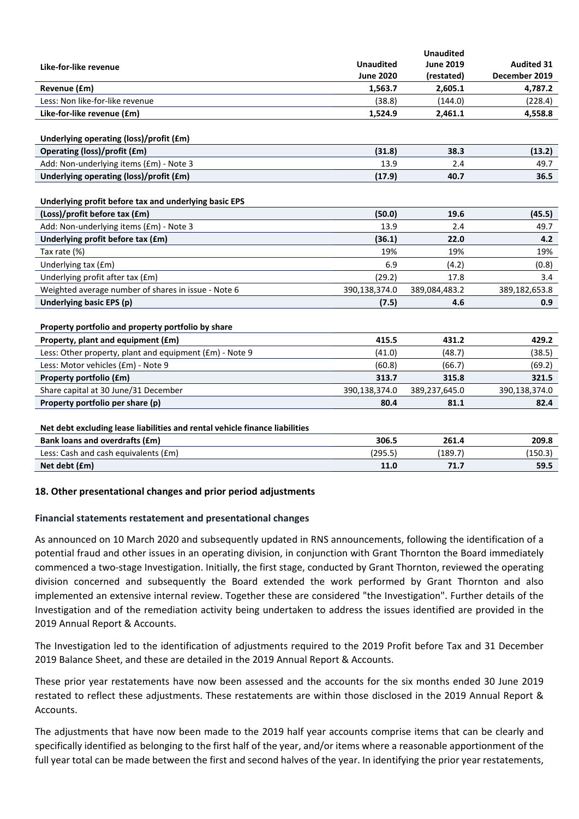|                                                                             |                  | <b>Unaudited</b> |                   |
|-----------------------------------------------------------------------------|------------------|------------------|-------------------|
| Like-for-like revenue                                                       | <b>Unaudited</b> | <b>June 2019</b> | <b>Audited 31</b> |
|                                                                             | <b>June 2020</b> | (restated)       | December 2019     |
| Revenue (£m)                                                                | 1,563.7          | 2,605.1          | 4,787.2           |
| Less: Non like-for-like revenue                                             | (38.8)           | (144.0)          | (228.4)           |
| Like-for-like revenue (£m)                                                  | 1,524.9          | 2,461.1          | 4,558.8           |
|                                                                             |                  |                  |                   |
| Underlying operating (loss)/profit (£m)                                     |                  |                  |                   |
| <b>Operating (loss)/profit (£m)</b>                                         | (31.8)           | 38.3             | (13.2)            |
| Add: Non-underlying items (£m) - Note 3                                     | 13.9             | 2.4              | 49.7              |
| Underlying operating (loss)/profit (£m)                                     | (17.9)           | 40.7             | 36.5              |
|                                                                             |                  |                  |                   |
| Underlying profit before tax and underlying basic EPS                       |                  |                  |                   |
| (Loss)/profit before tax (£m)                                               | (50.0)           | 19.6             | (45.5)            |
| Add: Non-underlying items (£m) - Note 3                                     | 13.9             | 2.4              | 49.7              |
| Underlying profit before tax (£m)                                           | (36.1)           | 22.0             | 4.2               |
| Tax rate (%)                                                                | 19%              | 19%              | 19%               |
| Underlying tax (£m)                                                         | 6.9              | (4.2)            | (0.8)             |
| Underlying profit after tax (£m)                                            | (29.2)           | 17.8             | 3.4               |
| Weighted average number of shares in issue - Note 6                         | 390,138,374.0    | 389,084,483.2    | 389,182,653.8     |
| Underlying basic EPS (p)                                                    | (7.5)            | 4.6              | 0.9               |
|                                                                             |                  |                  |                   |
| Property portfolio and property portfolio by share                          |                  |                  |                   |
| Property, plant and equipment (£m)                                          | 415.5            | 431.2            | 429.2             |
| Less: Other property, plant and equipment (£m) - Note 9                     | (41.0)           | (48.7)           | (38.5)            |
| Less: Motor vehicles (£m) - Note 9                                          | (60.8)           | (66.7)           | (69.2)            |
| Property portfolio (£m)                                                     | 313.7            | 315.8            | 321.5             |
| Share capital at 30 June/31 December                                        | 390,138,374.0    | 389,237,645.0    | 390,138,374.0     |
| Property portfolio per share (p)                                            | 80.4             | 81.1             | 82.4              |
|                                                                             |                  |                  |                   |
| Net debt excluding lease liabilities and rental vehicle finance liabilities |                  |                  |                   |
| <b>Bank loans and overdrafts (£m)</b>                                       | 306.5            | 261.4            | 209.8             |
| Less: Cash and cash equivalents (£m)                                        | (295.5)          | (189.7)          | (150.3)           |

# **18. Other presentational changes and prior period adjustments**

# **Financial statements restatement and presentational changes**

As announced on 10 March 2020 and subsequently updated in RNS announcements, following the identification of a potential fraud and other issues in an operating division, in conjunction with Grant Thornton the Board immediately commenced a two-stage Investigation. Initially, the first stage, conducted by Grant Thornton, reviewed the operating division concerned and subsequently the Board extended the work performed by Grant Thornton and also implemented an extensive internal review. Together these are considered "the Investigation". Further details of the Investigation and of the remediation activity being undertaken to address the issues identified are provided in the 2019 Annual Report & Accounts.

**Net debt (£m) 11.0 71.7 59.5** 

The Investigation led to the identification of adjustments required to the 2019 Profit before Tax and 31 December 2019 Balance Sheet, and these are detailed in the 2019 Annual Report & Accounts.

These prior year restatements have now been assessed and the accounts for the six months ended 30 June 2019 restated to reflect these adjustments. These restatements are within those disclosed in the 2019 Annual Report & Accounts.

The adjustments that have now been made to the 2019 half year accounts comprise items that can be clearly and specifically identified as belonging to the first half of the year, and/or items where a reasonable apportionment of the full year total can be made between the first and second halves of the year. In identifying the prior year restatements,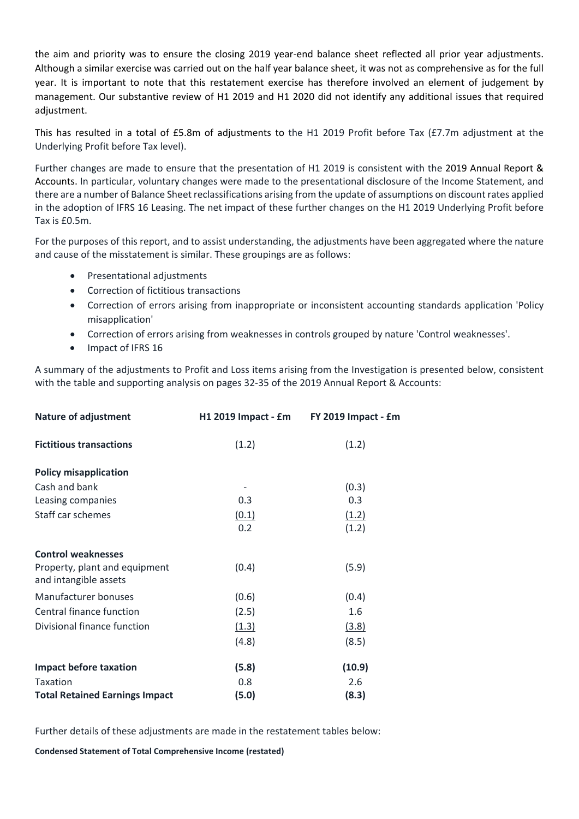the aim and priority was to ensure the closing 2019 year-end balance sheet reflected all prior year adjustments. Although a similar exercise was carried out on the half year balance sheet, it was not as comprehensive as for the full year. It is important to note that this restatement exercise has therefore involved an element of judgement by management. Our substantive review of H1 2019 and H1 2020 did not identify any additional issues that required adjustment.

This has resulted in a total of £5.8m of adjustments to the H1 2019 Profit before Tax (£7.7m adjustment at the Underlying Profit before Tax level).

Further changes are made to ensure that the presentation of H1 2019 is consistent with the 2019 Annual Report & Accounts. In particular, voluntary changes were made to the presentational disclosure of the Income Statement, and there are a number of Balance Sheet reclassifications arising from the update of assumptions on discount rates applied in the adoption of IFRS 16 Leasing. The net impact of these further changes on the H1 2019 Underlying Profit before Tax is £0.5m.

For the purposes of this report, and to assist understanding, the adjustments have been aggregated where the nature and cause of the misstatement is similar. These groupings are as follows:

- Presentational adjustments
- Correction of fictitious transactions
- Correction of errors arising from inappropriate or inconsistent accounting standards application 'Policy misapplication'
- Correction of errors arising from weaknesses in controls grouped by nature 'Control weaknesses'.
- Impact of IFRS 16

A summary of the adjustments to Profit and Loss items arising from the Investigation is presented below, consistent with the table and supporting analysis on pages 32‐35 of the 2019 Annual Report & Accounts:

| <b>Nature of adjustment</b>                            | H1 2019 Impact - £m | FY 2019 Impact - £m |
|--------------------------------------------------------|---------------------|---------------------|
| <b>Fictitious transactions</b>                         | (1.2)               | (1.2)               |
| <b>Policy misapplication</b>                           |                     |                     |
| Cash and bank                                          |                     | (0.3)               |
| Leasing companies                                      | 0.3                 | 0.3                 |
| Staff car schemes                                      | (0.1)               | (1.2)               |
|                                                        | 0.2                 | (1.2)               |
| <b>Control weaknesses</b>                              |                     |                     |
| Property, plant and equipment<br>and intangible assets | (0.4)               | (5.9)               |
| Manufacturer bonuses                                   | (0.6)               | (0.4)               |
| Central finance function                               | (2.5)               | 1.6                 |
| Divisional finance function                            | (1.3)               | (3.8)               |
|                                                        | (4.8)               | (8.5)               |
| <b>Impact before taxation</b>                          | (5.8)               | (10.9)              |
| <b>Taxation</b>                                        | 0.8                 | 2.6                 |
| <b>Total Retained Earnings Impact</b>                  | (5.0)               | (8.3)               |

Further details of these adjustments are made in the restatement tables below:

**Condensed Statement of Total Comprehensive Income (restated)**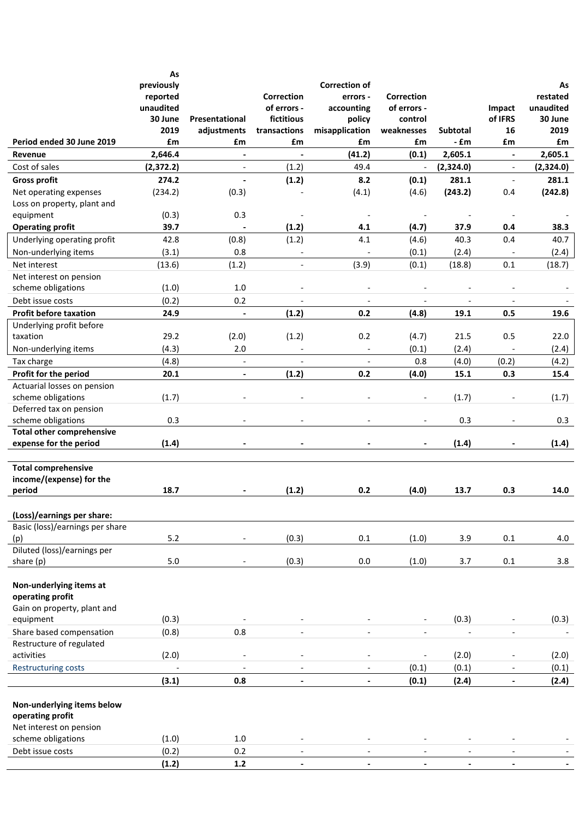|                                                                            | As<br>previously<br>reported<br>unaudited<br>30 June<br>2019 | Presentational<br>adjustments | <b>Correction</b><br>of errors -<br>fictitious<br>transactions | <b>Correction of</b><br>errors -<br>accounting<br>policy<br>misapplication | <b>Correction</b><br>of errors -<br>control<br>weaknesses | <b>Subtotal</b>          | Impact<br>of IFRS<br>16  | As<br>restated<br>unaudited<br>30 June<br>2019 |
|----------------------------------------------------------------------------|--------------------------------------------------------------|-------------------------------|----------------------------------------------------------------|----------------------------------------------------------------------------|-----------------------------------------------------------|--------------------------|--------------------------|------------------------------------------------|
| Period ended 30 June 2019                                                  | £m                                                           | £m                            | £m                                                             | £m                                                                         | £m                                                        | - £m                     | £m                       | £m                                             |
| Revenue                                                                    | 2,646.4                                                      | $\blacksquare$                | $\overline{\phantom{a}}$                                       | (41.2)                                                                     | (0.1)                                                     | 2,605.1                  | $\blacksquare$           | 2,605.1                                        |
| Cost of sales                                                              | (2, 372.2)                                                   | $\overline{\phantom{a}}$      | (1.2)                                                          | 49.4                                                                       | $\overline{\phantom{a}}$                                  | (2,324.0)                | $\blacksquare$           | (2,324.0)                                      |
| <b>Gross profit</b>                                                        | 274.2                                                        | $\overline{a}$                | (1.2)                                                          | 8.2                                                                        | (0.1)                                                     | 281.1                    | $\mathbb{L}$             | 281.1                                          |
| Net operating expenses                                                     | (234.2)                                                      | (0.3)                         |                                                                | (4.1)                                                                      | (4.6)                                                     | (243.2)                  | 0.4                      | (242.8)                                        |
| Loss on property, plant and<br>equipment                                   | (0.3)                                                        | 0.3                           |                                                                | $\overline{\phantom{a}}$                                                   | $\overline{\phantom{a}}$                                  | $\overline{a}$           | $\overline{\phantom{a}}$ |                                                |
| <b>Operating profit</b>                                                    | 39.7                                                         |                               | (1.2)                                                          | 4.1                                                                        | (4.7)                                                     | 37.9                     | 0.4                      | 38.3                                           |
| Underlying operating profit                                                | 42.8                                                         | (0.8)                         | (1.2)                                                          | 4.1                                                                        | (4.6)                                                     | 40.3                     | 0.4                      | 40.7                                           |
| Non-underlying items                                                       | (3.1)                                                        | 0.8                           |                                                                |                                                                            | (0.1)                                                     | (2.4)                    |                          | (2.4)                                          |
| Net interest                                                               | (13.6)                                                       | (1.2)                         | $\overline{\phantom{a}}$                                       | (3.9)                                                                      | (0.1)                                                     | (18.8)                   | 0.1                      | (18.7)                                         |
| Net interest on pension                                                    |                                                              |                               |                                                                |                                                                            |                                                           |                          |                          |                                                |
| scheme obligations                                                         | (1.0)                                                        | 1.0                           |                                                                |                                                                            |                                                           |                          |                          |                                                |
| Debt issue costs                                                           | (0.2)                                                        | 0.2                           | $\overline{\phantom{a}}$                                       | $\overline{\phantom{a}}$                                                   | $\overline{\phantom{a}}$                                  | $\overline{\phantom{a}}$ | $\overline{\phantom{a}}$ | $\overline{\phantom{a}}$                       |
| <b>Profit before taxation</b>                                              | 24.9                                                         | $\overline{\phantom{a}}$      | (1.2)                                                          | 0.2                                                                        | (4.8)                                                     | 19.1                     | 0.5                      | 19.6                                           |
| Underlying profit before                                                   |                                                              |                               |                                                                |                                                                            |                                                           |                          |                          |                                                |
| taxation                                                                   | 29.2                                                         | (2.0)                         | (1.2)                                                          | 0.2                                                                        | (4.7)                                                     | 21.5                     | 0.5                      | 22.0                                           |
| Non-underlying items                                                       | (4.3)                                                        | 2.0                           |                                                                | $\overline{\phantom{a}}$                                                   | (0.1)                                                     | (2.4)                    | $\overline{\phantom{a}}$ | (2.4)                                          |
| Tax charge                                                                 | (4.8)                                                        | $\overline{\phantom{a}}$      |                                                                |                                                                            | 0.8                                                       | (4.0)                    | (0.2)                    | (4.2)                                          |
| Profit for the period                                                      | 20.1                                                         | $\overline{\phantom{a}}$      | (1.2)                                                          | 0.2                                                                        | (4.0)                                                     | 15.1                     | 0.3                      | 15.4                                           |
| Actuarial losses on pension                                                |                                                              |                               |                                                                |                                                                            |                                                           |                          |                          |                                                |
| scheme obligations                                                         | (1.7)                                                        |                               |                                                                |                                                                            |                                                           | (1.7)                    |                          | (1.7)                                          |
| Deferred tax on pension                                                    |                                                              |                               |                                                                |                                                                            |                                                           |                          |                          |                                                |
| scheme obligations                                                         | 0.3                                                          |                               |                                                                |                                                                            |                                                           | 0.3                      |                          | 0.3                                            |
| <b>Total other comprehensive</b><br>expense for the period                 | (1.4)                                                        |                               |                                                                |                                                                            |                                                           | (1.4)                    |                          | (1.4)                                          |
| <b>Total comprehensive</b><br>income/(expense) for the<br>period           | 18.7                                                         |                               | (1.2)                                                          | 0.2                                                                        | (4.0)                                                     | 13.7                     | 0.3                      | 14.0                                           |
|                                                                            |                                                              |                               |                                                                |                                                                            |                                                           |                          |                          |                                                |
| (Loss)/earnings per share:                                                 |                                                              |                               |                                                                |                                                                            |                                                           |                          |                          |                                                |
| Basic (loss)/earnings per share                                            |                                                              |                               |                                                                |                                                                            |                                                           |                          |                          |                                                |
| (p)                                                                        | 5.2                                                          |                               | (0.3)                                                          | $0.1\,$                                                                    | (1.0)                                                     | 3.9                      | 0.1                      | 4.0                                            |
| Diluted (loss)/earnings per                                                |                                                              |                               |                                                                |                                                                            |                                                           |                          |                          |                                                |
| share (p)                                                                  | $5.0\,$                                                      |                               | (0.3)                                                          | $0.0\,$                                                                    | (1.0)                                                     | 3.7                      | 0.1                      | 3.8                                            |
| Non-underlying items at<br>operating profit<br>Gain on property, plant and |                                                              |                               |                                                                |                                                                            |                                                           |                          |                          |                                                |
| equipment                                                                  | (0.3)                                                        |                               |                                                                |                                                                            |                                                           | (0.3)                    |                          | (0.3)                                          |
| Share based compensation                                                   | (0.8)                                                        | 0.8                           |                                                                |                                                                            | $\overline{a}$                                            | $\overline{a}$           | $\blacksquare$           |                                                |
| Restructure of regulated                                                   |                                                              |                               |                                                                |                                                                            |                                                           |                          |                          |                                                |
| activities                                                                 | (2.0)                                                        |                               |                                                                |                                                                            |                                                           | (2.0)                    |                          | (2.0)                                          |
| <b>Restructuring costs</b>                                                 |                                                              | $\overline{\phantom{a}}$      |                                                                | $\overline{\phantom{a}}$                                                   | (0.1)                                                     | (0.1)                    | $\blacksquare$           | (0.1)                                          |
|                                                                            | (3.1)                                                        | 0.8                           | $\blacksquare$                                                 | $\blacksquare$                                                             | (0.1)                                                     | (2.4)                    | $\blacksquare$           | (2.4)                                          |
| Non-underlying items below<br>operating profit<br>Net interest on pension  |                                                              |                               |                                                                |                                                                            |                                                           |                          |                          |                                                |
| scheme obligations                                                         | (1.0)                                                        | 1.0                           |                                                                |                                                                            | $\overline{\phantom{a}}$                                  |                          |                          |                                                |
| Debt issue costs                                                           | (0.2)                                                        | 0.2                           | $\overline{\phantom{a}}$                                       |                                                                            | $\overline{\phantom{a}}$                                  | $\overline{\phantom{a}}$ |                          |                                                |
|                                                                            | (1.2)                                                        | $1.2$                         |                                                                |                                                                            |                                                           |                          |                          |                                                |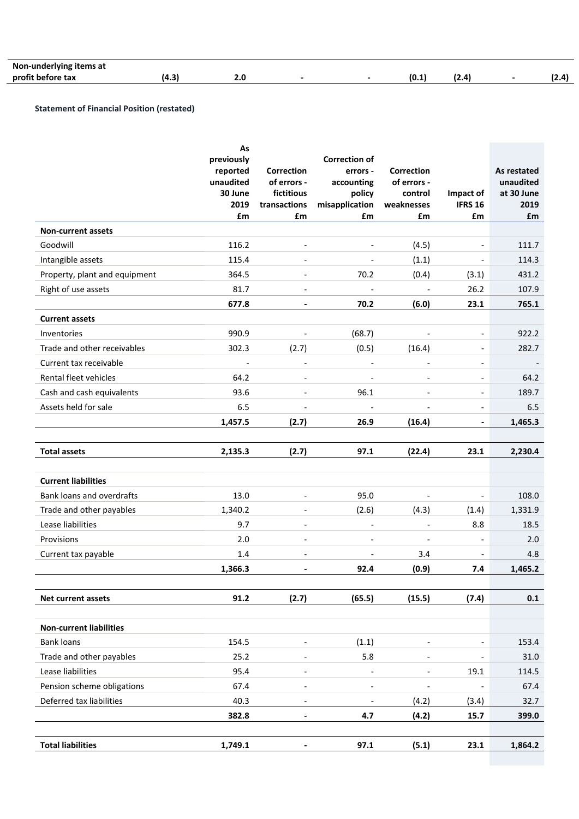| Nor<br>!IIS dt<br>$-$ |     |     |  |     |  |   |
|-----------------------|-----|-----|--|-----|--|---|
| profit<br>tax         | - - | Z.U |  | 10. |  | . |

#### **Statement of Financial Position (restated)**

l

|                                | As<br>previously<br>reported<br>unaudited<br>30 June<br>2019<br>£m | Correction<br>of errors -<br>fictitious<br>transactions<br>£m | <b>Correction of</b><br>errors -<br>accounting<br>policy<br>misapplication<br>£m | <b>Correction</b><br>of errors -<br>control<br>weaknesses<br>£m | Impact of<br><b>IFRS 16</b><br>£m | As restated<br>unaudited<br>at 30 June<br>2019<br>£m |
|--------------------------------|--------------------------------------------------------------------|---------------------------------------------------------------|----------------------------------------------------------------------------------|-----------------------------------------------------------------|-----------------------------------|------------------------------------------------------|
| <b>Non-current assets</b>      |                                                                    |                                                               |                                                                                  |                                                                 |                                   |                                                      |
| Goodwill                       | 116.2                                                              |                                                               |                                                                                  | (4.5)                                                           |                                   | 111.7                                                |
| Intangible assets              | 115.4                                                              |                                                               |                                                                                  | (1.1)                                                           |                                   | 114.3                                                |
| Property, plant and equipment  | 364.5                                                              | $\overline{\phantom{a}}$                                      | 70.2                                                                             | (0.4)                                                           | (3.1)                             | 431.2                                                |
| Right of use assets            | 81.7                                                               |                                                               | $\overline{\phantom{a}}$                                                         |                                                                 | 26.2                              | 107.9                                                |
|                                | 677.8                                                              | $\overline{\phantom{a}}$                                      | 70.2                                                                             | (6.0)                                                           | 23.1                              | 765.1                                                |
| <b>Current assets</b>          |                                                                    |                                                               |                                                                                  |                                                                 |                                   |                                                      |
| Inventories                    | 990.9                                                              | $\qquad \qquad -$                                             | (68.7)                                                                           | $\overline{\phantom{a}}$                                        | $\overline{\phantom{a}}$          | 922.2                                                |
| Trade and other receivables    | 302.3                                                              | (2.7)                                                         | (0.5)                                                                            | (16.4)                                                          | $\qquad \qquad \blacksquare$      | 282.7                                                |
| Current tax receivable         | $\overline{\phantom{a}}$                                           | $\overline{\phantom{a}}$                                      | $\overline{\phantom{a}}$                                                         | $\overline{\phantom{a}}$                                        | $\overline{\phantom{a}}$          |                                                      |
| Rental fleet vehicles          | 64.2                                                               | $\overline{\phantom{a}}$                                      |                                                                                  | $\overline{a}$                                                  | $\overline{\phantom{a}}$          | 64.2                                                 |
| Cash and cash equivalents      | 93.6                                                               | $\overline{\phantom{a}}$                                      | 96.1                                                                             | $\overline{\phantom{a}}$                                        | $\overline{\phantom{a}}$          | 189.7                                                |
| Assets held for sale           | 6.5                                                                |                                                               | $\overline{\phantom{a}}$                                                         |                                                                 | $\overline{\phantom{a}}$          | 6.5                                                  |
|                                | 1,457.5                                                            | (2.7)                                                         | 26.9                                                                             | (16.4)                                                          | $\blacksquare$                    | 1,465.3                                              |
|                                |                                                                    |                                                               |                                                                                  |                                                                 |                                   |                                                      |
| <b>Total assets</b>            | 2,135.3                                                            | (2.7)                                                         | 97.1                                                                             | (22.4)                                                          | 23.1                              | 2,230.4                                              |
|                                |                                                                    |                                                               |                                                                                  |                                                                 |                                   |                                                      |
| <b>Current liabilities</b>     |                                                                    |                                                               |                                                                                  |                                                                 |                                   |                                                      |
| Bank loans and overdrafts      | 13.0                                                               | $\overline{\phantom{a}}$                                      | 95.0                                                                             |                                                                 | $\overline{\phantom{a}}$          | 108.0                                                |
| Trade and other payables       | 1,340.2                                                            | $\overline{\phantom{a}}$                                      | (2.6)                                                                            | (4.3)                                                           | (1.4)                             | 1,331.9                                              |
| Lease liabilities              | 9.7                                                                |                                                               | $\overline{\phantom{a}}$                                                         | $\overline{\phantom{a}}$                                        | 8.8                               | 18.5                                                 |
| Provisions                     | 2.0                                                                | $\overline{\phantom{a}}$                                      | $\overline{\phantom{a}}$                                                         | $\overline{\phantom{a}}$                                        | $\overline{a}$                    | 2.0                                                  |
| Current tax payable            | $1.4\,$                                                            | $\overline{\phantom{a}}$                                      | $\overline{\phantom{0}}$                                                         | 3.4                                                             | $\overline{\phantom{0}}$          | 4.8                                                  |
|                                | 1,366.3                                                            | $\overline{\phantom{0}}$                                      | 92.4                                                                             | (0.9)                                                           | 7.4                               | 1,465.2                                              |
| Net current assets             | 91.2                                                               | (2.7)                                                         | (65.5)                                                                           | (15.5)                                                          | (7.4)                             | 0.1                                                  |
|                                |                                                                    |                                                               |                                                                                  |                                                                 |                                   |                                                      |
| <b>Non-current liabilities</b> |                                                                    |                                                               |                                                                                  |                                                                 |                                   |                                                      |
| <b>Bank loans</b>              | 154.5                                                              |                                                               | (1.1)                                                                            |                                                                 |                                   | 153.4                                                |
| Trade and other payables       | 25.2                                                               |                                                               | 5.8                                                                              |                                                                 |                                   | 31.0                                                 |
| Lease liabilities              | 95.4                                                               |                                                               | $\overline{\phantom{a}}$                                                         |                                                                 | 19.1                              | 114.5                                                |
| Pension scheme obligations     | 67.4                                                               | $\overline{\phantom{a}}$                                      | $\qquad \qquad \blacksquare$                                                     |                                                                 |                                   | 67.4                                                 |
| Deferred tax liabilities       | 40.3                                                               | $\overline{\phantom{0}}$                                      | $\qquad \qquad -$                                                                | (4.2)                                                           | (3.4)                             | 32.7                                                 |
|                                | 382.8                                                              | $\overline{\phantom{a}}$                                      | 4.7                                                                              | (4.2)                                                           | 15.7                              | 399.0                                                |
| <b>Total liabilities</b>       | 1,749.1                                                            |                                                               | 97.1                                                                             | (5.1)                                                           | 23.1                              |                                                      |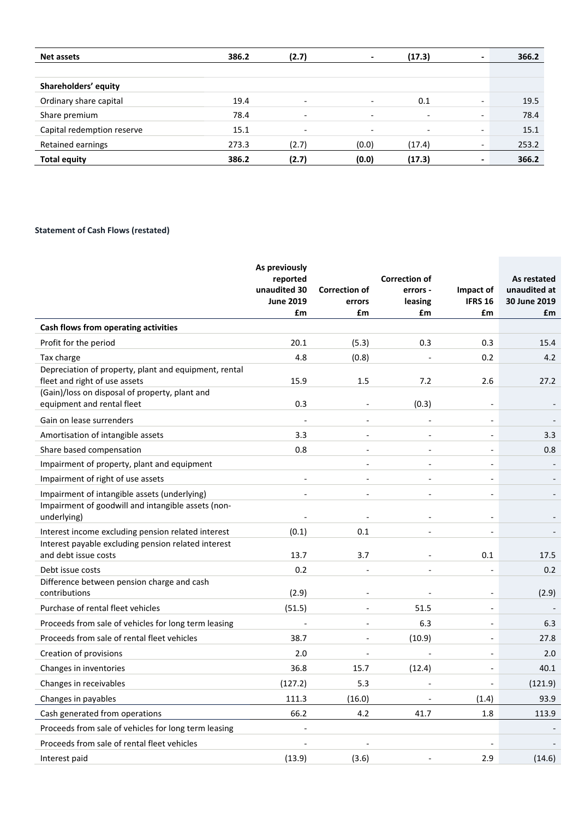| Net assets                 | 386.2 | (2.7)                    | $\blacksquare$           | (17.3)                   | $\qquad \qquad \blacksquare$ | 366.2 |
|----------------------------|-------|--------------------------|--------------------------|--------------------------|------------------------------|-------|
|                            |       |                          |                          |                          |                              |       |
| Shareholders' equity       |       |                          |                          |                          |                              |       |
| Ordinary share capital     | 19.4  | $\overline{\phantom{a}}$ | $\overline{\phantom{a}}$ | 0.1                      | $\overline{\phantom{0}}$     | 19.5  |
| Share premium              | 78.4  | $\overline{\phantom{a}}$ | $\overline{\phantom{a}}$ | $\overline{\phantom{a}}$ | $\overline{\phantom{a}}$     | 78.4  |
| Capital redemption reserve | 15.1  | $\overline{\phantom{a}}$ | $\overline{\phantom{0}}$ | $\overline{\phantom{0}}$ | $\overline{\phantom{a}}$     | 15.1  |
| Retained earnings          | 273.3 | (2.7)                    | (0.0)                    | (17.4)                   | $\overline{\phantom{a}}$     | 253.2 |
| <b>Total equity</b>        | 386.2 | (2.7)                    | (0.0)                    | (17.3)                   | $\qquad \qquad \blacksquare$ | 366.2 |

# **Statement of Cash Flows (restated)**

|                                                                                                    | As previously<br>reported<br>unaudited 30<br><b>June 2019</b><br>£m | <b>Correction of</b><br>errors<br>£m | <b>Correction of</b><br>errors -<br>leasing<br>£m | Impact of<br><b>IFRS 16</b><br>£m | As restated<br>unaudited at<br>30 June 2019<br>£m |
|----------------------------------------------------------------------------------------------------|---------------------------------------------------------------------|--------------------------------------|---------------------------------------------------|-----------------------------------|---------------------------------------------------|
| Cash flows from operating activities                                                               |                                                                     |                                      |                                                   |                                   |                                                   |
| Profit for the period                                                                              | 20.1                                                                | (5.3)                                | 0.3                                               | 0.3                               | 15.4                                              |
| Tax charge                                                                                         | 4.8                                                                 | (0.8)                                |                                                   | 0.2                               | 4.2                                               |
| Depreciation of property, plant and equipment, rental<br>fleet and right of use assets             | 15.9                                                                | 1.5                                  | 7.2                                               | 2.6                               | 27.2                                              |
| (Gain)/loss on disposal of property, plant and<br>equipment and rental fleet                       | 0.3                                                                 |                                      | (0.3)                                             |                                   |                                                   |
| Gain on lease surrenders                                                                           | $\overline{\phantom{a}}$                                            | $\overline{a}$                       | $\overline{a}$                                    | $\overline{\phantom{a}}$          |                                                   |
| Amortisation of intangible assets                                                                  | 3.3                                                                 |                                      |                                                   |                                   | 3.3                                               |
| Share based compensation                                                                           | 0.8                                                                 |                                      | $\overline{\phantom{a}}$                          |                                   | 0.8                                               |
| Impairment of property, plant and equipment                                                        |                                                                     | $\overline{a}$                       | $\blacksquare$                                    | $\overline{a}$                    |                                                   |
| Impairment of right of use assets                                                                  | $\overline{a}$                                                      | $\overline{a}$                       |                                                   |                                   |                                                   |
| Impairment of intangible assets (underlying)<br>Impairment of goodwill and intangible assets (non- | $\overline{a}$                                                      | $\overline{\phantom{a}}$             | $\overline{\phantom{a}}$                          | $\overline{\phantom{a}}$          |                                                   |
| underlying)                                                                                        |                                                                     |                                      |                                                   |                                   |                                                   |
| Interest income excluding pension related interest                                                 | (0.1)                                                               | 0.1                                  | $\overline{a}$                                    |                                   |                                                   |
| Interest payable excluding pension related interest<br>and debt issue costs                        | 13.7                                                                | 3.7                                  |                                                   | 0.1                               | 17.5                                              |
| Debt issue costs                                                                                   | 0.2                                                                 |                                      |                                                   |                                   | 0.2                                               |
| Difference between pension charge and cash<br>contributions                                        | (2.9)                                                               | $\overline{a}$                       |                                                   | $\overline{a}$                    | (2.9)                                             |
| Purchase of rental fleet vehicles                                                                  | (51.5)                                                              | $\overline{\phantom{a}}$             | 51.5                                              |                                   |                                                   |
| Proceeds from sale of vehicles for long term leasing                                               | $\overline{a}$                                                      | $\blacksquare$                       | 6.3                                               | $\blacksquare$                    | 6.3                                               |
| Proceeds from sale of rental fleet vehicles                                                        | 38.7                                                                |                                      | (10.9)                                            | $\overline{a}$                    | 27.8                                              |
| Creation of provisions                                                                             | 2.0                                                                 | $\overline{a}$                       | $\overline{a}$                                    | $\blacksquare$                    | 2.0                                               |
| Changes in inventories                                                                             | 36.8                                                                | 15.7                                 | (12.4)                                            | $\blacksquare$                    | 40.1                                              |
| Changes in receivables                                                                             | (127.2)                                                             | 5.3                                  | $\overline{\phantom{a}}$                          | $\overline{\phantom{a}}$          | (121.9)                                           |
| Changes in payables                                                                                | 111.3                                                               | (16.0)                               |                                                   | (1.4)                             | 93.9                                              |
| Cash generated from operations                                                                     | 66.2                                                                | 4.2                                  | 41.7                                              | 1.8                               | 113.9                                             |
| Proceeds from sale of vehicles for long term leasing                                               | $\overline{a}$                                                      |                                      |                                                   |                                   |                                                   |
| Proceeds from sale of rental fleet vehicles                                                        |                                                                     |                                      |                                                   |                                   |                                                   |
| Interest paid                                                                                      | (13.9)                                                              | (3.6)                                |                                                   | 2.9                               | (14.6)                                            |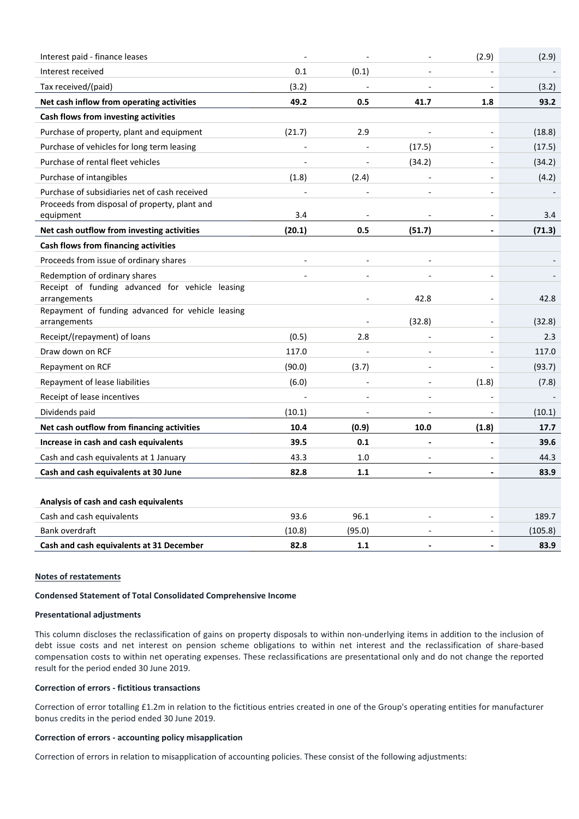| Interest paid - finance leases                                    |                |                          |                          | (2.9)                    | (2.9)   |
|-------------------------------------------------------------------|----------------|--------------------------|--------------------------|--------------------------|---------|
| Interest received                                                 | 0.1            | (0.1)                    |                          |                          |         |
| Tax received/(paid)                                               | (3.2)          |                          |                          |                          | (3.2)   |
| Net cash inflow from operating activities                         | 49.2           | 0.5                      | 41.7                     | 1.8                      | 93.2    |
| Cash flows from investing activities                              |                |                          |                          |                          |         |
| Purchase of property, plant and equipment                         | (21.7)         | 2.9                      | L,                       | $\overline{\phantom{a}}$ | (18.8)  |
| Purchase of vehicles for long term leasing                        |                |                          | (17.5)                   |                          | (17.5)  |
| Purchase of rental fleet vehicles                                 | $\overline{a}$ | $\overline{\phantom{a}}$ | (34.2)                   | $\blacksquare$           | (34.2)  |
| Purchase of intangibles                                           | (1.8)          | (2.4)                    |                          |                          | (4.2)   |
| Purchase of subsidiaries net of cash received                     |                |                          |                          | $\overline{a}$           |         |
| Proceeds from disposal of property, plant and                     |                |                          |                          |                          |         |
| equipment                                                         | 3.4            |                          |                          |                          | 3.4     |
| Net cash outflow from investing activities                        | (20.1)         | 0.5                      | (51.7)                   |                          | (71.3)  |
| Cash flows from financing activities                              |                |                          |                          |                          |         |
| Proceeds from issue of ordinary shares                            | $\overline{a}$ |                          |                          |                          |         |
| Redemption of ordinary shares                                     |                | $\overline{\phantom{a}}$ | $\overline{a}$           |                          |         |
| Receipt of funding advanced for vehicle leasing                   |                |                          |                          |                          |         |
| arrangements                                                      |                |                          | 42.8                     |                          | 42.8    |
| Repayment of funding advanced for vehicle leasing<br>arrangements |                | $\overline{a}$           | (32.8)                   |                          | (32.8)  |
| Receipt/(repayment) of loans                                      | (0.5)          | 2.8                      | $\overline{\phantom{a}}$ | $\overline{\phantom{a}}$ | 2.3     |
| Draw down on RCF                                                  | 117.0          |                          |                          |                          | 117.0   |
| Repayment on RCF                                                  | (90.0)         | (3.7)                    |                          |                          | (93.7)  |
| Repayment of lease liabilities                                    | (6.0)          |                          |                          | (1.8)                    | (7.8)   |
| Receipt of lease incentives                                       |                |                          | $\overline{a}$           |                          |         |
| Dividends paid                                                    | (10.1)         |                          |                          |                          | (10.1)  |
| Net cash outflow from financing activities                        | 10.4           | (0.9)                    | 10.0                     | (1.8)                    | 17.7    |
| Increase in cash and cash equivalents                             | 39.5           | 0.1                      |                          |                          | 39.6    |
| Cash and cash equivalents at 1 January                            | 43.3           | 1.0                      | $\overline{\phantom{a}}$ |                          | 44.3    |
| Cash and cash equivalents at 30 June                              | 82.8           | 1.1                      | $\overline{a}$           |                          | 83.9    |
|                                                                   |                |                          |                          |                          |         |
| Analysis of cash and cash equivalents                             |                |                          |                          |                          |         |
| Cash and cash equivalents                                         | 93.6           | 96.1                     | $\overline{a}$           |                          | 189.7   |
| Bank overdraft                                                    | (10.8)         | (95.0)                   |                          |                          | (105.8) |
| Cash and cash equivalents at 31 December                          | 82.8           | 1.1                      | $\blacksquare$           | $\overline{\phantom{a}}$ | 83.9    |

# **Notes of restatements**

#### **Condensed Statement of Total Consolidated Comprehensive Income**

#### **Presentational adjustments**

This column discloses the reclassification of gains on property disposals to within non-underlying items in addition to the inclusion of debt issue costs and net interest on pension scheme obligations to within net interest and the reclassification of share‐based compensation costs to within net operating expenses. These reclassifications are presentational only and do not change the reported result for the period ended 30 June 2019.

#### **Correction of errors ‐ fictitious transactions**

Correction of error totalling £1.2m in relation to the fictitious entries created in one of the Group's operating entities for manufacturer bonus credits in the period ended 30 June 2019. 

#### **Correction of errors ‐ accounting policy misapplication**

Correction of errors in relation to misapplication of accounting policies. These consist of the following adjustments: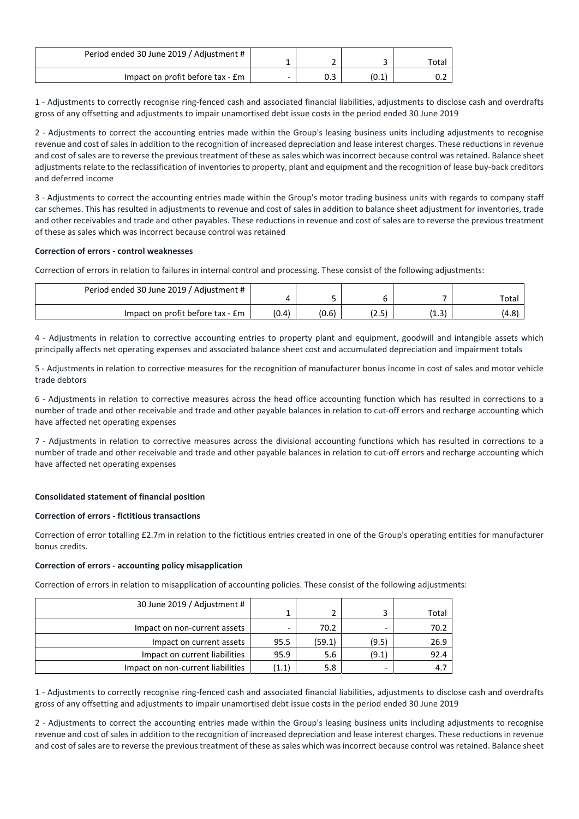| Period ended 30 June 2019 / Adjustment # |   |    |       |
|------------------------------------------|---|----|-------|
|                                          |   |    | Totai |
| Impact on profit before tax - £m         | - | υ. |       |

1 ‐ Adjustments to correctly recognise ring‐fenced cash and associated financial liabilities, adjustments to disclose cash and overdrafts gross of any offsetting and adjustments to impair unamortised debt issue costs in the period ended 30 June 2019

2 - Adjustments to correct the accounting entries made within the Group's leasing business units including adjustments to recognise revenue and cost ofsales in addition to the recognition of increased depreciation and lease interest charges. These reductions in revenue and cost ofsales are to reverse the previous treatment of these as sales which was incorrect because control was retained. Balance sheet adjustments relate to the reclassification of inventories to property, plant and equipment and the recognition of lease buy‐back creditors and deferred income

3 ‐ Adjustments to correct the accounting entries made within the Group's motor trading business units with regards to company staff car schemes. This has resulted in adjustments to revenue and cost of sales in addition to balance sheet adjustment for inventories, trade and other receivables and trade and other payables. These reductions in revenue and cost of sales are to reverse the previous treatment of these as sales which was incorrect because control was retained

#### **Correction of errors ‐ control weaknesses**

Correction of errors in relation to failures in internal control and processing. These consist of the following adjustments:

| Period ended 30 June 2019 / Adjustment # |       |       |      |      |       |
|------------------------------------------|-------|-------|------|------|-------|
|                                          |       |       |      |      | Total |
| Impact on profit before tax - £m         | (0.4) | (0.6) | しん・コ | ر… _ | (4.8) |

4 - Adjustments in relation to corrective accounting entries to property plant and equipment, goodwill and intangible assets which principally affects net operating expenses and associated balance sheet cost and accumulated depreciation and impairment totals

5 ‐ Adjustments in relation to corrective measures for the recognition of manufacturer bonus income in cost of sales and motor vehicle trade debtors

6 ‐ Adjustments in relation to corrective measures across the head office accounting function which has resulted in corrections to a number of trade and other receivable and trade and other payable balances in relation to cut-off errors and recharge accounting which have affected net operating expenses

7 - Adjustments in relation to corrective measures across the divisional accounting functions which has resulted in corrections to a number of trade and other receivable and trade and other payable balances in relation to cut-off errors and recharge accounting which have affected net operating expenses

#### **Consolidated statement of financial position**

#### **Correction of errors ‐ fictitious transactions**

Correction of error totalling £2.7m in relation to the fictitious entries created in one of the Group's operating entities for manufacturer bonus credits.

#### **Correction of errors ‐ accounting policy misapplication**

Correction of errors in relation to misapplication of accounting policies. These consist of the following adjustments:

| 30 June 2019 / Adjustment #       |       |        |       |       |
|-----------------------------------|-------|--------|-------|-------|
|                                   |       |        |       | Total |
| Impact on non-current assets      |       | 70.2   |       | 70.2  |
| Impact on current assets          | 95.5  | (59.1) | (9.5) | 26.9  |
| Impact on current liabilities     | 95.9  | 5.6    | (9.1) | 92.4  |
| Impact on non-current liabilities | (1.1) | 5.8    |       | 4.7   |

1 ‐ Adjustments to correctly recognise ring‐fenced cash and associated financial liabilities, adjustments to disclose cash and overdrafts gross of any offsetting and adjustments to impair unamortised debt issue costs in the period ended 30 June 2019

2 - Adjustments to correct the accounting entries made within the Group's leasing business units including adjustments to recognise revenue and cost ofsales in addition to the recognition of increased depreciation and lease interest charges. These reductions in revenue and cost of sales are to reverse the previous treatment of these as sales which was incorrect because control was retained. Balance sheet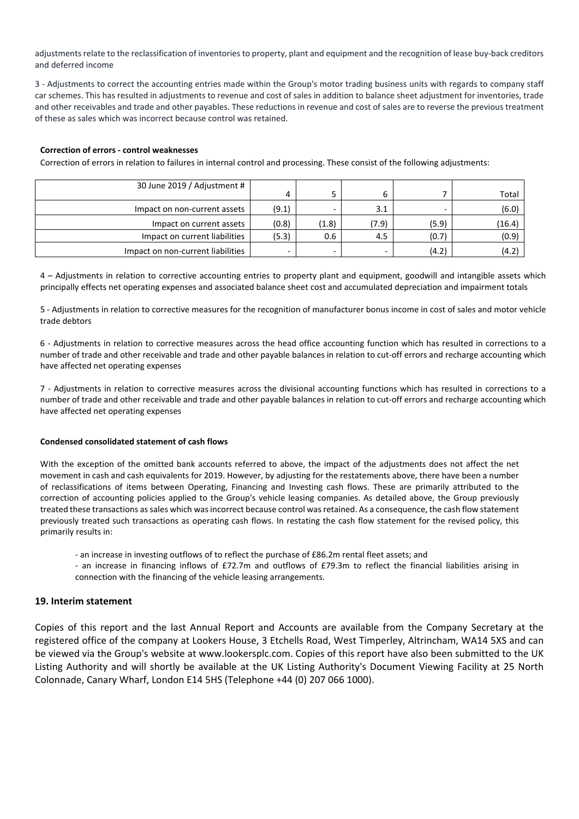adjustments relate to the reclassification of inventories to property, plant and equipment and the recognition of lease buy‐back creditors and deferred income

3 ‐ Adjustments to correct the accounting entries made within the Group's motor trading business units with regards to company staff car schemes. This has resulted in adjustments to revenue and cost of sales in addition to balance sheet adjustment for inventories, trade and other receivables and trade and other payables. These reductions in revenue and cost of sales are to reverse the previous treatment of these as sales which was incorrect because control was retained.

#### **Correction of errors ‐ control weaknesses**

Correction of errors in relation to failures in internal control and processing. These consist of the following adjustments:

| 30 June 2019 / Adjustment #       |                          |                          |                          |       |        |
|-----------------------------------|--------------------------|--------------------------|--------------------------|-------|--------|
|                                   |                          |                          |                          |       | Total  |
| Impact on non-current assets      | (9.1)                    |                          | 3.1                      |       | (6.0)  |
| Impact on current assets          | (0.8)                    | (1.8)                    | (7.9)                    | (5.9) | (16.4) |
| Impact on current liabilities     | (5.3)                    | 0.6                      | 4.5                      | (0.7) | (0.9)  |
| Impact on non-current liabilities | $\overline{\phantom{0}}$ | $\overline{\phantom{0}}$ | $\overline{\phantom{0}}$ | (4.2) | (4.2)  |

4 – Adjustments in relation to corrective accounting entries to property plant and equipment, goodwill and intangible assets which principally effects net operating expenses and associated balance sheet cost and accumulated depreciation and impairment totals

5 ‐ Adjustments in relation to corrective measures for the recognition of manufacturer bonus income in cost of sales and motor vehicle trade debtors

6 ‐ Adjustments in relation to corrective measures across the head office accounting function which has resulted in corrections to a number of trade and other receivable and trade and other payable balances in relation to cut-off errors and recharge accounting which have affected net operating expenses

7 - Adjustments in relation to corrective measures across the divisional accounting functions which has resulted in corrections to a number of trade and other receivable and trade and other payable balances in relation to cut-off errors and recharge accounting which have affected net operating expenses

#### **Condensed consolidated statement of cash flows**

With the exception of the omitted bank accounts referred to above, the impact of the adjustments does not affect the net movement in cash and cash equivalents for 2019. However, by adjusting for the restatements above, there have been a number of reclassifications of items between Operating, Financing and Investing cash flows. These are primarily attributed to the correction of accounting policies applied to the Group's vehicle leasing companies. As detailed above, the Group previously treated these transactions assales which wasincorrect because control wasretained. As a consequence, the cash flow statement previously treated such transactions as operating cash flows. In restating the cash flow statement for the revised policy, this primarily results in:

‐ an increase in investing outflows of to reflect the purchase of £86.2m rental fleet assets; and

‐ an increase in financing inflows of £72.7m and outflows of £79.3m to reflect the financial liabilities arising in connection with the financing of the vehicle leasing arrangements.

#### **19. Interim statement**

Copies of this report and the last Annual Report and Accounts are available from the Company Secretary at the registered office of the company at Lookers House, 3 Etchells Road, West Timperley, Altrincham, WA14 5XS and can be viewed via the Group's website at www.lookersplc.com. Copies of this report have also been submitted to the UK Listing Authority and will shortly be available at the UK Listing Authority's Document Viewing Facility at 25 North Colonnade, Canary Wharf, London E14 5HS (Telephone +44 (0) 207 066 1000).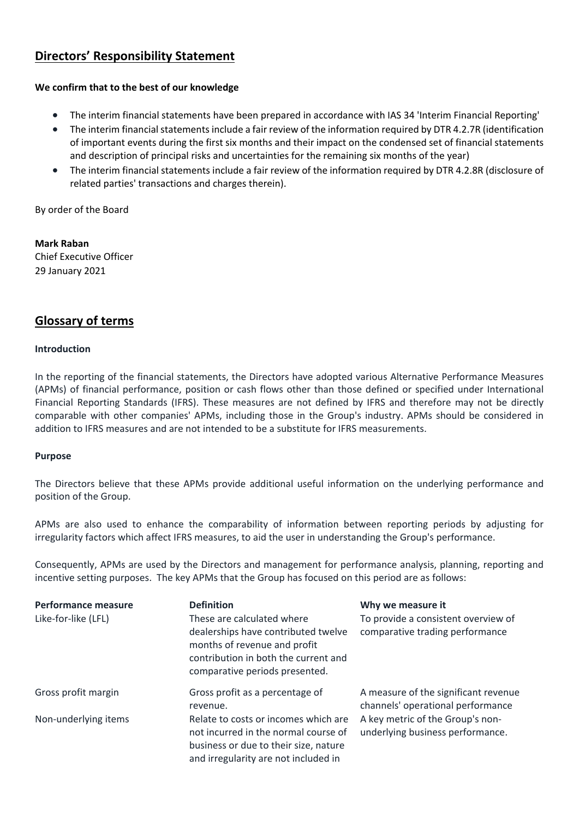# **Directors' Responsibility Statement**

# **We confirm that to the best of our knowledge**

- The interim financial statements have been prepared in accordance with IAS 34 'Interim Financial Reporting'
- The interim financial statements include a fair review of the information required by DTR 4.2.7R (identification of important events during the first six months and their impact on the condensed set of financial statements and description of principal risks and uncertainties for the remaining six months of the year)
- The interim financial statements include a fair review of the information required by DTR 4.2.8R (disclosure of related parties' transactions and charges therein).

By order of the Board

**Mark Raban** Chief Executive Officer 29 January 2021

# **Glossary of terms**

# **Introduction**

In the reporting of the financial statements, the Directors have adopted various Alternative Performance Measures (APMs) of financial performance, position or cash flows other than those defined or specified under International Financial Reporting Standards (IFRS). These measures are not defined by IFRS and therefore may not be directly comparable with other companies' APMs, including those in the Group's industry. APMs should be considered in addition to IFRS measures and are not intended to be a substitute for IFRS measurements.

# **Purpose**

The Directors believe that these APMs provide additional useful information on the underlying performance and position of the Group.

APMs are also used to enhance the comparability of information between reporting periods by adjusting for irregularity factors which affect IFRS measures, to aid the user in understanding the Group's performance.

Consequently, APMs are used by the Directors and management for performance analysis, planning, reporting and incentive setting purposes. The key APMs that the Group has focused on this period are as follows:

| Performance measure<br>Like-for-like (LFL) | <b>Definition</b><br>These are calculated where<br>dealerships have contributed twelve<br>months of revenue and profit<br>contribution in both the current and<br>comparative periods presented. | Why we measure it<br>To provide a consistent overview of<br>comparative trading performance |
|--------------------------------------------|--------------------------------------------------------------------------------------------------------------------------------------------------------------------------------------------------|---------------------------------------------------------------------------------------------|
| Gross profit margin                        | Gross profit as a percentage of<br>revenue.                                                                                                                                                      | A measure of the significant revenue<br>channels' operational performance                   |
| Non-underlying items                       | Relate to costs or incomes which are<br>not incurred in the normal course of<br>business or due to their size, nature<br>and irregularity are not included in                                    | A key metric of the Group's non-<br>underlying business performance.                        |